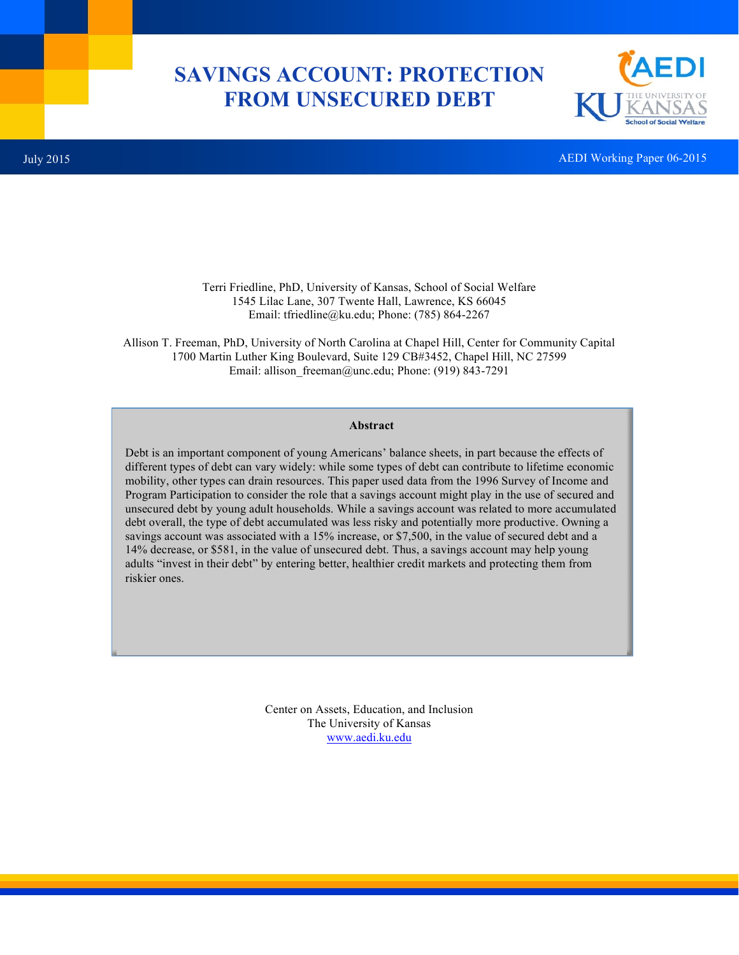# **SAVINGS ACCOUNT: PROTECTION FROM UNSECURED DEBT**



July 2015 AEDI Working Paper 06-2015

Terri Friedline, PhD, University of Kansas, School of Social Welfare 1545 Lilac Lane, 307 Twente Hall, Lawrence, KS 66045 Email: tfriedline@ku.edu; Phone: (785) 864-2267

Allison T. Freeman, PhD, University of North Carolina at Chapel Hill, Center for Community Capital 1700 Martin Luther King Boulevard, Suite 129 CB#3452, Chapel Hill, NC 27599 Email: allison freeman@unc.edu; Phone: (919) 843-7291

### **Abstract**

Debt is an important component of young Americans' balance sheets, in part because the effects of different types of debt can vary widely: while some types of debt can contribute to lifetime economic mobility, other types can drain resources. This paper used data from the 1996 Survey of Income and Program Participation to consider the role that a savings account might play in the use of secured and unsecured debt by young adult households. While a savings account was related to more accumulated debt overall, the type of debt accumulated was less risky and potentially more productive. Owning a savings account was associated with a 15% increase, or \$7,500, in the value of secured debt and a 14% decrease, or \$581, in the value of unsecured debt. Thus, a savings account may help young adults "invest in their debt" by entering better, healthier credit markets and protecting them from riskier ones.

> Center on Assets, Education, and Inclusion The University of Kansas www.aedi.ku.edu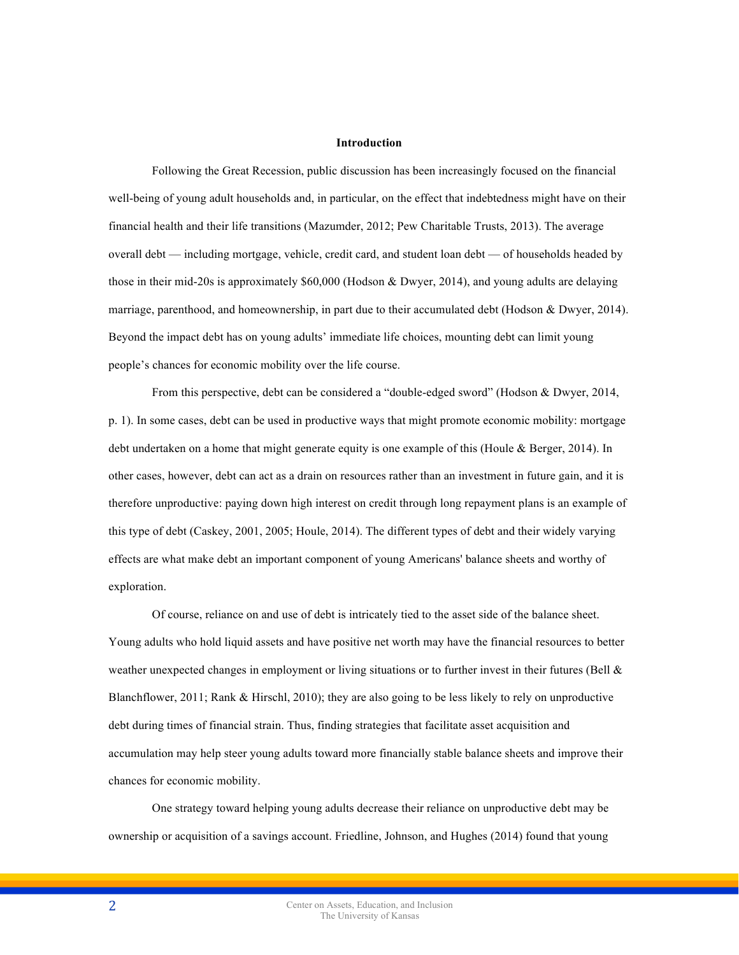#### **Introduction**

Following the Great Recession, public discussion has been increasingly focused on the financial well-being of young adult households and, in particular, on the effect that indebtedness might have on their financial health and their life transitions (Mazumder, 2012; Pew Charitable Trusts, 2013). The average overall debt — including mortgage, vehicle, credit card, and student loan debt — of households headed by those in their mid-20s is approximately \$60,000 (Hodson & Dwyer, 2014), and young adults are delaying marriage, parenthood, and homeownership, in part due to their accumulated debt (Hodson & Dwyer, 2014). Beyond the impact debt has on young adults' immediate life choices, mounting debt can limit young people's chances for economic mobility over the life course.

From this perspective, debt can be considered a "double-edged sword" (Hodson & Dwyer, 2014, p. 1). In some cases, debt can be used in productive ways that might promote economic mobility: mortgage debt undertaken on a home that might generate equity is one example of this (Houle & Berger, 2014). In other cases, however, debt can act as a drain on resources rather than an investment in future gain, and it is therefore unproductive: paying down high interest on credit through long repayment plans is an example of this type of debt (Caskey, 2001, 2005; Houle, 2014). The different types of debt and their widely varying effects are what make debt an important component of young Americans' balance sheets and worthy of exploration.

Of course, reliance on and use of debt is intricately tied to the asset side of the balance sheet. Young adults who hold liquid assets and have positive net worth may have the financial resources to better weather unexpected changes in employment or living situations or to further invest in their futures (Bell & Blanchflower, 2011; Rank & Hirschl, 2010); they are also going to be less likely to rely on unproductive debt during times of financial strain. Thus, finding strategies that facilitate asset acquisition and accumulation may help steer young adults toward more financially stable balance sheets and improve their chances for economic mobility.

One strategy toward helping young adults decrease their reliance on unproductive debt may be ownership or acquisition of a savings account. Friedline, Johnson, and Hughes (2014) found that young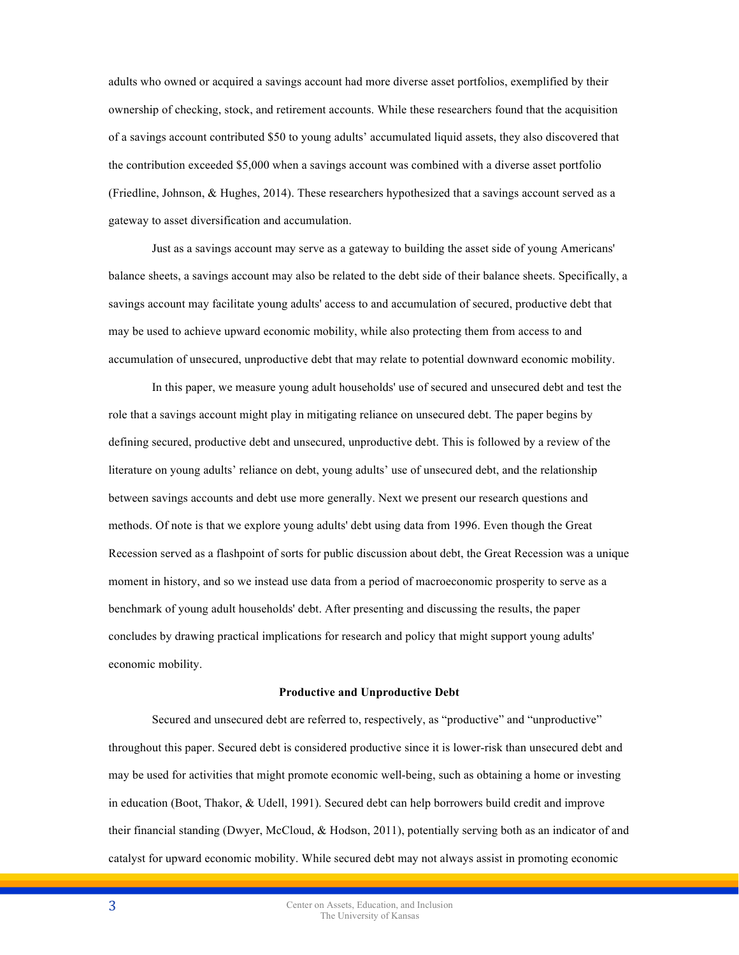adults who owned or acquired a savings account had more diverse asset portfolios, exemplified by their ownership of checking, stock, and retirement accounts. While these researchers found that the acquisition of a savings account contributed \$50 to young adults' accumulated liquid assets, they also discovered that the contribution exceeded \$5,000 when a savings account was combined with a diverse asset portfolio (Friedline, Johnson, & Hughes, 2014). These researchers hypothesized that a savings account served as a gateway to asset diversification and accumulation.

Just as a savings account may serve as a gateway to building the asset side of young Americans' balance sheets, a savings account may also be related to the debt side of their balance sheets. Specifically, a savings account may facilitate young adults' access to and accumulation of secured, productive debt that may be used to achieve upward economic mobility, while also protecting them from access to and accumulation of unsecured, unproductive debt that may relate to potential downward economic mobility.

In this paper, we measure young adult households' use of secured and unsecured debt and test the role that a savings account might play in mitigating reliance on unsecured debt. The paper begins by defining secured, productive debt and unsecured, unproductive debt. This is followed by a review of the literature on young adults' reliance on debt, young adults' use of unsecured debt, and the relationship between savings accounts and debt use more generally. Next we present our research questions and methods. Of note is that we explore young adults' debt using data from 1996. Even though the Great Recession served as a flashpoint of sorts for public discussion about debt, the Great Recession was a unique moment in history, and so we instead use data from a period of macroeconomic prosperity to serve as a benchmark of young adult households' debt. After presenting and discussing the results, the paper concludes by drawing practical implications for research and policy that might support young adults' economic mobility.

#### **Productive and Unproductive Debt**

Secured and unsecured debt are referred to, respectively, as "productive" and "unproductive" throughout this paper. Secured debt is considered productive since it is lower-risk than unsecured debt and may be used for activities that might promote economic well-being, such as obtaining a home or investing in education (Boot, Thakor, & Udell, 1991). Secured debt can help borrowers build credit and improve their financial standing (Dwyer, McCloud, & Hodson, 2011), potentially serving both as an indicator of and catalyst for upward economic mobility. While secured debt may not always assist in promoting economic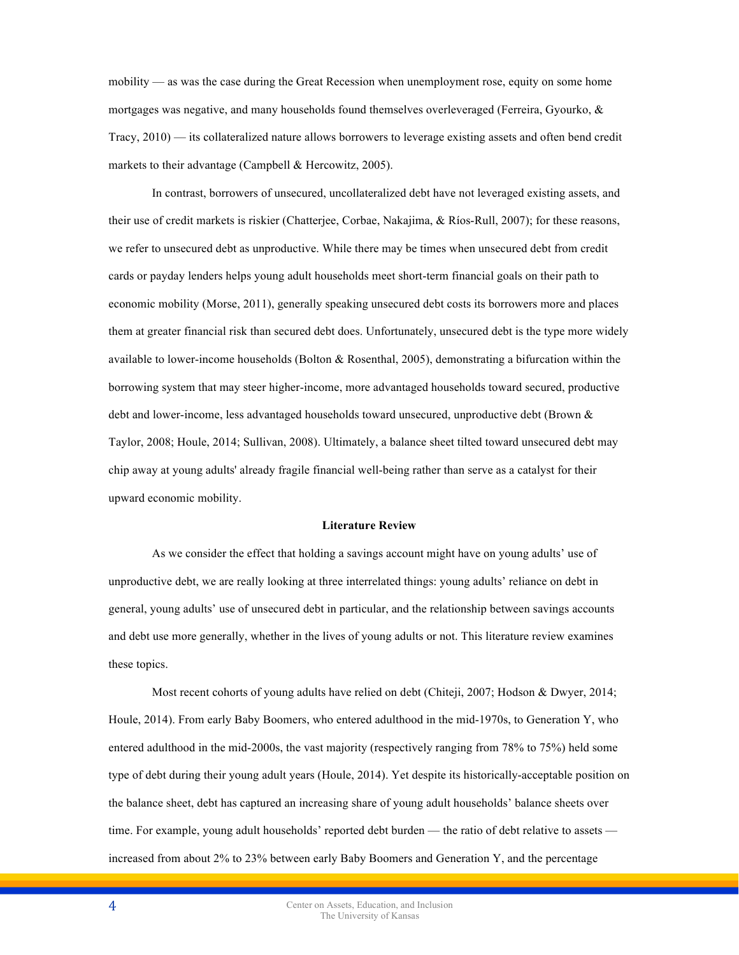mobility — as was the case during the Great Recession when unemployment rose, equity on some home mortgages was negative, and many households found themselves overleveraged (Ferreira, Gyourko,  $\&$ Tracy, 2010) — its collateralized nature allows borrowers to leverage existing assets and often bend credit markets to their advantage (Campbell & Hercowitz, 2005).

In contrast, borrowers of unsecured, uncollateralized debt have not leveraged existing assets, and their use of credit markets is riskier (Chatterjee, Corbae, Nakajima, & Ríos-Rull, 2007); for these reasons, we refer to unsecured debt as unproductive. While there may be times when unsecured debt from credit cards or payday lenders helps young adult households meet short-term financial goals on their path to economic mobility (Morse, 2011), generally speaking unsecured debt costs its borrowers more and places them at greater financial risk than secured debt does. Unfortunately, unsecured debt is the type more widely available to lower-income households (Bolton  $\&$  Rosenthal, 2005), demonstrating a bifurcation within the borrowing system that may steer higher-income, more advantaged households toward secured, productive debt and lower-income, less advantaged households toward unsecured, unproductive debt (Brown & Taylor, 2008; Houle, 2014; Sullivan, 2008). Ultimately, a balance sheet tilted toward unsecured debt may chip away at young adults' already fragile financial well-being rather than serve as a catalyst for their upward economic mobility.

#### **Literature Review**

As we consider the effect that holding a savings account might have on young adults' use of unproductive debt, we are really looking at three interrelated things: young adults' reliance on debt in general, young adults' use of unsecured debt in particular, and the relationship between savings accounts and debt use more generally, whether in the lives of young adults or not. This literature review examines these topics.

Most recent cohorts of young adults have relied on debt (Chiteji, 2007; Hodson & Dwyer, 2014; Houle, 2014). From early Baby Boomers, who entered adulthood in the mid-1970s, to Generation Y, who entered adulthood in the mid-2000s, the vast majority (respectively ranging from 78% to 75%) held some type of debt during their young adult years (Houle, 2014). Yet despite its historically-acceptable position on the balance sheet, debt has captured an increasing share of young adult households' balance sheets over time. For example, young adult households' reported debt burden — the ratio of debt relative to assets increased from about 2% to 23% between early Baby Boomers and Generation Y, and the percentage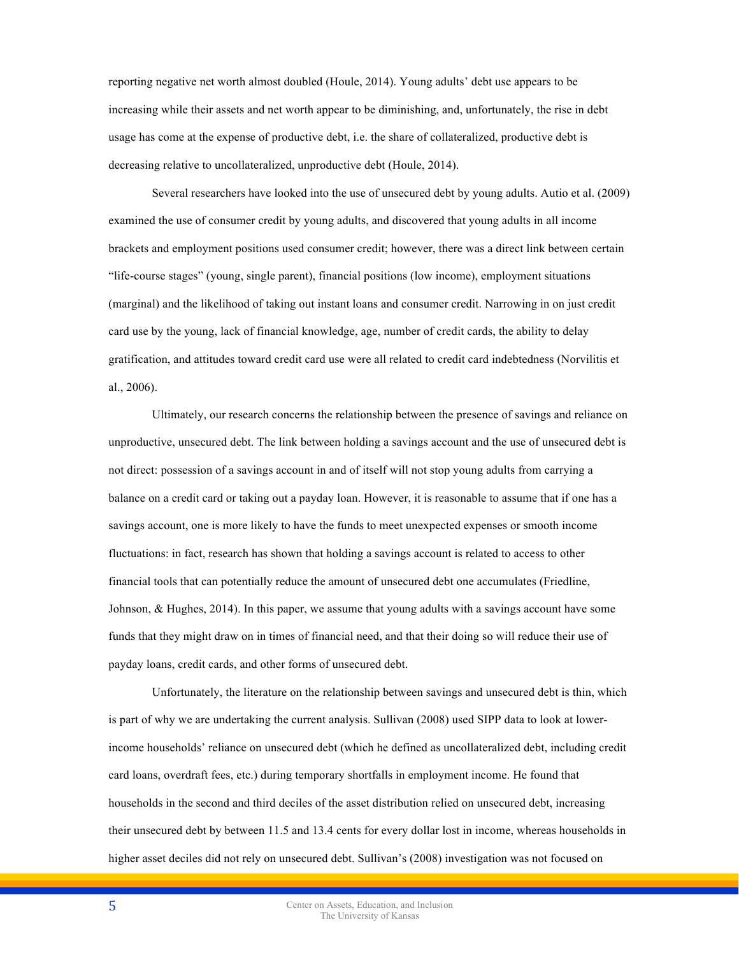reporting negative net worth almost doubled (Houle, 2014). Young adults' debt use appears to be increasing while their assets and net worth appear to be diminishing, and, unfortunately, the rise in debt usage has come at the expense of productive debt, i.e. the share of collateralized, productive debt is decreasing relative to uncollateralized, unproductive debt (Houle, 2014).

Several researchers have looked into the use of unsecured debt by young adults. Autio et al. (2009) examined the use of consumer credit by young adults, and discovered that young adults in all income brackets and employment positions used consumer credit; however, there was a direct link between certain "life-course stages" (young, single parent), financial positions (low income), employment situations (marginal) and the likelihood of taking out instant loans and consumer credit. Narrowing in on just credit card use by the young, lack of financial knowledge, age, number of credit cards, the ability to delay gratification, and attitudes toward credit card use were all related to credit card indebtedness (Norvilitis et al., 2006).

Ultimately, our research concerns the relationship between the presence of savings and reliance on unproductive, unsecured debt. The link between holding a savings account and the use of unsecured debt is not direct: possession of a savings account in and of itself will not stop young adults from carrying a balance on a credit card or taking out a payday loan. However, it is reasonable to assume that if one has a savings account, one is more likely to have the funds to meet unexpected expenses or smooth income fluctuations: in fact, research has shown that holding a savings account is related to access to other financial tools that can potentially reduce the amount of unsecured debt one accumulates (Friedline, Johnson, & Hughes, 2014). In this paper, we assume that young adults with a savings account have some funds that they might draw on in times of financial need, and that their doing so will reduce their use of payday loans, credit cards, and other forms of unsecured debt.

Unfortunately, the literature on the relationship between savings and unsecured debt is thin, which is part of why we are undertaking the current analysis. Sullivan (2008) used SIPP data to look at lowerincome households' reliance on unsecured debt (which he defined as uncollateralized debt, including credit card loans, overdraft fees, etc.) during temporary shortfalls in employment income. He found that households in the second and third deciles of the asset distribution relied on unsecured debt, increasing their unsecured debt by between 11.5 and 13.4 cents for every dollar lost in income, whereas households in higher asset deciles did not rely on unsecured debt. Sullivan's (2008) investigation was not focused on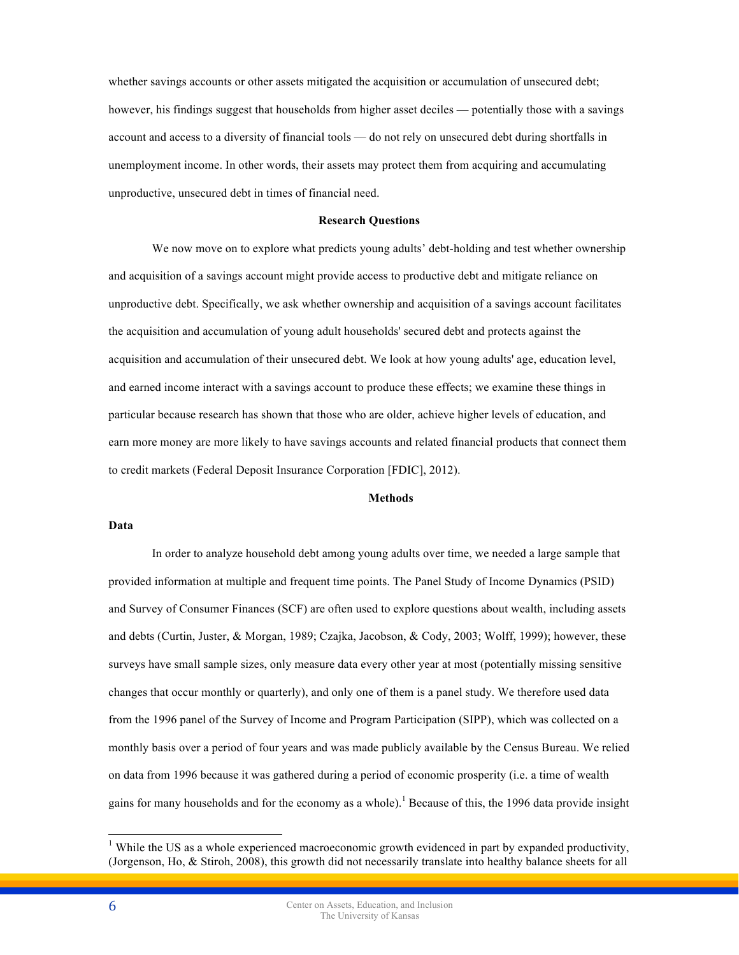whether savings accounts or other assets mitigated the acquisition or accumulation of unsecured debt; however, his findings suggest that households from higher asset deciles — potentially those with a savings account and access to a diversity of financial tools — do not rely on unsecured debt during shortfalls in unemployment income. In other words, their assets may protect them from acquiring and accumulating unproductive, unsecured debt in times of financial need.

#### **Research Questions**

We now move on to explore what predicts young adults' debt-holding and test whether ownership and acquisition of a savings account might provide access to productive debt and mitigate reliance on unproductive debt. Specifically, we ask whether ownership and acquisition of a savings account facilitates the acquisition and accumulation of young adult households' secured debt and protects against the acquisition and accumulation of their unsecured debt. We look at how young adults' age, education level, and earned income interact with a savings account to produce these effects; we examine these things in particular because research has shown that those who are older, achieve higher levels of education, and earn more money are more likely to have savings accounts and related financial products that connect them to credit markets (Federal Deposit Insurance Corporation [FDIC], 2012).

# **Methods**

## **Data**

In order to analyze household debt among young adults over time, we needed a large sample that provided information at multiple and frequent time points. The Panel Study of Income Dynamics (PSID) and Survey of Consumer Finances (SCF) are often used to explore questions about wealth, including assets and debts (Curtin, Juster, & Morgan, 1989; Czajka, Jacobson, & Cody, 2003; Wolff, 1999); however, these surveys have small sample sizes, only measure data every other year at most (potentially missing sensitive changes that occur monthly or quarterly), and only one of them is a panel study. We therefore used data from the 1996 panel of the Survey of Income and Program Participation (SIPP), which was collected on a monthly basis over a period of four years and was made publicly available by the Census Bureau. We relied on data from 1996 because it was gathered during a period of economic prosperity (i.e. a time of wealth gains for many households and for the economy as a whole).<sup>1</sup> Because of this, the 1996 data provide insight

<sup>&</sup>lt;sup>1</sup> While the US as a whole experienced macroeconomic growth evidenced in part by expanded productivity, (Jorgenson, Ho, & Stiroh, 2008), this growth did not necessarily translate into healthy balance sheets for all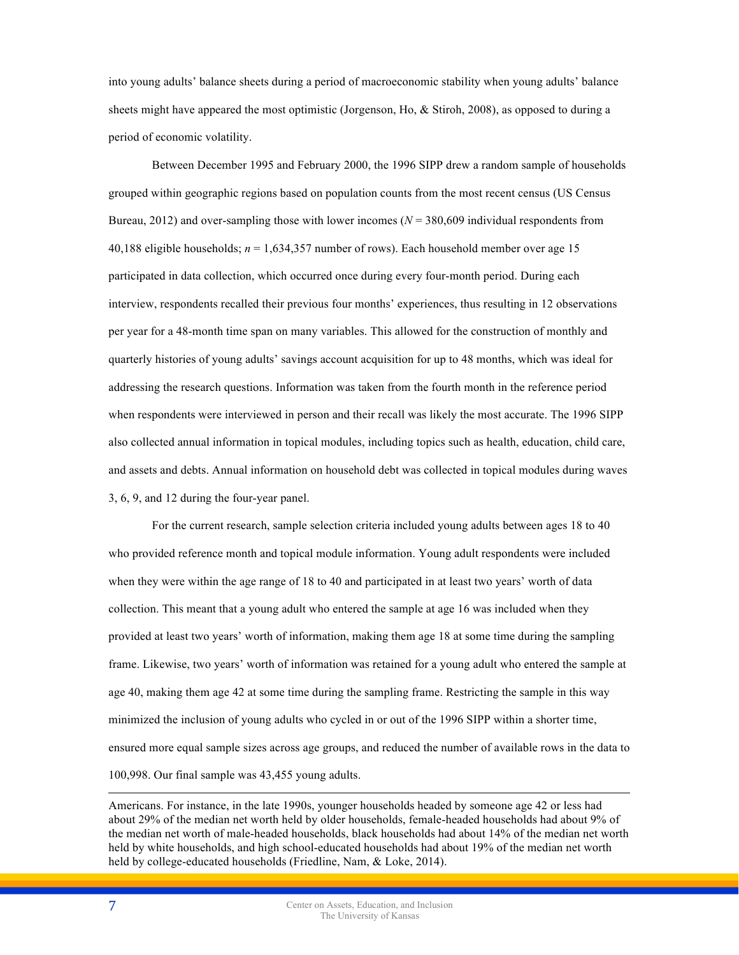into young adults' balance sheets during a period of macroeconomic stability when young adults' balance sheets might have appeared the most optimistic (Jorgenson, Ho, & Stiroh, 2008), as opposed to during a period of economic volatility.

Between December 1995 and February 2000, the 1996 SIPP drew a random sample of households grouped within geographic regions based on population counts from the most recent census (US Census Bureau, 2012) and over-sampling those with lower incomes (*N* = 380,609 individual respondents from 40,188 eligible households; *n* = 1,634,357 number of rows). Each household member over age 15 participated in data collection, which occurred once during every four-month period. During each interview, respondents recalled their previous four months' experiences, thus resulting in 12 observations per year for a 48-month time span on many variables. This allowed for the construction of monthly and quarterly histories of young adults' savings account acquisition for up to 48 months, which was ideal for addressing the research questions. Information was taken from the fourth month in the reference period when respondents were interviewed in person and their recall was likely the most accurate. The 1996 SIPP also collected annual information in topical modules, including topics such as health, education, child care, and assets and debts. Annual information on household debt was collected in topical modules during waves 3, 6, 9, and 12 during the four-year panel.

For the current research, sample selection criteria included young adults between ages 18 to 40 who provided reference month and topical module information. Young adult respondents were included when they were within the age range of 18 to 40 and participated in at least two years' worth of data collection. This meant that a young adult who entered the sample at age 16 was included when they provided at least two years' worth of information, making them age 18 at some time during the sampling frame. Likewise, two years' worth of information was retained for a young adult who entered the sample at age 40, making them age 42 at some time during the sampling frame. Restricting the sample in this way minimized the inclusion of young adults who cycled in or out of the 1996 SIPP within a shorter time, ensured more equal sample sizes across age groups, and reduced the number of available rows in the data to 100,998. Our final sample was 43,455 young adults.

Americans. For instance, in the late 1990s, younger households headed by someone age 42 or less had about 29% of the median net worth held by older households, female-headed households had about 9% of the median net worth of male-headed households, black households had about 14% of the median net worth held by white households, and high school-educated households had about 19% of the median net worth held by college-educated households (Friedline, Nam, & Loke, 2014).

 $\overline{a}$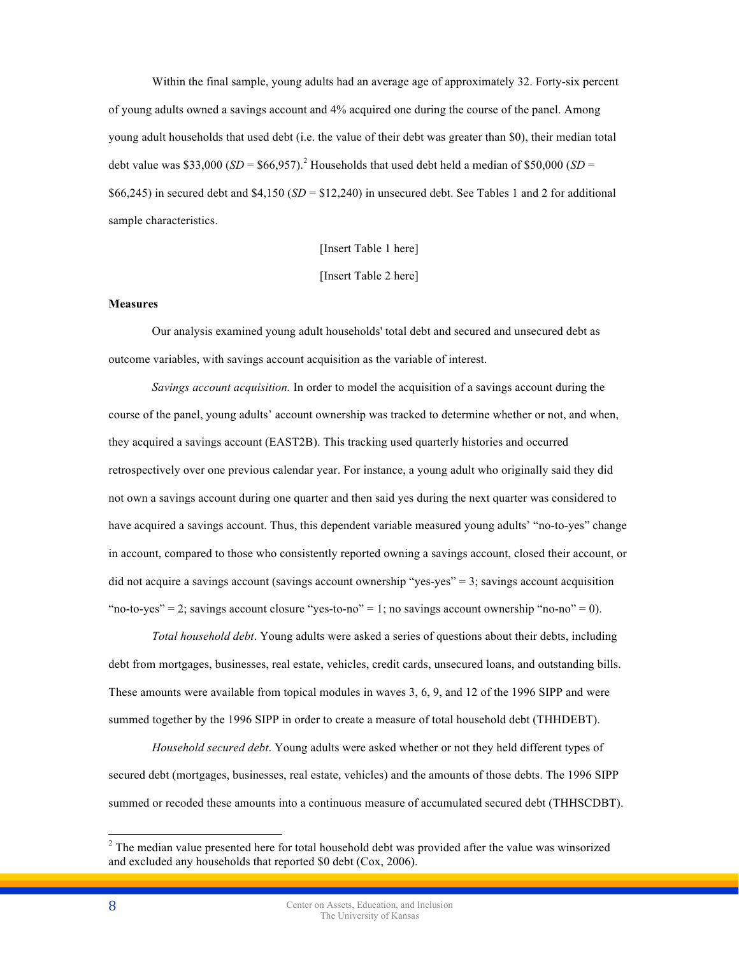Within the final sample, young adults had an average age of approximately 32. Forty-six percent of young adults owned a savings account and 4% acquired one during the course of the panel. Among young adult households that used debt (i.e. the value of their debt was greater than \$0), their median total debt value was \$33,000  $(SD = $66,957)$ .<sup>2</sup> Households that used debt held a median of \$50,000  $(SD =$ \$66,245) in secured debt and  $$4,150$  ( $SD = $12,240$ ) in unsecured debt. See Tables 1 and 2 for additional sample characteristics.

[Insert Table 1 here]

[Insert Table 2 here]

# **Measures**

Our analysis examined young adult households' total debt and secured and unsecured debt as outcome variables, with savings account acquisition as the variable of interest.

*Savings account acquisition.* In order to model the acquisition of a savings account during the course of the panel, young adults' account ownership was tracked to determine whether or not, and when, they acquired a savings account (EAST2B). This tracking used quarterly histories and occurred retrospectively over one previous calendar year. For instance, a young adult who originally said they did not own a savings account during one quarter and then said yes during the next quarter was considered to have acquired a savings account. Thus, this dependent variable measured young adults' "no-to-yes" change in account, compared to those who consistently reported owning a savings account, closed their account, or did not acquire a savings account (savings account ownership "yes-yes" = 3; savings account acquisition "no-to-yes" = 2; savings account closure "yes-to-no" = 1; no savings account ownership "no-no" = 0).

*Total household debt*. Young adults were asked a series of questions about their debts, including debt from mortgages, businesses, real estate, vehicles, credit cards, unsecured loans, and outstanding bills. These amounts were available from topical modules in waves 3, 6, 9, and 12 of the 1996 SIPP and were summed together by the 1996 SIPP in order to create a measure of total household debt (THHDEBT).

*Household secured debt*. Young adults were asked whether or not they held different types of secured debt (mortgages, businesses, real estate, vehicles) and the amounts of those debts. The 1996 SIPP summed or recoded these amounts into a continuous measure of accumulated secured debt (THHSCDBT).

<sup>&</sup>lt;sup>2</sup> The median value presented here for total household debt was provided after the value was winsorized and excluded any households that reported \$0 debt (Cox, 2006).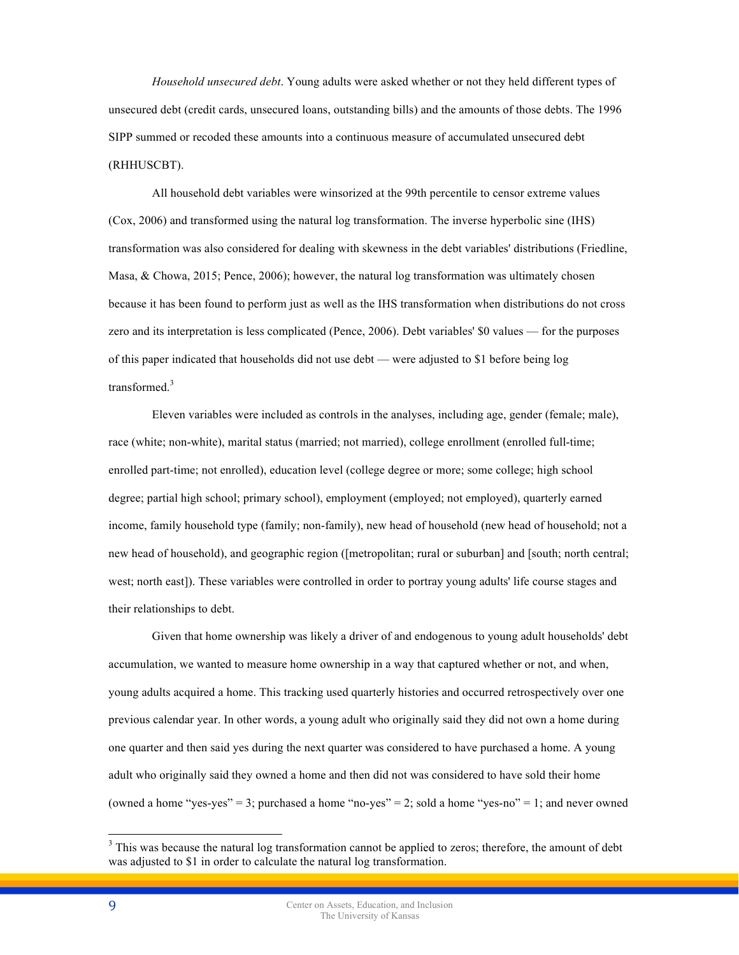*Household unsecured debt*. Young adults were asked whether or not they held different types of unsecured debt (credit cards, unsecured loans, outstanding bills) and the amounts of those debts. The 1996 SIPP summed or recoded these amounts into a continuous measure of accumulated unsecured debt (RHHUSCBT).

All household debt variables were winsorized at the 99th percentile to censor extreme values (Cox, 2006) and transformed using the natural log transformation. The inverse hyperbolic sine (IHS) transformation was also considered for dealing with skewness in the debt variables' distributions (Friedline, Masa, & Chowa, 2015; Pence, 2006); however, the natural log transformation was ultimately chosen because it has been found to perform just as well as the IHS transformation when distributions do not cross zero and its interpretation is less complicated (Pence, 2006). Debt variables' \$0 values — for the purposes of this paper indicated that households did not use debt — were adjusted to \$1 before being log transformed.<sup>3</sup>

Eleven variables were included as controls in the analyses, including age, gender (female; male), race (white; non-white), marital status (married; not married), college enrollment (enrolled full-time; enrolled part-time; not enrolled), education level (college degree or more; some college; high school degree; partial high school; primary school), employment (employed; not employed), quarterly earned income, family household type (family; non-family), new head of household (new head of household; not a new head of household), and geographic region ([metropolitan; rural or suburban] and [south; north central; west; north east]). These variables were controlled in order to portray young adults' life course stages and their relationships to debt.

Given that home ownership was likely a driver of and endogenous to young adult households' debt accumulation, we wanted to measure home ownership in a way that captured whether or not, and when, young adults acquired a home. This tracking used quarterly histories and occurred retrospectively over one previous calendar year. In other words, a young adult who originally said they did not own a home during one quarter and then said yes during the next quarter was considered to have purchased a home. A young adult who originally said they owned a home and then did not was considered to have sold their home (owned a home "yes-yes" = 3; purchased a home "no-yes" = 2; sold a home "yes-no" = 1; and never owned

<sup>&</sup>lt;sup>3</sup> This was because the natural log transformation cannot be applied to zeros; therefore, the amount of debt was adjusted to \$1 in order to calculate the natural log transformation.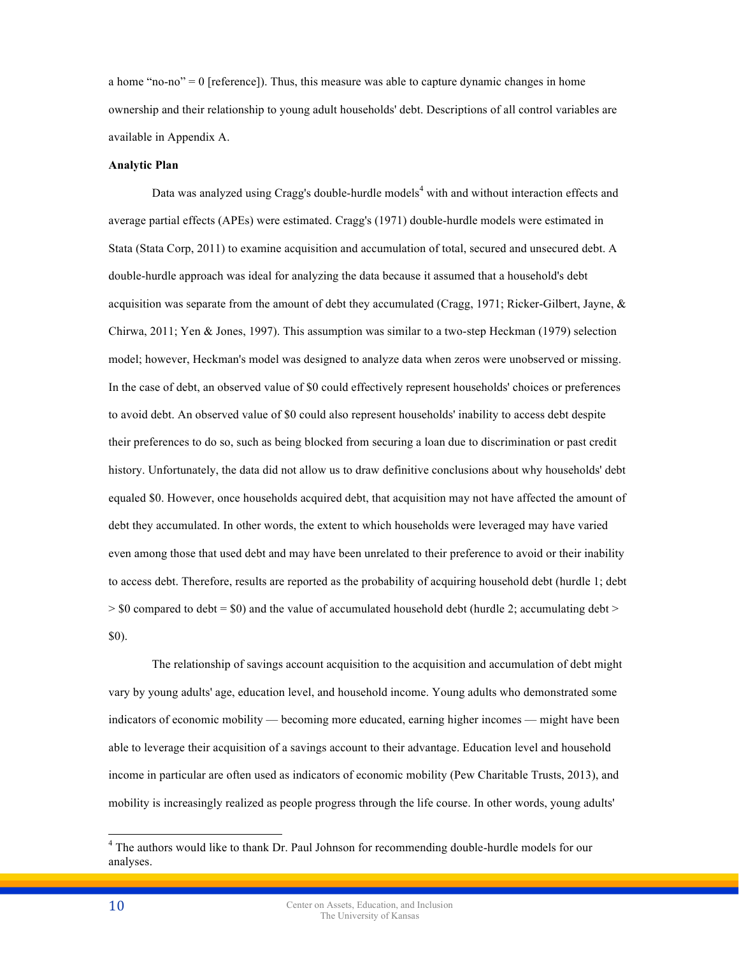a home "no-no"  $= 0$  [reference]). Thus, this measure was able to capture dynamic changes in home ownership and their relationship to young adult households' debt. Descriptions of all control variables are available in Appendix A.

#### **Analytic Plan**

Data was analyzed using Cragg's double-hurdle models<sup>4</sup> with and without interaction effects and average partial effects (APEs) were estimated. Cragg's (1971) double-hurdle models were estimated in Stata (Stata Corp, 2011) to examine acquisition and accumulation of total, secured and unsecured debt. A double-hurdle approach was ideal for analyzing the data because it assumed that a household's debt acquisition was separate from the amount of debt they accumulated (Cragg, 1971; Ricker-Gilbert, Jayne, & Chirwa, 2011; Yen & Jones, 1997). This assumption was similar to a two-step Heckman (1979) selection model; however, Heckman's model was designed to analyze data when zeros were unobserved or missing. In the case of debt, an observed value of \$0 could effectively represent households' choices or preferences to avoid debt. An observed value of \$0 could also represent households' inability to access debt despite their preferences to do so, such as being blocked from securing a loan due to discrimination or past credit history. Unfortunately, the data did not allow us to draw definitive conclusions about why households' debt equaled \$0. However, once households acquired debt, that acquisition may not have affected the amount of debt they accumulated. In other words, the extent to which households were leveraged may have varied even among those that used debt and may have been unrelated to their preference to avoid or their inability to access debt. Therefore, results are reported as the probability of acquiring household debt (hurdle 1; debt  $>$  \$0 compared to debt = \$0) and the value of accumulated household debt (hurdle 2; accumulating debt  $>$ \$0).

The relationship of savings account acquisition to the acquisition and accumulation of debt might vary by young adults' age, education level, and household income. Young adults who demonstrated some indicators of economic mobility — becoming more educated, earning higher incomes — might have been able to leverage their acquisition of a savings account to their advantage. Education level and household income in particular are often used as indicators of economic mobility (Pew Charitable Trusts, 2013), and mobility is increasingly realized as people progress through the life course. In other words, young adults'

<sup>&</sup>lt;sup>4</sup> The authors would like to thank Dr. Paul Johnson for recommending double-hurdle models for our analyses.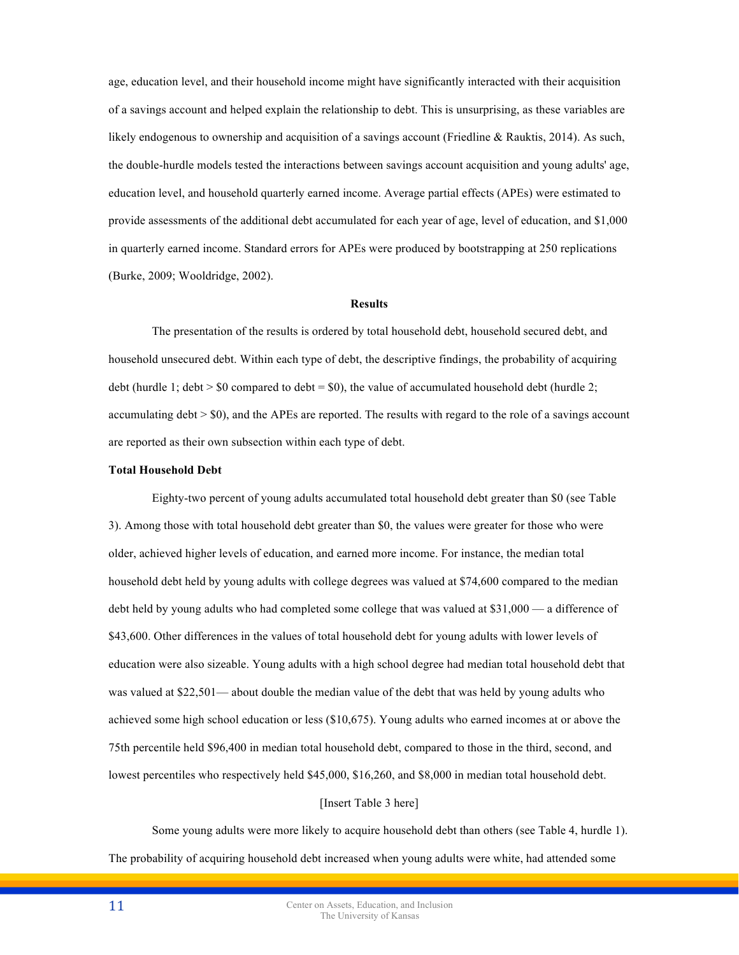age, education level, and their household income might have significantly interacted with their acquisition of a savings account and helped explain the relationship to debt. This is unsurprising, as these variables are likely endogenous to ownership and acquisition of a savings account (Friedline & Rauktis, 2014). As such, the double-hurdle models tested the interactions between savings account acquisition and young adults' age, education level, and household quarterly earned income. Average partial effects (APEs) were estimated to provide assessments of the additional debt accumulated for each year of age, level of education, and \$1,000 in quarterly earned income. Standard errors for APEs were produced by bootstrapping at 250 replications (Burke, 2009; Wooldridge, 2002).

# **Results**

The presentation of the results is ordered by total household debt, household secured debt, and household unsecured debt. Within each type of debt, the descriptive findings, the probability of acquiring debt (hurdle 1; debt  $>$  \$0 compared to debt = \$0), the value of accumulated household debt (hurdle 2; accumulating debt > \$0), and the APEs are reported. The results with regard to the role of a savings account are reported as their own subsection within each type of debt.

#### **Total Household Debt**

Eighty-two percent of young adults accumulated total household debt greater than \$0 (see Table 3). Among those with total household debt greater than \$0, the values were greater for those who were older, achieved higher levels of education, and earned more income. For instance, the median total household debt held by young adults with college degrees was valued at \$74,600 compared to the median debt held by young adults who had completed some college that was valued at \$31,000 — a difference of \$43,600. Other differences in the values of total household debt for young adults with lower levels of education were also sizeable. Young adults with a high school degree had median total household debt that was valued at \$22,501— about double the median value of the debt that was held by young adults who achieved some high school education or less (\$10,675). Young adults who earned incomes at or above the 75th percentile held \$96,400 in median total household debt, compared to those in the third, second, and lowest percentiles who respectively held \$45,000, \$16,260, and \$8,000 in median total household debt.

### [Insert Table 3 here]

Some young adults were more likely to acquire household debt than others (see Table 4, hurdle 1). The probability of acquiring household debt increased when young adults were white, had attended some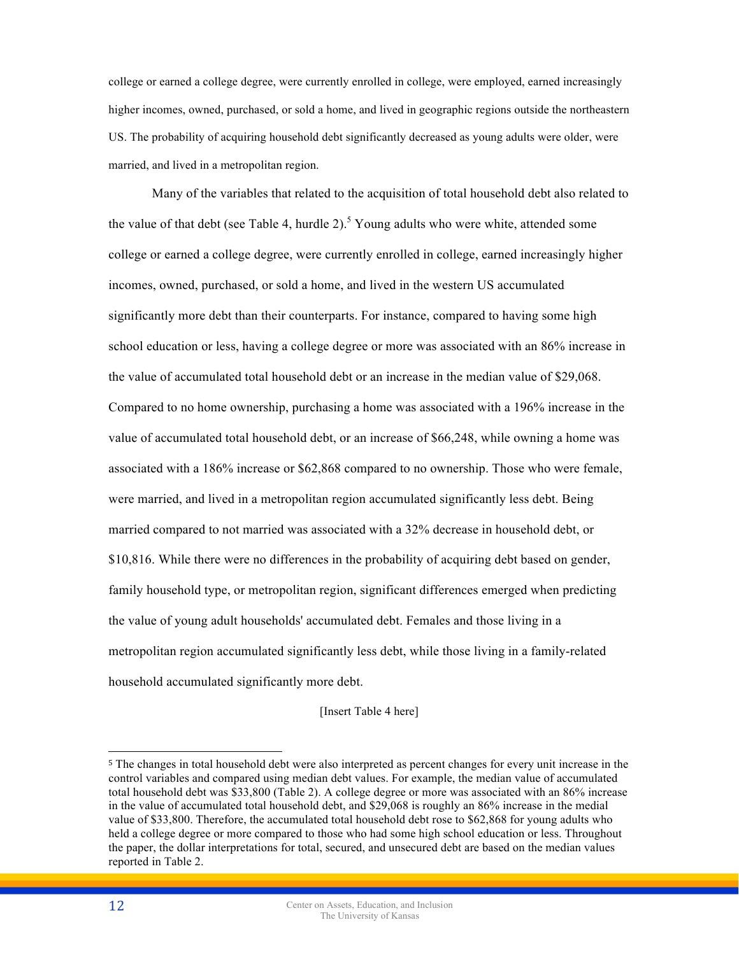college or earned a college degree, were currently enrolled in college, were employed, earned increasingly higher incomes, owned, purchased, or sold a home, and lived in geographic regions outside the northeastern US. The probability of acquiring household debt significantly decreased as young adults were older, were married, and lived in a metropolitan region.

Many of the variables that related to the acquisition of total household debt also related to the value of that debt (see Table 4, hurdle 2).<sup>5</sup> Young adults who were white, attended some college or earned a college degree, were currently enrolled in college, earned increasingly higher incomes, owned, purchased, or sold a home, and lived in the western US accumulated significantly more debt than their counterparts. For instance, compared to having some high school education or less, having a college degree or more was associated with an 86% increase in the value of accumulated total household debt or an increase in the median value of \$29,068. Compared to no home ownership, purchasing a home was associated with a 196% increase in the value of accumulated total household debt, or an increase of \$66,248, while owning a home was associated with a 186% increase or \$62,868 compared to no ownership. Those who were female, were married, and lived in a metropolitan region accumulated significantly less debt. Being married compared to not married was associated with a 32% decrease in household debt, or \$10,816. While there were no differences in the probability of acquiring debt based on gender, family household type, or metropolitan region, significant differences emerged when predicting the value of young adult households' accumulated debt. Females and those living in a metropolitan region accumulated significantly less debt, while those living in a family-related household accumulated significantly more debt.

[Insert Table 4 here]

 $\overline{a}$ 

<sup>5</sup> The changes in total household debt were also interpreted as percent changes for every unit increase in the control variables and compared using median debt values. For example, the median value of accumulated total household debt was \$33,800 (Table 2). A college degree or more was associated with an 86% increase in the value of accumulated total household debt, and \$29,068 is roughly an 86% increase in the medial value of \$33,800. Therefore, the accumulated total household debt rose to \$62,868 for young adults who held a college degree or more compared to those who had some high school education or less. Throughout the paper, the dollar interpretations for total, secured, and unsecured debt are based on the median values reported in Table 2.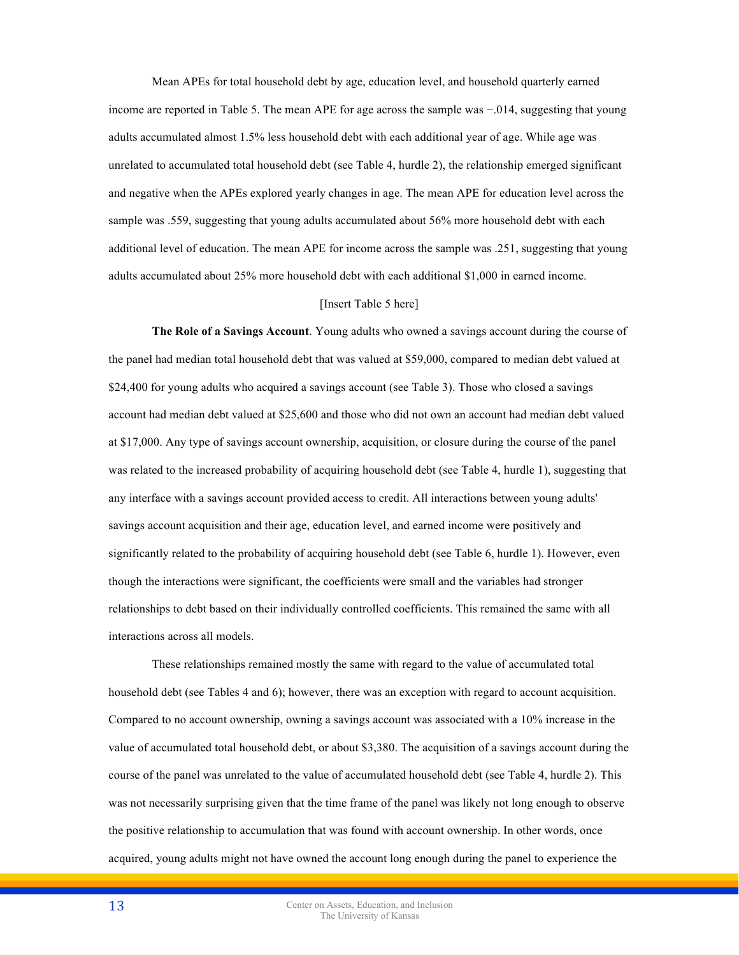Mean APEs for total household debt by age, education level, and household quarterly earned income are reported in Table 5. The mean APE for age across the sample was −.014, suggesting that young adults accumulated almost 1.5% less household debt with each additional year of age. While age was unrelated to accumulated total household debt (see Table 4, hurdle 2), the relationship emerged significant and negative when the APEs explored yearly changes in age. The mean APE for education level across the sample was .559, suggesting that young adults accumulated about 56% more household debt with each additional level of education. The mean APE for income across the sample was .251, suggesting that young adults accumulated about 25% more household debt with each additional \$1,000 in earned income.

# [Insert Table 5 here]

**The Role of a Savings Account**. Young adults who owned a savings account during the course of the panel had median total household debt that was valued at \$59,000, compared to median debt valued at \$24,400 for young adults who acquired a savings account (see Table 3). Those who closed a savings account had median debt valued at \$25,600 and those who did not own an account had median debt valued at \$17,000. Any type of savings account ownership, acquisition, or closure during the course of the panel was related to the increased probability of acquiring household debt (see Table 4, hurdle 1), suggesting that any interface with a savings account provided access to credit. All interactions between young adults' savings account acquisition and their age, education level, and earned income were positively and significantly related to the probability of acquiring household debt (see Table 6, hurdle 1). However, even though the interactions were significant, the coefficients were small and the variables had stronger relationships to debt based on their individually controlled coefficients. This remained the same with all interactions across all models.

These relationships remained mostly the same with regard to the value of accumulated total household debt (see Tables 4 and 6); however, there was an exception with regard to account acquisition. Compared to no account ownership, owning a savings account was associated with a 10% increase in the value of accumulated total household debt, or about \$3,380. The acquisition of a savings account during the course of the panel was unrelated to the value of accumulated household debt (see Table 4, hurdle 2). This was not necessarily surprising given that the time frame of the panel was likely not long enough to observe the positive relationship to accumulation that was found with account ownership. In other words, once acquired, young adults might not have owned the account long enough during the panel to experience the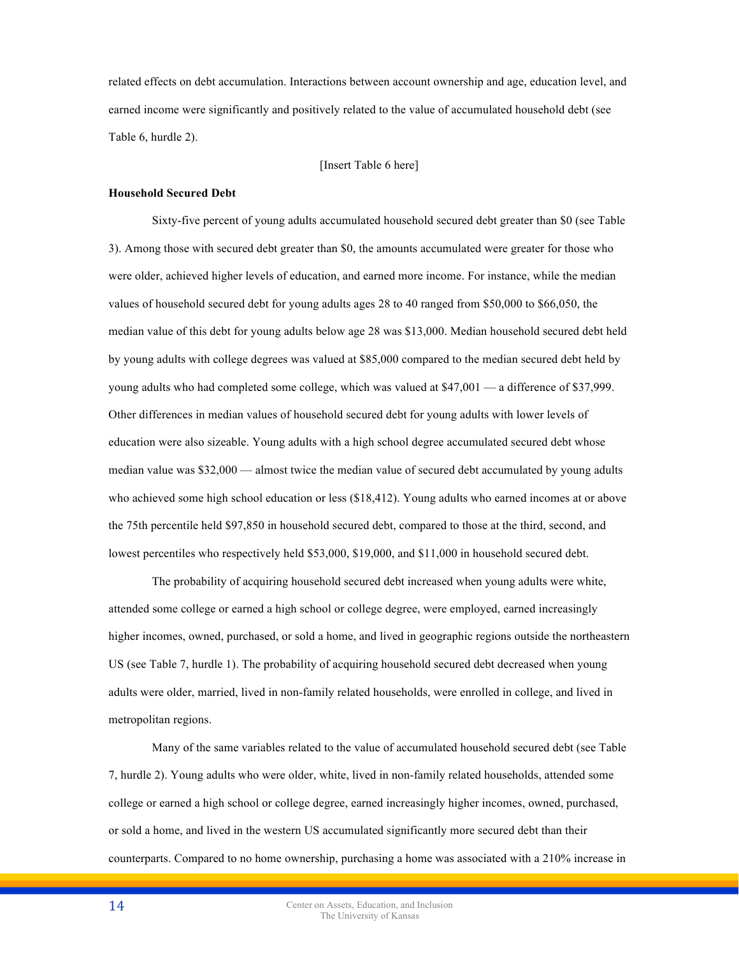related effects on debt accumulation. Interactions between account ownership and age, education level, and earned income were significantly and positively related to the value of accumulated household debt (see Table 6, hurdle 2).

[Insert Table 6 here]

# **Household Secured Debt**

Sixty-five percent of young adults accumulated household secured debt greater than \$0 (see Table 3). Among those with secured debt greater than \$0, the amounts accumulated were greater for those who were older, achieved higher levels of education, and earned more income. For instance, while the median values of household secured debt for young adults ages 28 to 40 ranged from \$50,000 to \$66,050, the median value of this debt for young adults below age 28 was \$13,000. Median household secured debt held by young adults with college degrees was valued at \$85,000 compared to the median secured debt held by young adults who had completed some college, which was valued at \$47,001 — a difference of \$37,999. Other differences in median values of household secured debt for young adults with lower levels of education were also sizeable. Young adults with a high school degree accumulated secured debt whose median value was \$32,000 — almost twice the median value of secured debt accumulated by young adults who achieved some high school education or less (\$18,412). Young adults who earned incomes at or above the 75th percentile held \$97,850 in household secured debt, compared to those at the third, second, and lowest percentiles who respectively held \$53,000, \$19,000, and \$11,000 in household secured debt.

The probability of acquiring household secured debt increased when young adults were white, attended some college or earned a high school or college degree, were employed, earned increasingly higher incomes, owned, purchased, or sold a home, and lived in geographic regions outside the northeastern US (see Table 7, hurdle 1). The probability of acquiring household secured debt decreased when young adults were older, married, lived in non-family related households, were enrolled in college, and lived in metropolitan regions.

Many of the same variables related to the value of accumulated household secured debt (see Table 7, hurdle 2). Young adults who were older, white, lived in non-family related households, attended some college or earned a high school or college degree, earned increasingly higher incomes, owned, purchased, or sold a home, and lived in the western US accumulated significantly more secured debt than their counterparts. Compared to no home ownership, purchasing a home was associated with a 210% increase in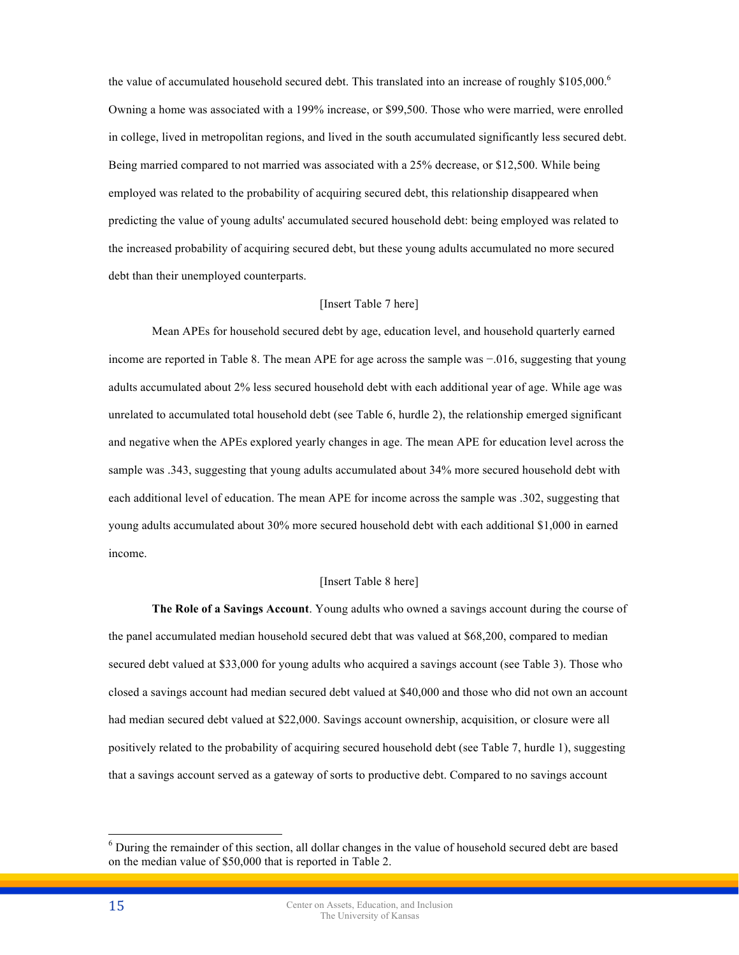the value of accumulated household secured debt. This translated into an increase of roughly  $$105,000\degree$ Owning a home was associated with a 199% increase, or \$99,500. Those who were married, were enrolled in college, lived in metropolitan regions, and lived in the south accumulated significantly less secured debt. Being married compared to not married was associated with a 25% decrease, or \$12,500. While being employed was related to the probability of acquiring secured debt, this relationship disappeared when predicting the value of young adults' accumulated secured household debt: being employed was related to the increased probability of acquiring secured debt, but these young adults accumulated no more secured debt than their unemployed counterparts.

# [Insert Table 7 here]

Mean APEs for household secured debt by age, education level, and household quarterly earned income are reported in Table 8. The mean APE for age across the sample was −.016, suggesting that young adults accumulated about 2% less secured household debt with each additional year of age. While age was unrelated to accumulated total household debt (see Table 6, hurdle 2), the relationship emerged significant and negative when the APEs explored yearly changes in age. The mean APE for education level across the sample was .343, suggesting that young adults accumulated about 34% more secured household debt with each additional level of education. The mean APE for income across the sample was .302, suggesting that young adults accumulated about 30% more secured household debt with each additional \$1,000 in earned income.

# [Insert Table 8 here]

**The Role of a Savings Account**. Young adults who owned a savings account during the course of the panel accumulated median household secured debt that was valued at \$68,200, compared to median secured debt valued at \$33,000 for young adults who acquired a savings account (see Table 3). Those who closed a savings account had median secured debt valued at \$40,000 and those who did not own an account had median secured debt valued at \$22,000. Savings account ownership, acquisition, or closure were all positively related to the probability of acquiring secured household debt (see Table 7, hurdle 1), suggesting that a savings account served as a gateway of sorts to productive debt. Compared to no savings account

 <sup>6</sup> During the remainder of this section, all dollar changes in the value of household secured debt are based on the median value of \$50,000 that is reported in Table 2.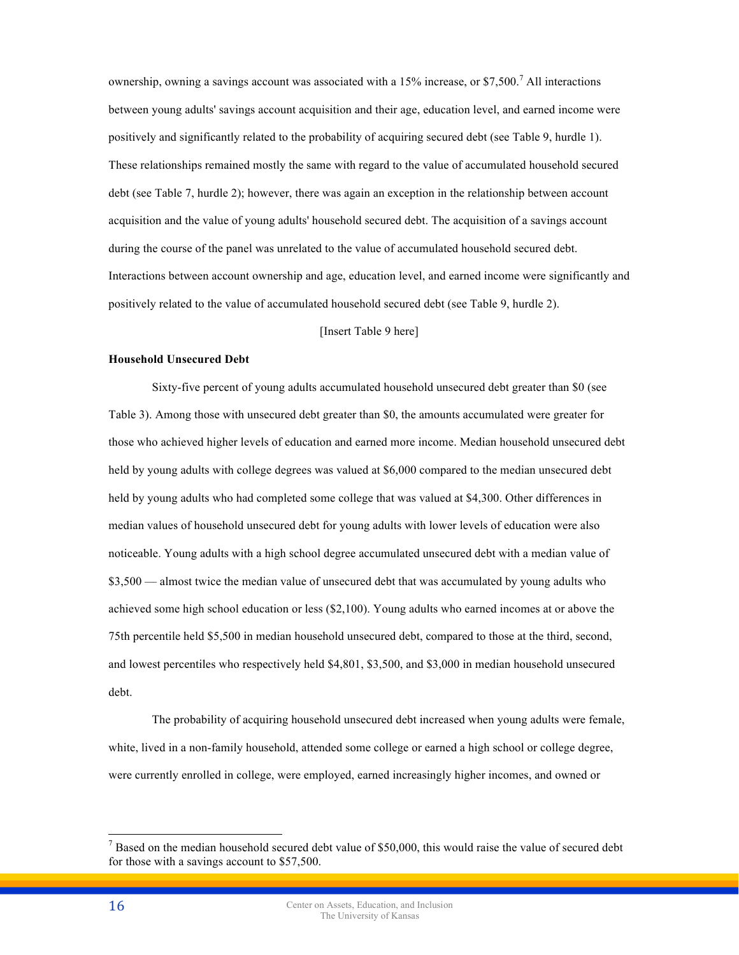ownership, owning a savings account was associated with a 15% increase, or \$7,500.<sup>7</sup> All interactions between young adults' savings account acquisition and their age, education level, and earned income were positively and significantly related to the probability of acquiring secured debt (see Table 9, hurdle 1). These relationships remained mostly the same with regard to the value of accumulated household secured debt (see Table 7, hurdle 2); however, there was again an exception in the relationship between account acquisition and the value of young adults' household secured debt. The acquisition of a savings account during the course of the panel was unrelated to the value of accumulated household secured debt. Interactions between account ownership and age, education level, and earned income were significantly and positively related to the value of accumulated household secured debt (see Table 9, hurdle 2).

# [Insert Table 9 here]

### **Household Unsecured Debt**

Sixty-five percent of young adults accumulated household unsecured debt greater than \$0 (see Table 3). Among those with unsecured debt greater than \$0, the amounts accumulated were greater for those who achieved higher levels of education and earned more income. Median household unsecured debt held by young adults with college degrees was valued at \$6,000 compared to the median unsecured debt held by young adults who had completed some college that was valued at \$4,300. Other differences in median values of household unsecured debt for young adults with lower levels of education were also noticeable. Young adults with a high school degree accumulated unsecured debt with a median value of \$3,500 — almost twice the median value of unsecured debt that was accumulated by young adults who achieved some high school education or less (\$2,100). Young adults who earned incomes at or above the 75th percentile held \$5,500 in median household unsecured debt, compared to those at the third, second, and lowest percentiles who respectively held \$4,801, \$3,500, and \$3,000 in median household unsecured debt.

The probability of acquiring household unsecured debt increased when young adults were female, white, lived in a non-family household, attended some college or earned a high school or college degree, were currently enrolled in college, were employed, earned increasingly higher incomes, and owned or

 $<sup>7</sup>$  Based on the median household secured debt value of \$50,000, this would raise the value of secured debt</sup> for those with a savings account to \$57,500.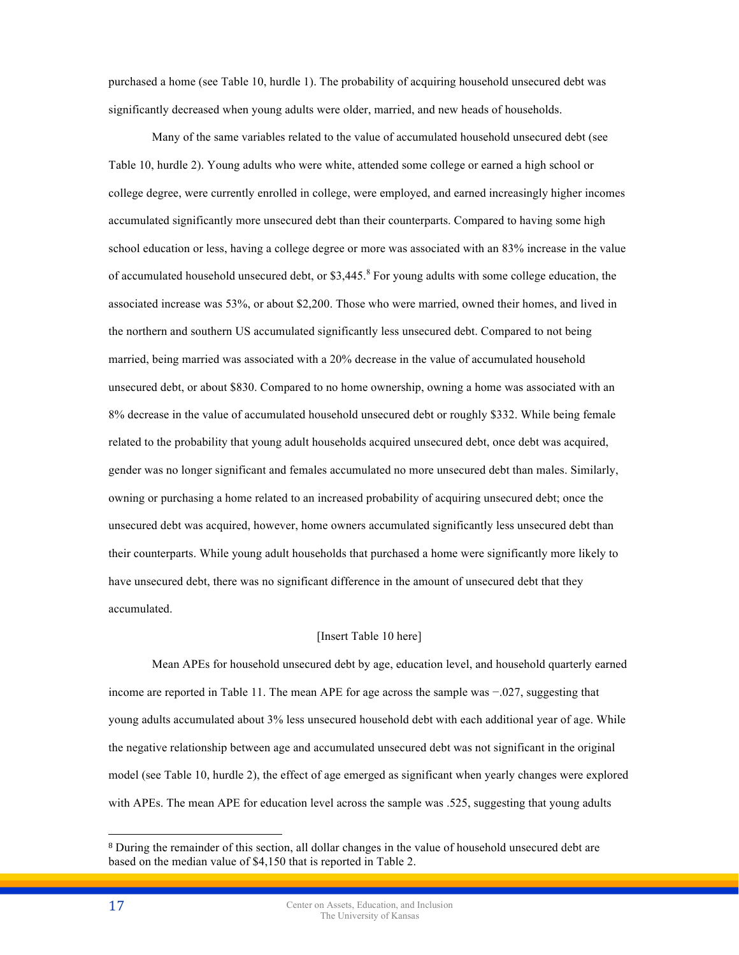purchased a home (see Table 10, hurdle 1). The probability of acquiring household unsecured debt was significantly decreased when young adults were older, married, and new heads of households.

Many of the same variables related to the value of accumulated household unsecured debt (see Table 10, hurdle 2). Young adults who were white, attended some college or earned a high school or college degree, were currently enrolled in college, were employed, and earned increasingly higher incomes accumulated significantly more unsecured debt than their counterparts. Compared to having some high school education or less, having a college degree or more was associated with an 83% increase in the value of accumulated household unsecured debt, or  $$3,445$ <sup>8</sup> For young adults with some college education, the associated increase was 53%, or about \$2,200. Those who were married, owned their homes, and lived in the northern and southern US accumulated significantly less unsecured debt. Compared to not being married, being married was associated with a 20% decrease in the value of accumulated household unsecured debt, or about \$830. Compared to no home ownership, owning a home was associated with an 8% decrease in the value of accumulated household unsecured debt or roughly \$332. While being female related to the probability that young adult households acquired unsecured debt, once debt was acquired, gender was no longer significant and females accumulated no more unsecured debt than males. Similarly, owning or purchasing a home related to an increased probability of acquiring unsecured debt; once the unsecured debt was acquired, however, home owners accumulated significantly less unsecured debt than their counterparts. While young adult households that purchased a home were significantly more likely to have unsecured debt, there was no significant difference in the amount of unsecured debt that they accumulated.

# [Insert Table 10 here]

Mean APEs for household unsecured debt by age, education level, and household quarterly earned income are reported in Table 11. The mean APE for age across the sample was −.027, suggesting that young adults accumulated about 3% less unsecured household debt with each additional year of age. While the negative relationship between age and accumulated unsecured debt was not significant in the original model (see Table 10, hurdle 2), the effect of age emerged as significant when yearly changes were explored with APEs. The mean APE for education level across the sample was .525, suggesting that young adults

 $\overline{a}$ 

<sup>8</sup> During the remainder of this section, all dollar changes in the value of household unsecured debt are based on the median value of \$4,150 that is reported in Table 2.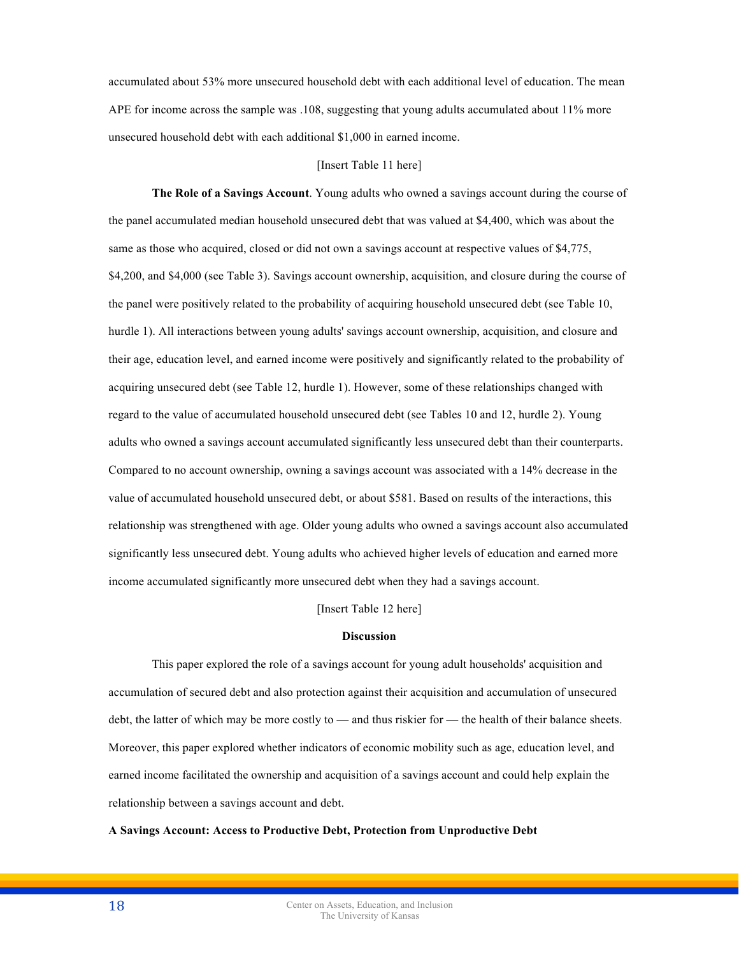accumulated about 53% more unsecured household debt with each additional level of education. The mean APE for income across the sample was .108, suggesting that young adults accumulated about 11% more unsecured household debt with each additional \$1,000 in earned income.

### [Insert Table 11 here]

**The Role of a Savings Account**. Young adults who owned a savings account during the course of the panel accumulated median household unsecured debt that was valued at \$4,400, which was about the same as those who acquired, closed or did not own a savings account at respective values of \$4,775, \$4,200, and \$4,000 (see Table 3). Savings account ownership, acquisition, and closure during the course of the panel were positively related to the probability of acquiring household unsecured debt (see Table 10, hurdle 1). All interactions between young adults' savings account ownership, acquisition, and closure and their age, education level, and earned income were positively and significantly related to the probability of acquiring unsecured debt (see Table 12, hurdle 1). However, some of these relationships changed with regard to the value of accumulated household unsecured debt (see Tables 10 and 12, hurdle 2). Young adults who owned a savings account accumulated significantly less unsecured debt than their counterparts. Compared to no account ownership, owning a savings account was associated with a 14% decrease in the value of accumulated household unsecured debt, or about \$581. Based on results of the interactions, this relationship was strengthened with age. Older young adults who owned a savings account also accumulated significantly less unsecured debt. Young adults who achieved higher levels of education and earned more income accumulated significantly more unsecured debt when they had a savings account.

[Insert Table 12 here]

### **Discussion**

This paper explored the role of a savings account for young adult households' acquisition and accumulation of secured debt and also protection against their acquisition and accumulation of unsecured debt, the latter of which may be more costly to — and thus riskier for — the health of their balance sheets. Moreover, this paper explored whether indicators of economic mobility such as age, education level, and earned income facilitated the ownership and acquisition of a savings account and could help explain the relationship between a savings account and debt.

**A Savings Account: Access to Productive Debt, Protection from Unproductive Debt**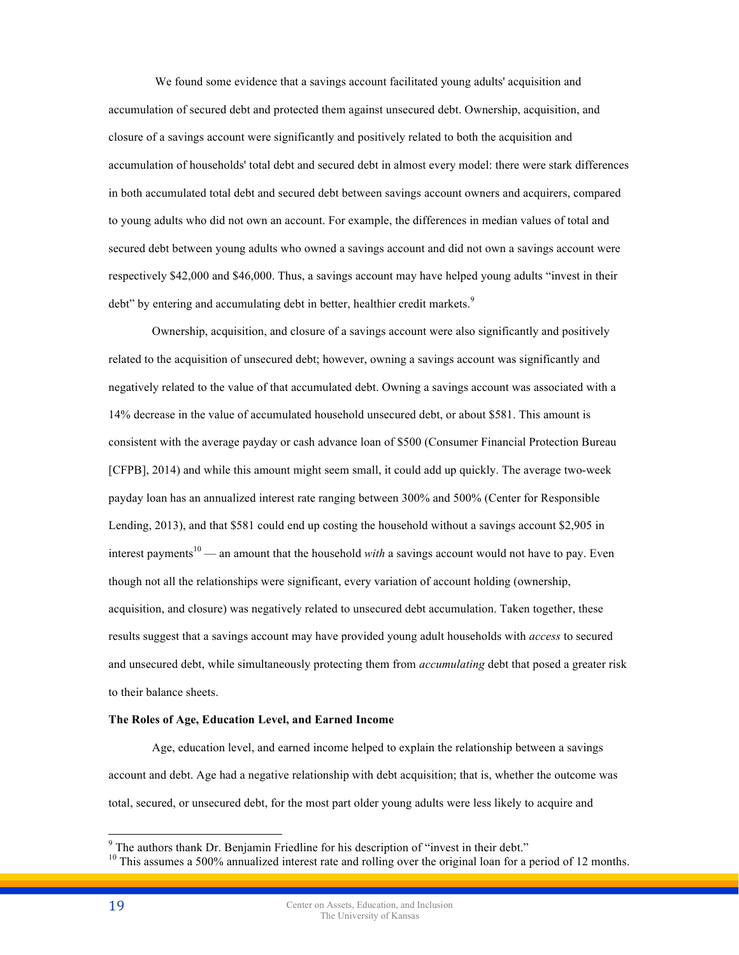We found some evidence that a savings account facilitated young adults' acquisition and accumulation of secured debt and protected them against unsecured debt. Ownership, acquisition, and closure of a savings account were significantly and positively related to both the acquisition and accumulation of households' total debt and secured debt in almost every model: there were stark differences in both accumulated total debt and secured debt between savings account owners and acquirers, compared to young adults who did not own an account. For example, the differences in median values of total and secured debt between young adults who owned a savings account and did not own a savings account were respectively \$42,000 and \$46,000. Thus, a savings account may have helped young adults "invest in their debt" by entering and accumulating debt in better, healthier credit markets.<sup>9</sup>

Ownership, acquisition, and closure of a savings account were also significantly and positively related to the acquisition of unsecured debt; however, owning a savings account was significantly and negatively related to the value of that accumulated debt. Owning a savings account was associated with a 14% decrease in the value of accumulated household unsecured debt, or about \$581. This amount is consistent with the average payday or cash advance loan of \$500 (Consumer Financial Protection Bureau [CFPB], 2014) and while this amount might seem small, it could add up quickly. The average two-week payday loan has an annualized interest rate ranging between 300% and 500% (Center for Responsible Lending, 2013), and that \$581 could end up costing the household without a savings account \$2,905 in interest payments<sup>10</sup> — an amount that the household *with* a saying account would not have to pay. Even though not all the relationships were significant, every variation of account holding (ownership, acquisition, and closure) was negatively related to unsecured debt accumulation. Taken together, these results suggest that a savings account may have provided young adult households with *access* to secured and unsecured debt, while simultaneously protecting them from *accumulating* debt that posed a greater risk to their balance sheets.

## **The Roles of Age, Education Level, and Earned Income**

Age, education level, and earned income helped to explain the relationship between a savings account and debt. Age had a negative relationship with debt acquisition; that is, whether the outcome was total, secured, or unsecured debt, for the most part older young adults were less likely to acquire and

<sup>&</sup>lt;sup>9</sup> The authors thank Dr. Benjamin Friedline for his description of "invest in their debt."<br><sup>10</sup> This assumes a 500% annualized interest rate and rolling over the original loan for a period of 12 months.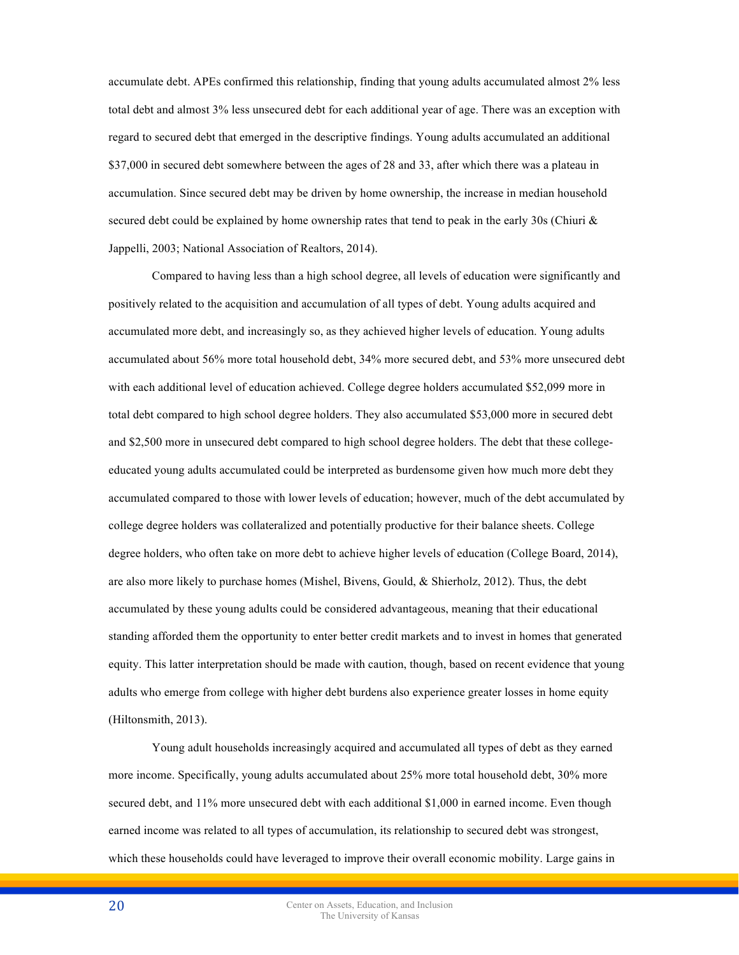accumulate debt. APEs confirmed this relationship, finding that young adults accumulated almost 2% less total debt and almost 3% less unsecured debt for each additional year of age. There was an exception with regard to secured debt that emerged in the descriptive findings. Young adults accumulated an additional \$37,000 in secured debt somewhere between the ages of 28 and 33, after which there was a plateau in accumulation. Since secured debt may be driven by home ownership, the increase in median household secured debt could be explained by home ownership rates that tend to peak in the early 30s (Chiuri  $\&$ Jappelli, 2003; National Association of Realtors, 2014).

Compared to having less than a high school degree, all levels of education were significantly and positively related to the acquisition and accumulation of all types of debt. Young adults acquired and accumulated more debt, and increasingly so, as they achieved higher levels of education. Young adults accumulated about 56% more total household debt, 34% more secured debt, and 53% more unsecured debt with each additional level of education achieved. College degree holders accumulated \$52,099 more in total debt compared to high school degree holders. They also accumulated \$53,000 more in secured debt and \$2,500 more in unsecured debt compared to high school degree holders. The debt that these collegeeducated young adults accumulated could be interpreted as burdensome given how much more debt they accumulated compared to those with lower levels of education; however, much of the debt accumulated by college degree holders was collateralized and potentially productive for their balance sheets. College degree holders, who often take on more debt to achieve higher levels of education (College Board, 2014), are also more likely to purchase homes (Mishel, Bivens, Gould, & Shierholz, 2012). Thus, the debt accumulated by these young adults could be considered advantageous, meaning that their educational standing afforded them the opportunity to enter better credit markets and to invest in homes that generated equity. This latter interpretation should be made with caution, though, based on recent evidence that young adults who emerge from college with higher debt burdens also experience greater losses in home equity (Hiltonsmith, 2013).

Young adult households increasingly acquired and accumulated all types of debt as they earned more income. Specifically, young adults accumulated about 25% more total household debt, 30% more secured debt, and 11% more unsecured debt with each additional \$1,000 in earned income. Even though earned income was related to all types of accumulation, its relationship to secured debt was strongest, which these households could have leveraged to improve their overall economic mobility. Large gains in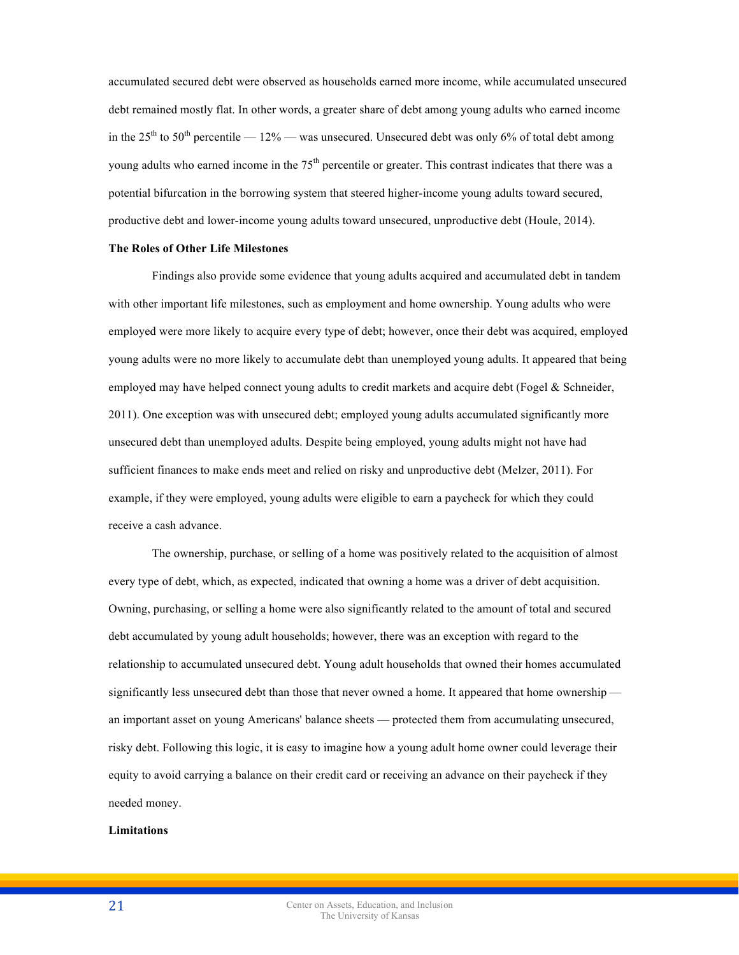accumulated secured debt were observed as households earned more income, while accumulated unsecured debt remained mostly flat. In other words, a greater share of debt among young adults who earned income in the  $25<sup>th</sup>$  to  $50<sup>th</sup>$  percentile —  $12\%$  — was unsecured. Unsecured debt was only 6% of total debt among young adults who earned income in the  $75<sup>th</sup>$  percentile or greater. This contrast indicates that there was a potential bifurcation in the borrowing system that steered higher-income young adults toward secured, productive debt and lower-income young adults toward unsecured, unproductive debt (Houle, 2014).

#### **The Roles of Other Life Milestones**

Findings also provide some evidence that young adults acquired and accumulated debt in tandem with other important life milestones, such as employment and home ownership. Young adults who were employed were more likely to acquire every type of debt; however, once their debt was acquired, employed young adults were no more likely to accumulate debt than unemployed young adults. It appeared that being employed may have helped connect young adults to credit markets and acquire debt (Fogel & Schneider, 2011). One exception was with unsecured debt; employed young adults accumulated significantly more unsecured debt than unemployed adults. Despite being employed, young adults might not have had sufficient finances to make ends meet and relied on risky and unproductive debt (Melzer, 2011). For example, if they were employed, young adults were eligible to earn a paycheck for which they could receive a cash advance.

The ownership, purchase, or selling of a home was positively related to the acquisition of almost every type of debt, which, as expected, indicated that owning a home was a driver of debt acquisition. Owning, purchasing, or selling a home were also significantly related to the amount of total and secured debt accumulated by young adult households; however, there was an exception with regard to the relationship to accumulated unsecured debt. Young adult households that owned their homes accumulated significantly less unsecured debt than those that never owned a home. It appeared that home ownership an important asset on young Americans' balance sheets — protected them from accumulating unsecured, risky debt. Following this logic, it is easy to imagine how a young adult home owner could leverage their equity to avoid carrying a balance on their credit card or receiving an advance on their paycheck if they needed money.

# **Limitations**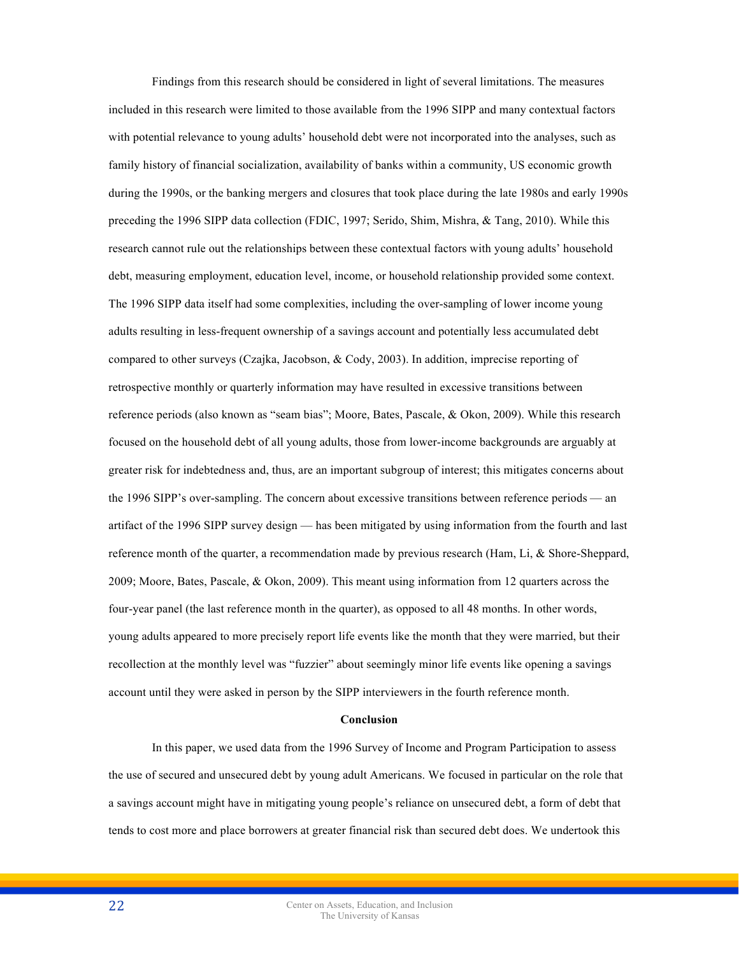Findings from this research should be considered in light of several limitations. The measures included in this research were limited to those available from the 1996 SIPP and many contextual factors with potential relevance to young adults' household debt were not incorporated into the analyses, such as family history of financial socialization, availability of banks within a community, US economic growth during the 1990s, or the banking mergers and closures that took place during the late 1980s and early 1990s preceding the 1996 SIPP data collection (FDIC, 1997; Serido, Shim, Mishra, & Tang, 2010). While this research cannot rule out the relationships between these contextual factors with young adults' household debt, measuring employment, education level, income, or household relationship provided some context. The 1996 SIPP data itself had some complexities, including the over-sampling of lower income young adults resulting in less-frequent ownership of a savings account and potentially less accumulated debt compared to other surveys (Czajka, Jacobson, & Cody, 2003). In addition, imprecise reporting of retrospective monthly or quarterly information may have resulted in excessive transitions between reference periods (also known as "seam bias"; Moore, Bates, Pascale, & Okon, 2009). While this research focused on the household debt of all young adults, those from lower-income backgrounds are arguably at greater risk for indebtedness and, thus, are an important subgroup of interest; this mitigates concerns about the 1996 SIPP's over-sampling. The concern about excessive transitions between reference periods — an artifact of the 1996 SIPP survey design — has been mitigated by using information from the fourth and last reference month of the quarter, a recommendation made by previous research (Ham, Li, & Shore-Sheppard, 2009; Moore, Bates, Pascale, & Okon, 2009). This meant using information from 12 quarters across the four-year panel (the last reference month in the quarter), as opposed to all 48 months. In other words, young adults appeared to more precisely report life events like the month that they were married, but their recollection at the monthly level was "fuzzier" about seemingly minor life events like opening a savings account until they were asked in person by the SIPP interviewers in the fourth reference month.

#### **Conclusion**

In this paper, we used data from the 1996 Survey of Income and Program Participation to assess the use of secured and unsecured debt by young adult Americans. We focused in particular on the role that a savings account might have in mitigating young people's reliance on unsecured debt, a form of debt that tends to cost more and place borrowers at greater financial risk than secured debt does. We undertook this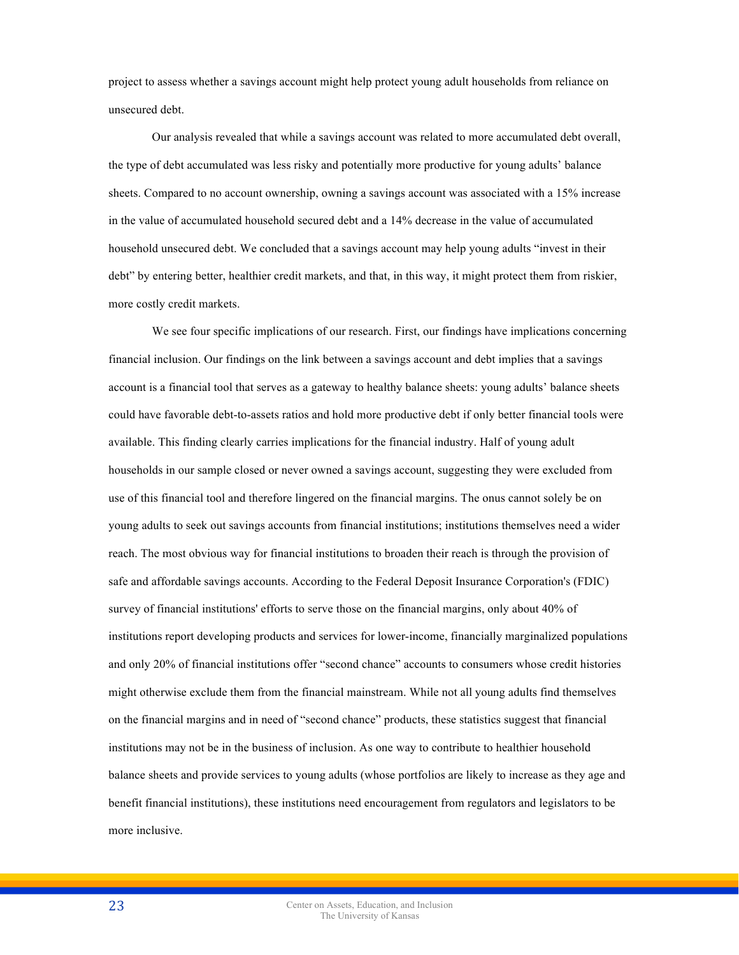project to assess whether a savings account might help protect young adult households from reliance on unsecured debt.

Our analysis revealed that while a savings account was related to more accumulated debt overall, the type of debt accumulated was less risky and potentially more productive for young adults' balance sheets. Compared to no account ownership, owning a savings account was associated with a 15% increase in the value of accumulated household secured debt and a 14% decrease in the value of accumulated household unsecured debt. We concluded that a savings account may help young adults "invest in their debt" by entering better, healthier credit markets, and that, in this way, it might protect them from riskier, more costly credit markets.

We see four specific implications of our research. First, our findings have implications concerning financial inclusion. Our findings on the link between a savings account and debt implies that a savings account is a financial tool that serves as a gateway to healthy balance sheets: young adults' balance sheets could have favorable debt-to-assets ratios and hold more productive debt if only better financial tools were available. This finding clearly carries implications for the financial industry. Half of young adult households in our sample closed or never owned a savings account, suggesting they were excluded from use of this financial tool and therefore lingered on the financial margins. The onus cannot solely be on young adults to seek out savings accounts from financial institutions; institutions themselves need a wider reach. The most obvious way for financial institutions to broaden their reach is through the provision of safe and affordable savings accounts. According to the Federal Deposit Insurance Corporation's (FDIC) survey of financial institutions' efforts to serve those on the financial margins, only about 40% of institutions report developing products and services for lower-income, financially marginalized populations and only 20% of financial institutions offer "second chance" accounts to consumers whose credit histories might otherwise exclude them from the financial mainstream. While not all young adults find themselves on the financial margins and in need of "second chance" products, these statistics suggest that financial institutions may not be in the business of inclusion. As one way to contribute to healthier household balance sheets and provide services to young adults (whose portfolios are likely to increase as they age and benefit financial institutions), these institutions need encouragement from regulators and legislators to be more inclusive.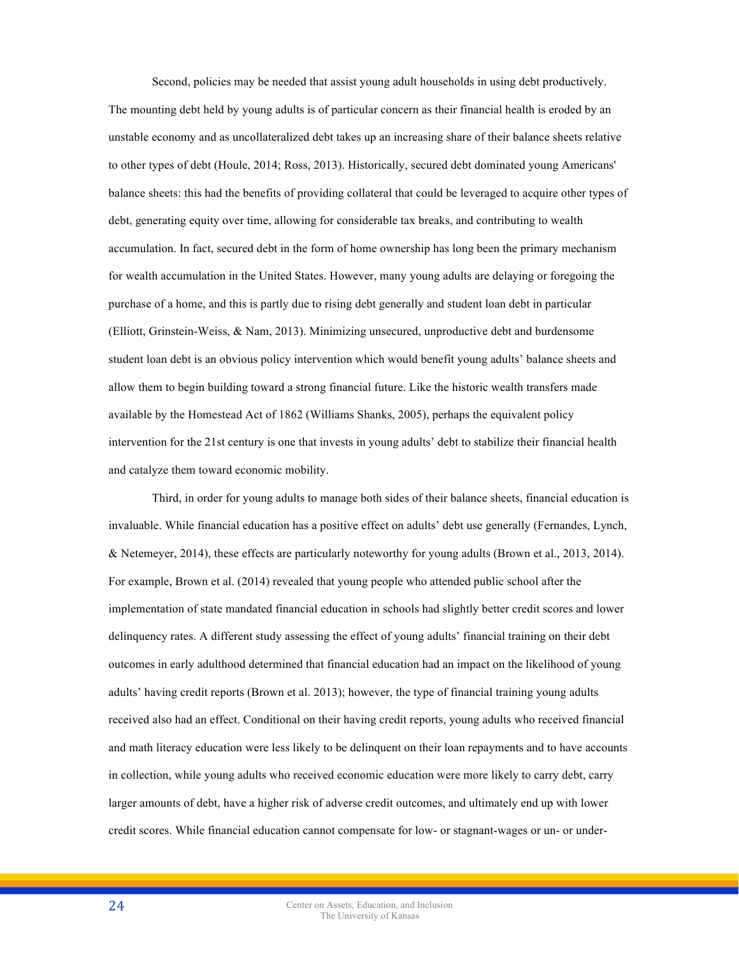Second, policies may be needed that assist young adult households in using debt productively.

The mounting debt held by young adults is of particular concern as their financial health is eroded by an unstable economy and as uncollateralized debt takes up an increasing share of their balance sheets relative to other types of debt (Houle, 2014; Ross, 2013). Historically, secured debt dominated young Americans' balance sheets: this had the benefits of providing collateral that could be leveraged to acquire other types of debt, generating equity over time, allowing for considerable tax breaks, and contributing to wealth accumulation. In fact, secured debt in the form of home ownership has long been the primary mechanism for wealth accumulation in the United States. However, many young adults are delaying or foregoing the purchase of a home, and this is partly due to rising debt generally and student loan debt in particular (Elliott, Grinstein-Weiss, & Nam, 2013). Minimizing unsecured, unproductive debt and burdensome student loan debt is an obvious policy intervention which would benefit young adults' balance sheets and allow them to begin building toward a strong financial future. Like the historic wealth transfers made available by the Homestead Act of 1862 (Williams Shanks, 2005), perhaps the equivalent policy intervention for the 21st century is one that invests in young adults' debt to stabilize their financial health and catalyze them toward economic mobility.

Third, in order for young adults to manage both sides of their balance sheets, financial education is invaluable. While financial education has a positive effect on adults' debt use generally (Fernandes, Lynch, & Netemeyer, 2014), these effects are particularly noteworthy for young adults (Brown et al., 2013, 2014). For example, Brown et al. (2014) revealed that young people who attended public school after the implementation of state mandated financial education in schools had slightly better credit scores and lower delinquency rates. A different study assessing the effect of young adults' financial training on their debt outcomes in early adulthood determined that financial education had an impact on the likelihood of young adults' having credit reports (Brown et al. 2013); however, the type of financial training young adults received also had an effect. Conditional on their having credit reports, young adults who received financial and math literacy education were less likely to be delinquent on their loan repayments and to have accounts in collection, while young adults who received economic education were more likely to carry debt, carry larger amounts of debt, have a higher risk of adverse credit outcomes, and ultimately end up with lower credit scores. While financial education cannot compensate for low- or stagnant-wages or un- or under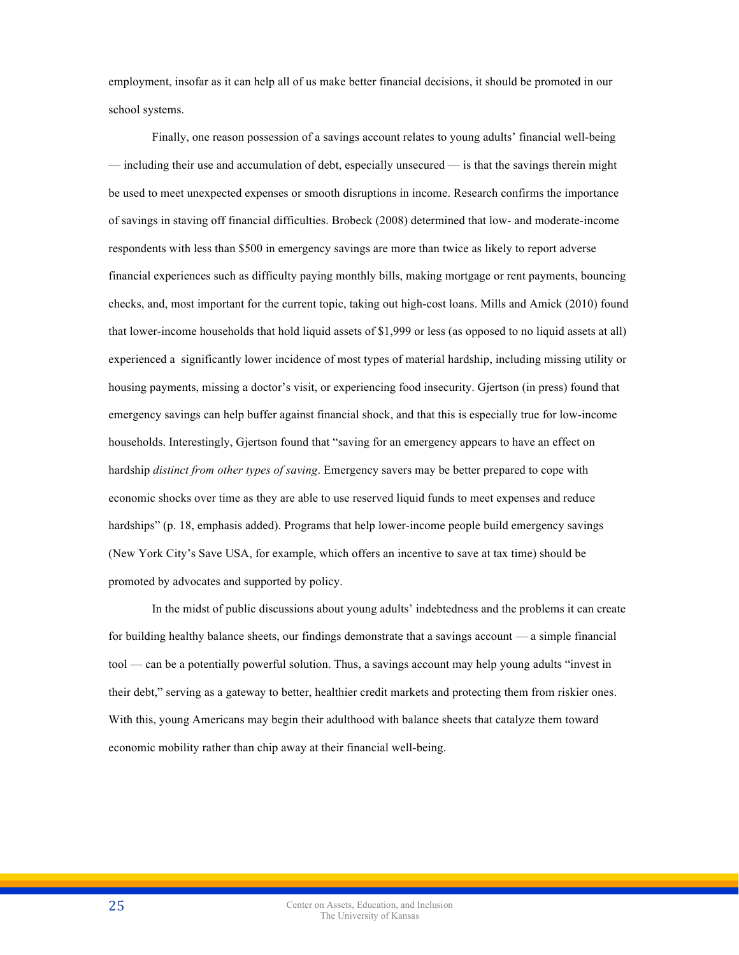employment, insofar as it can help all of us make better financial decisions, it should be promoted in our school systems.

Finally, one reason possession of a savings account relates to young adults' financial well-being — including their use and accumulation of debt, especially unsecured — is that the savings therein might be used to meet unexpected expenses or smooth disruptions in income. Research confirms the importance of savings in staving off financial difficulties. Brobeck (2008) determined that low- and moderate-income respondents with less than \$500 in emergency savings are more than twice as likely to report adverse financial experiences such as difficulty paying monthly bills, making mortgage or rent payments, bouncing checks, and, most important for the current topic, taking out high-cost loans. Mills and Amick (2010) found that lower-income households that hold liquid assets of \$1,999 or less (as opposed to no liquid assets at all) experienced a significantly lower incidence of most types of material hardship, including missing utility or housing payments, missing a doctor's visit, or experiencing food insecurity. Gjertson (in press) found that emergency savings can help buffer against financial shock, and that this is especially true for low-income households. Interestingly, Gjertson found that "saving for an emergency appears to have an effect on hardship *distinct from other types of saving*. Emergency savers may be better prepared to cope with economic shocks over time as they are able to use reserved liquid funds to meet expenses and reduce hardships" (p. 18, emphasis added). Programs that help lower-income people build emergency savings (New York City's Save USA, for example, which offers an incentive to save at tax time) should be promoted by advocates and supported by policy.

In the midst of public discussions about young adults' indebtedness and the problems it can create for building healthy balance sheets, our findings demonstrate that a savings account — a simple financial tool — can be a potentially powerful solution. Thus, a savings account may help young adults "invest in their debt," serving as a gateway to better, healthier credit markets and protecting them from riskier ones. With this, young Americans may begin their adulthood with balance sheets that catalyze them toward economic mobility rather than chip away at their financial well-being.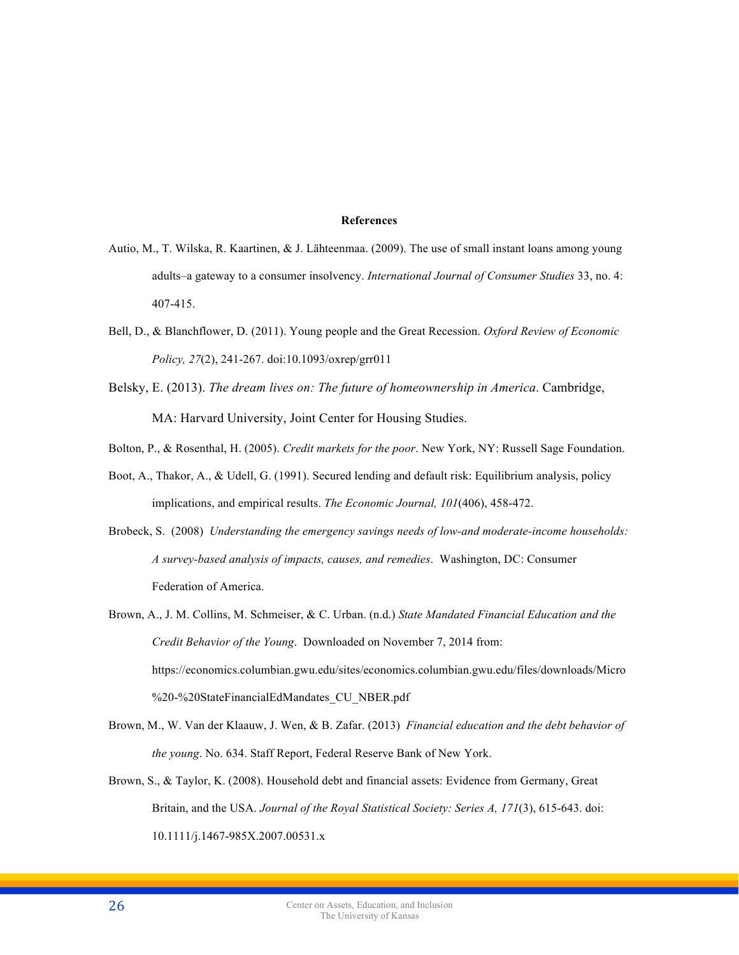# **References**

- Autio, M., T. Wilska, R. Kaartinen, & J. Lähteenmaa. (2009). The use of small instant loans among young adults–a gateway to a consumer insolvency. *International Journal of Consumer Studies* 33, no. 4: 407-415.
- Bell, D., & Blanchflower, D. (2011). Young people and the Great Recession. *Oxford Review of Economic Policy, 27*(2), 241-267. doi:10.1093/oxrep/grr011
- Belsky, E. (2013). *The dream lives on: The future of homeownership in America*. Cambridge, MA: Harvard University, Joint Center for Housing Studies.
- Bolton, P., & Rosenthal, H. (2005). *Credit markets for the poor*. New York, NY: Russell Sage Foundation.
- Boot, A., Thakor, A., & Udell, G. (1991). Secured lending and default risk: Equilibrium analysis, policy implications, and empirical results. *The Economic Journal, 101*(406), 458-472.
- Brobeck, S. (2008) *Understanding the emergency savings needs of low-and moderate-income households: A survey-based analysis of impacts, causes, and remedies*. Washington, DC: Consumer Federation of America.
- Brown, A., J. M. Collins, M. Schmeiser, & C. Urban. (n.d.) *State Mandated Financial Education and the Credit Behavior of the Young*. Downloaded on November 7, 2014 from: https://economics.columbian.gwu.edu/sites/economics.columbian.gwu.edu/files/downloads/Micro %20-%20StateFinancialEdMandates\_CU\_NBER.pdf
- Brown, M., W. Van der Klaauw, J. Wen, & B. Zafar. (2013) *Financial education and the debt behavior of the young*. No. 634. Staff Report, Federal Reserve Bank of New York.
- Brown, S., & Taylor, K. (2008). Household debt and financial assets: Evidence from Germany, Great Britain, and the USA. *Journal of the Royal Statistical Society: Series A, 171*(3), 615-643. doi: 10.1111/j.1467-985X.2007.00531.x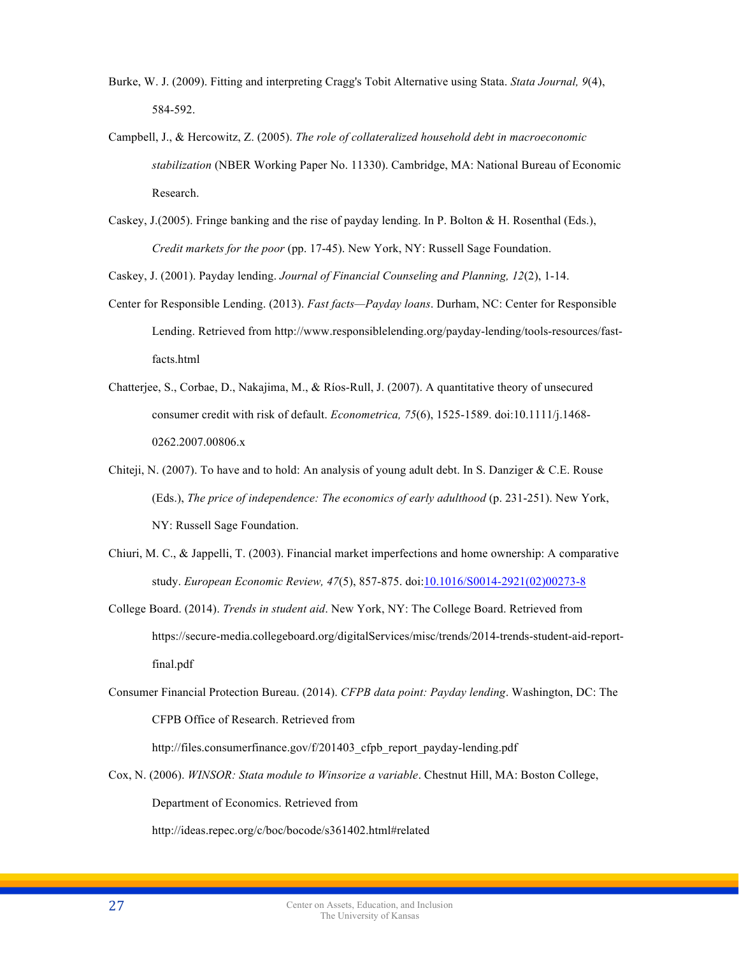- Burke, W. J. (2009). Fitting and interpreting Cragg's Tobit Alternative using Stata. *Stata Journal, 9*(4), 584-592.
- Campbell, J., & Hercowitz, Z. (2005). *The role of collateralized household debt in macroeconomic stabilization* (NBER Working Paper No. 11330). Cambridge, MA: National Bureau of Economic Research.
- Caskey, J.(2005). Fringe banking and the rise of payday lending. In P. Bolton & H. Rosenthal (Eds.), *Credit markets for the poor* (pp. 17-45). New York, NY: Russell Sage Foundation.

Caskey, J. (2001). Payday lending. *Journal of Financial Counseling and Planning, 12*(2), 1-14.

- Center for Responsible Lending. (2013). *Fast facts—Payday loans*. Durham, NC: Center for Responsible Lending. Retrieved from http://www.responsiblelending.org/payday-lending/tools-resources/fastfacts.html
- Chatterjee, S., Corbae, D., Nakajima, M., & Ríos-Rull, J. (2007). A quantitative theory of unsecured consumer credit with risk of default. *Econometrica, 75*(6), 1525-1589. doi:10.1111/j.1468- 0262.2007.00806.x
- Chiteji, N. (2007). To have and to hold: An analysis of young adult debt. In S. Danziger & C.E. Rouse (Eds.), *The price of independence: The economics of early adulthood* (p. 231-251). New York, NY: Russell Sage Foundation.
- Chiuri, M. C., & Jappelli, T. (2003). Financial market imperfections and home ownership: A comparative study. *European Economic Review, 47*(5), 857-875. doi:10.1016/S0014-2921(02)00273-8
- College Board. (2014). *Trends in student aid*. New York, NY: The College Board. Retrieved from https://secure-media.collegeboard.org/digitalServices/misc/trends/2014-trends-student-aid-reportfinal.pdf
- Consumer Financial Protection Bureau. (2014). *CFPB data point: Payday lending*. Washington, DC: The CFPB Office of Research. Retrieved from

http://files.consumerfinance.gov/f/201403 cfpb report payday-lending.pdf

Cox, N. (2006). *WINSOR: Stata module to Winsorize a variable*. Chestnut Hill, MA: Boston College, Department of Economics. Retrieved from

http://ideas.repec.org/c/boc/bocode/s361402.html#related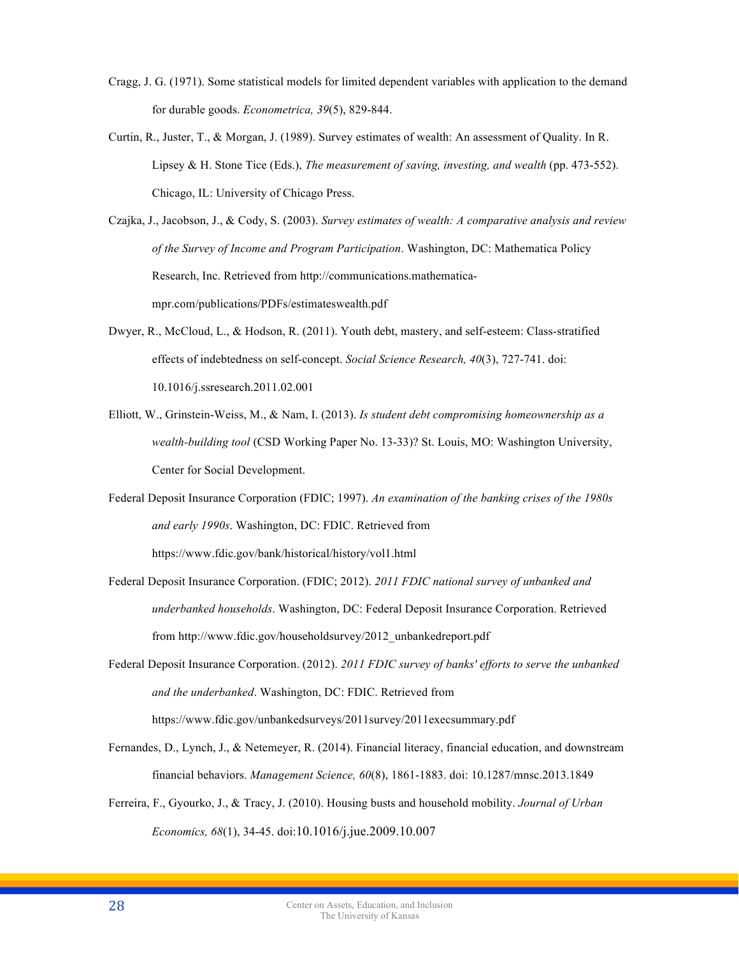- Cragg, J. G. (1971). Some statistical models for limited dependent variables with application to the demand for durable goods. *Econometrica, 39*(5), 829-844.
- Curtin, R., Juster, T., & Morgan, J. (1989). Survey estimates of wealth: An assessment of Quality. In R. Lipsey & H. Stone Tice (Eds.), *The measurement of saving, investing, and wealth* (pp. 473-552). Chicago, IL: University of Chicago Press.
- Czajka, J., Jacobson, J., & Cody, S. (2003). *Survey estimates of wealth: A comparative analysis and review of the Survey of Income and Program Participation*. Washington, DC: Mathematica Policy Research, Inc. Retrieved from http://communications.mathematicampr.com/publications/PDFs/estimateswealth.pdf
- Dwyer, R., McCloud, L., & Hodson, R. (2011). Youth debt, mastery, and self-esteem: Class-stratified effects of indebtedness on self-concept. *Social Science Research, 40*(3), 727-741. doi: 10.1016/j.ssresearch.2011.02.001
- Elliott, W., Grinstein-Weiss, M., & Nam, I. (2013). *Is student debt compromising homeownership as a wealth-building tool* (CSD Working Paper No. 13-33)? St. Louis, MO: Washington University, Center for Social Development.
- Federal Deposit Insurance Corporation (FDIC; 1997). *An examination of the banking crises of the 1980s and early 1990s*. Washington, DC: FDIC. Retrieved from https://www.fdic.gov/bank/historical/history/vol1.html
- Federal Deposit Insurance Corporation. (FDIC; 2012). *2011 FDIC national survey of unbanked and underbanked households*. Washington, DC: Federal Deposit Insurance Corporation. Retrieved from http://www.fdic.gov/householdsurvey/2012\_unbankedreport.pdf
- Federal Deposit Insurance Corporation. (2012). *2011 FDIC survey of banks' efforts to serve the unbanked and the underbanked*. Washington, DC: FDIC. Retrieved from https://www.fdic.gov/unbankedsurveys/2011survey/2011execsummary.pdf
- Fernandes, D., Lynch, J., & Netemeyer, R. (2014). Financial literacy, financial education, and downstream financial behaviors. *Management Science, 60*(8), 1861-1883. doi: 10.1287/mnsc.2013.1849
- Ferreira, F., Gyourko, J., & Tracy, J. (2010). Housing busts and household mobility. *Journal of Urban Economics, 68*(1), 34-45. doi:10.1016/j.jue.2009.10.007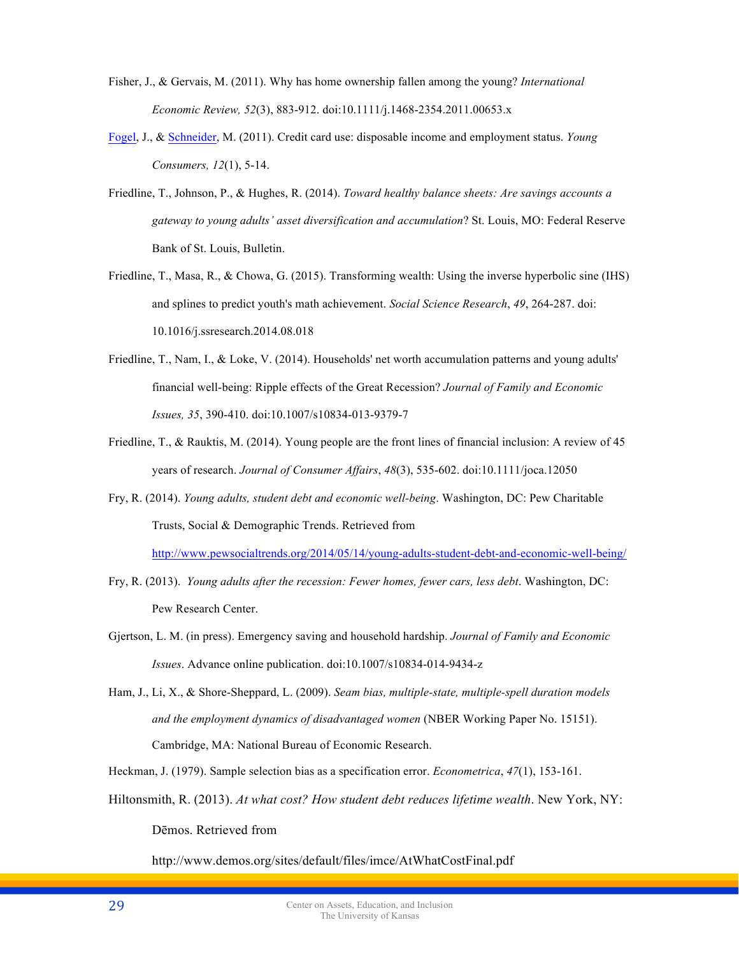- Fisher, J., & Gervais, M. (2011). Why has home ownership fallen among the young? *International Economic Review, 52*(3), 883-912. doi:10.1111/j.1468-2354.2011.00653.x
- Fogel, J., & Schneider, M. (2011). Credit card use: disposable income and employment status. *Young Consumers, 12*(1), 5-14.
- Friedline, T., Johnson, P., & Hughes, R. (2014). *Toward healthy balance sheets: Are savings accounts a gateway to young adults' asset diversification and accumulation*? St. Louis, MO: Federal Reserve Bank of St. Louis, Bulletin.
- Friedline, T., Masa, R., & Chowa, G. (2015). Transforming wealth: Using the inverse hyperbolic sine (IHS) and splines to predict youth's math achievement. *Social Science Research*, *49*, 264-287. doi: 10.1016/j.ssresearch.2014.08.018
- Friedline, T., Nam, I., & Loke, V. (2014). Households' net worth accumulation patterns and young adults' financial well-being: Ripple effects of the Great Recession? *Journal of Family and Economic Issues, 35*, 390-410. doi:10.1007/s10834-013-9379-7
- Friedline, T., & Rauktis, M. (2014). Young people are the front lines of financial inclusion: A review of 45 years of research. *Journal of Consumer Affairs*, *48*(3), 535-602. doi:10.1111/joca.12050
- Fry, R. (2014). *Young adults, student debt and economic well-being*. Washington, DC: Pew Charitable Trusts, Social & Demographic Trends. Retrieved from

http://www.pewsocialtrends.org/2014/05/14/young-adults-student-debt-and-economic-well-being/

- Fry, R. (2013). *Young adults after the recession: Fewer homes, fewer cars, less debt*. Washington, DC: Pew Research Center.
- Gjertson, L. M. (in press). Emergency saving and household hardship. *Journal of Family and Economic Issues*. Advance online publication. doi:10.1007/s10834-014-9434-z
- Ham, J., Li, X., & Shore-Sheppard, L. (2009). *Seam bias, multiple-state, multiple-spell duration models and the employment dynamics of disadvantaged women* (NBER Working Paper No. 15151). Cambridge, MA: National Bureau of Economic Research.
- Heckman, J. (1979). Sample selection bias as a specification error. *Econometrica*, *47*(1), 153-161.
- Hiltonsmith, R. (2013). *At what cost? How student debt reduces lifetime wealth*. New York, NY: Dēmos. Retrieved from

http://www.demos.org/sites/default/files/imce/AtWhatCostFinal.pdf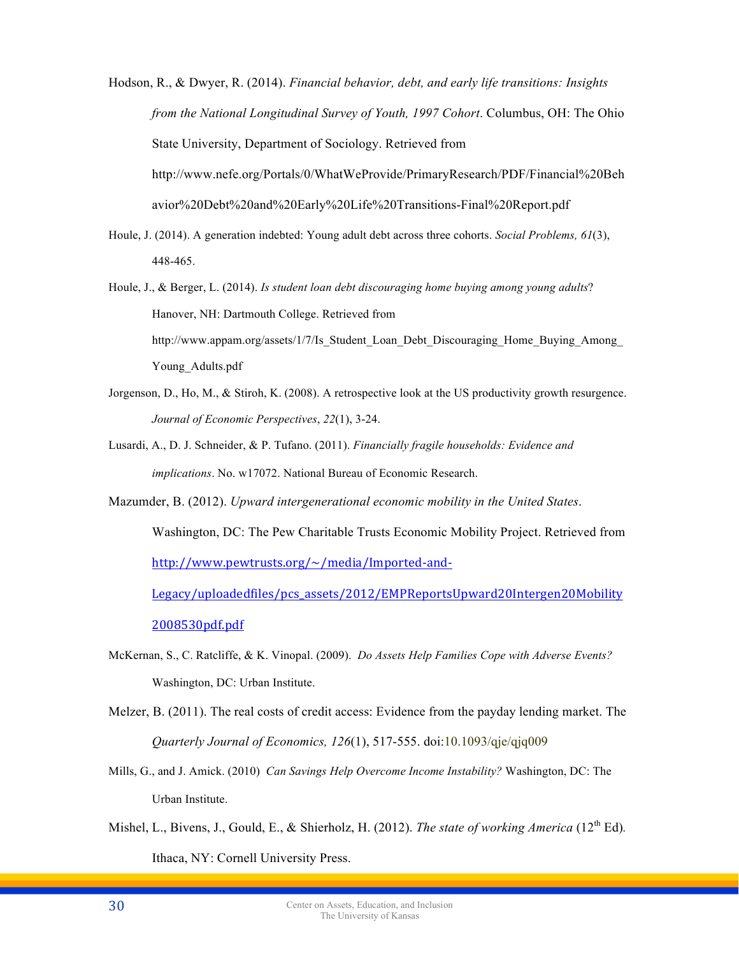Hodson, R., & Dwyer, R. (2014). *Financial behavior, debt, and early life transitions: Insights from the National Longitudinal Survey of Youth, 1997 Cohort*. Columbus, OH: The Ohio State University, Department of Sociology. Retrieved from http://www.nefe.org/Portals/0/WhatWeProvide/PrimaryResearch/PDF/Financial%20Beh avior%20Debt%20and%20Early%20Life%20Transitions-Final%20Report.pdf

- Houle, J. (2014). A generation indebted: Young adult debt across three cohorts. *Social Problems, 61*(3), 448-465.
- Houle, J., & Berger, L. (2014). *Is student loan debt discouraging home buying among young adults*? Hanover, NH: Dartmouth College. Retrieved from http://www.appam.org/assets/1/7/Is\_Student\_Loan\_Debt\_Discouraging\_Home\_Buying\_Among Young Adults.pdf
- Jorgenson, D., Ho, M., & Stiroh, K. (2008). A retrospective look at the US productivity growth resurgence. *Journal of Economic Perspectives*, *22*(1), 3-24.
- Lusardi, A., D. J. Schneider, & P. Tufano. (2011). *Financially fragile households: Evidence and implications*. No. w17072. National Bureau of Economic Research.
- Mazumder, B. (2012). *Upward intergenerational economic mobility in the United States*. Washington, DC: The Pew Charitable Trusts Economic Mobility Project. Retrieved from http://www.pewtrusts.org/~/media/Imported-and-Legacy/uploadedfiles/pcs\_assets/2012/EMPReportsUpward20Intergen20Mobility 2008530pdf.pdf
- McKernan, S., C. Ratcliffe, & K. Vinopal. (2009). *Do Assets Help Families Cope with Adverse Events?*  Washington, DC: Urban Institute.
- Melzer, B. (2011). The real costs of credit access: Evidence from the payday lending market. The *Quarterly Journal of Economics, 126*(1), 517-555. doi:10.1093/qje/qjq009
- Mills, G., and J. Amick. (2010) *Can Savings Help Overcome Income Instability?* Washington, DC: The Urban Institute.
- Mishel, L., Bivens, J., Gould, E., & Shierholz, H. (2012). *The state of working America* (12<sup>th</sup> Ed). Ithaca, NY: Cornell University Press.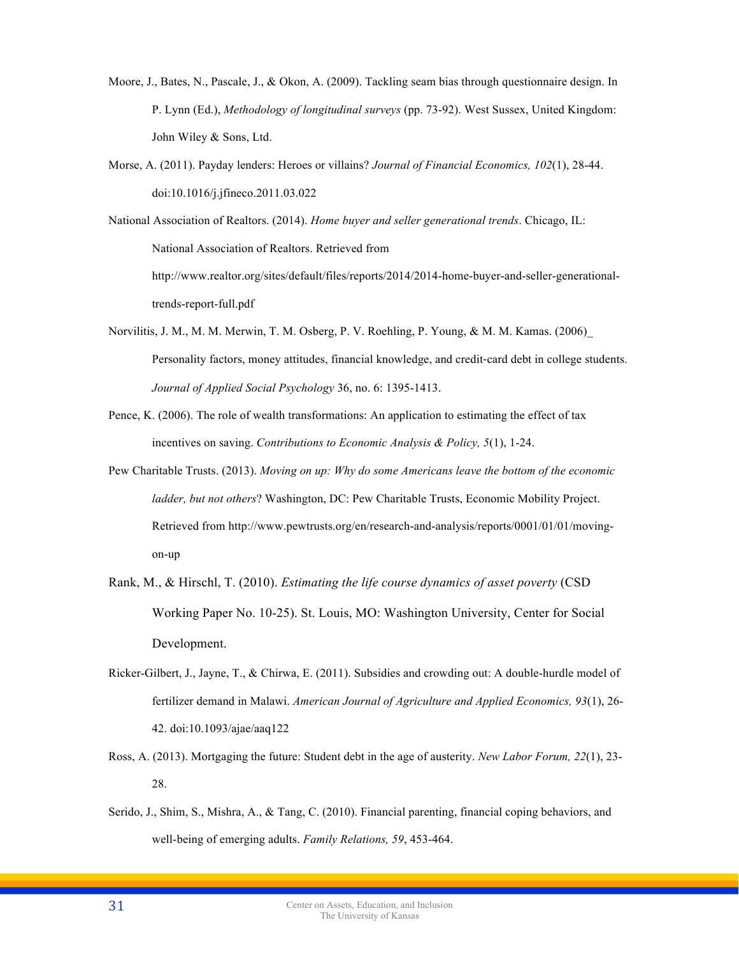- Moore, J., Bates, N., Pascale, J., & Okon, A. (2009). Tackling seam bias through questionnaire design. In P. Lynn (Ed.), *Methodology of longitudinal surveys* (pp. 73-92). West Sussex, United Kingdom: John Wiley & Sons, Ltd.
- Morse, A. (2011). Payday lenders: Heroes or villains? *Journal of Financial Economics, 102*(1), 28-44. doi:10.1016/j.jfineco.2011.03.022

National Association of Realtors. (2014). *Home buyer and seller generational trends*. Chicago, IL: National Association of Realtors. Retrieved from http://www.realtor.org/sites/default/files/reports/2014/2014-home-buyer-and-seller-generationaltrends-report-full.pdf

- Norvilitis, J. M., M. M. Merwin, T. M. Osberg, P. V. Roehling, P. Young, & M. M. Kamas. (2006)\_ Personality factors, money attitudes, financial knowledge, and credit-card debt in college students. *Journal of Applied Social Psychology* 36, no. 6: 1395-1413.
- Pence, K. (2006). The role of wealth transformations: An application to estimating the effect of tax incentives on saving. *Contributions to Economic Analysis & Policy, 5*(1), 1-24.
- Pew Charitable Trusts. (2013). *Moving on up: Why do some Americans leave the bottom of the economic ladder, but not others*? Washington, DC: Pew Charitable Trusts, Economic Mobility Project. Retrieved from http://www.pewtrusts.org/en/research-and-analysis/reports/0001/01/01/movingon-up
- Rank, M., & Hirschl, T. (2010). *Estimating the life course dynamics of asset poverty* (CSD Working Paper No. 10-25). St. Louis, MO: Washington University, Center for Social Development.
- Ricker-Gilbert, J., Jayne, T., & Chirwa, E. (2011). Subsidies and crowding out: A double-hurdle model of fertilizer demand in Malawi. *American Journal of Agriculture and Applied Economics, 93*(1), 26- 42. doi:10.1093/ajae/aaq122
- Ross, A. (2013). Mortgaging the future: Student debt in the age of austerity. *New Labor Forum, 22*(1), 23- 28.
- Serido, J., Shim, S., Mishra, A., & Tang, C. (2010). Financial parenting, financial coping behaviors, and well-being of emerging adults. *Family Relations, 59*, 453-464.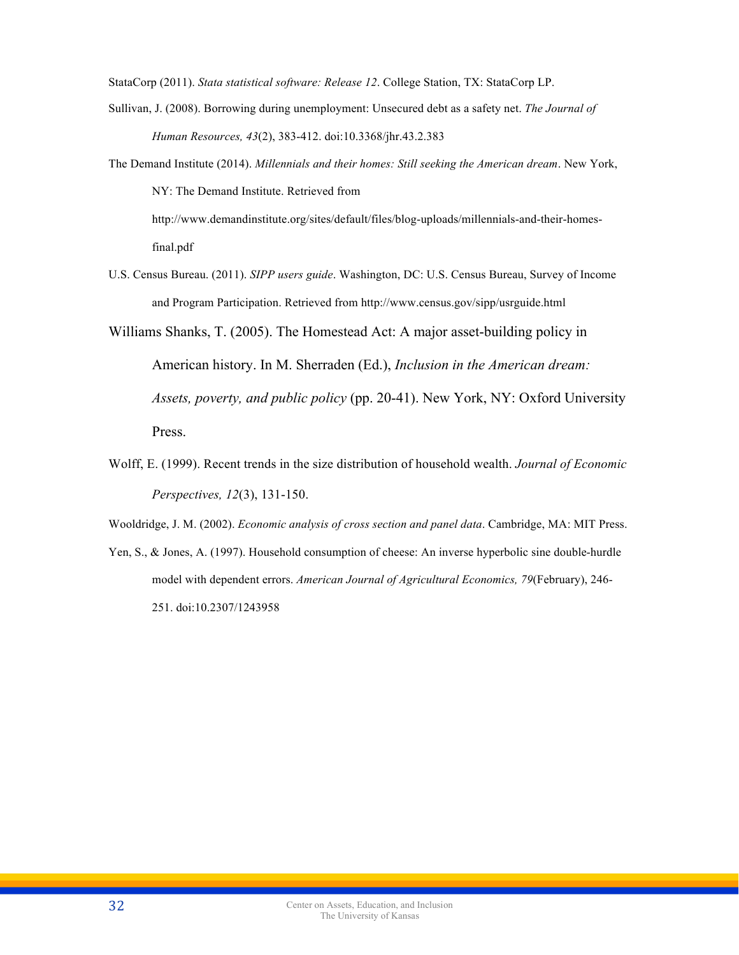StataCorp (2011). *Stata statistical software: Release 12*. College Station, TX: StataCorp LP.

- Sullivan, J. (2008). Borrowing during unemployment: Unsecured debt as a safety net. *The Journal of Human Resources, 43*(2), 383-412. doi:10.3368/jhr.43.2.383
- The Demand Institute (2014). *Millennials and their homes: Still seeking the American dream*. New York, NY: The Demand Institute. Retrieved from

http://www.demandinstitute.org/sites/default/files/blog-uploads/millennials-and-their-homesfinal.pdf

- U.S. Census Bureau. (2011). *SIPP users guide*. Washington, DC: U.S. Census Bureau, Survey of Income and Program Participation. Retrieved from http://www.census.gov/sipp/usrguide.html
- Williams Shanks, T. (2005). The Homestead Act: A major asset-building policy in American history. In M. Sherraden (Ed.), *Inclusion in the American dream: Assets, poverty, and public policy* (pp. 20-41). New York, NY: Oxford University Press.
- Wolff, E. (1999). Recent trends in the size distribution of household wealth. *Journal of Economic Perspectives, 12*(3), 131-150.

Wooldridge, J. M. (2002). *Economic analysis of cross section and panel data*. Cambridge, MA: MIT Press.

Yen, S., & Jones, A. (1997). Household consumption of cheese: An inverse hyperbolic sine double-hurdle model with dependent errors. *American Journal of Agricultural Economics, 79*(February), 246- 251. doi:10.2307/1243958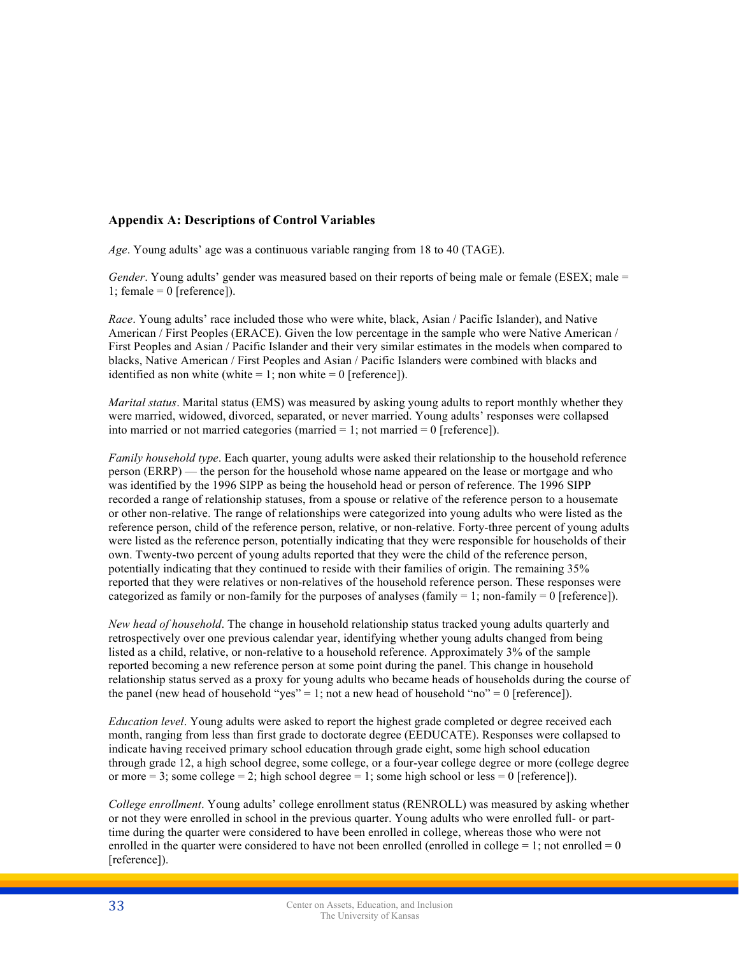# **Appendix A: Descriptions of Control Variables**

*Age*. Young adults' age was a continuous variable ranging from 18 to 40 (TAGE).

*Gender*. Young adults' gender was measured based on their reports of being male or female (ESEX; male = 1; female =  $0$  [reference]).

*Race*. Young adults' race included those who were white, black, Asian / Pacific Islander), and Native American / First Peoples (ERACE). Given the low percentage in the sample who were Native American / First Peoples and Asian / Pacific Islander and their very similar estimates in the models when compared to blacks, Native American / First Peoples and Asian / Pacific Islanders were combined with blacks and identified as non white (white  $= 1$ ; non white  $= 0$  [reference]).

*Marital status*. Marital status (EMS) was measured by asking young adults to report monthly whether they were married, widowed, divorced, separated, or never married. Young adults' responses were collapsed into married or not married categories (married  $= 1$ ; not married  $= 0$  [reference]).

*Family household type*. Each quarter, young adults were asked their relationship to the household reference person (ERRP) — the person for the household whose name appeared on the lease or mortgage and who was identified by the 1996 SIPP as being the household head or person of reference. The 1996 SIPP recorded a range of relationship statuses, from a spouse or relative of the reference person to a housemate or other non-relative. The range of relationships were categorized into young adults who were listed as the reference person, child of the reference person, relative, or non-relative. Forty-three percent of young adults were listed as the reference person, potentially indicating that they were responsible for households of their own. Twenty-two percent of young adults reported that they were the child of the reference person, potentially indicating that they continued to reside with their families of origin. The remaining 35% reported that they were relatives or non-relatives of the household reference person. These responses were categorized as family or non-family for the purposes of analyses (family = 1; non-family = 0 [reference]).

*New head of household*. The change in household relationship status tracked young adults quarterly and retrospectively over one previous calendar year, identifying whether young adults changed from being listed as a child, relative, or non-relative to a household reference. Approximately 3% of the sample reported becoming a new reference person at some point during the panel. This change in household relationship status served as a proxy for young adults who became heads of households during the course of the panel (new head of household "yes" = 1; not a new head of household "no" = 0 [reference]).

*Education level*. Young adults were asked to report the highest grade completed or degree received each month, ranging from less than first grade to doctorate degree (EEDUCATE). Responses were collapsed to indicate having received primary school education through grade eight, some high school education through grade 12, a high school degree, some college, or a four-year college degree or more (college degree or more  $= 3$ ; some college  $= 2$ ; high school degree  $= 1$ ; some high school or less  $= 0$  [reference]).

*College enrollment*. Young adults' college enrollment status (RENROLL) was measured by asking whether or not they were enrolled in school in the previous quarter. Young adults who were enrolled full- or parttime during the quarter were considered to have been enrolled in college, whereas those who were not enrolled in the quarter were considered to have not been enrolled (enrolled in college  $= 1$ ; not enrolled  $= 0$ [reference]).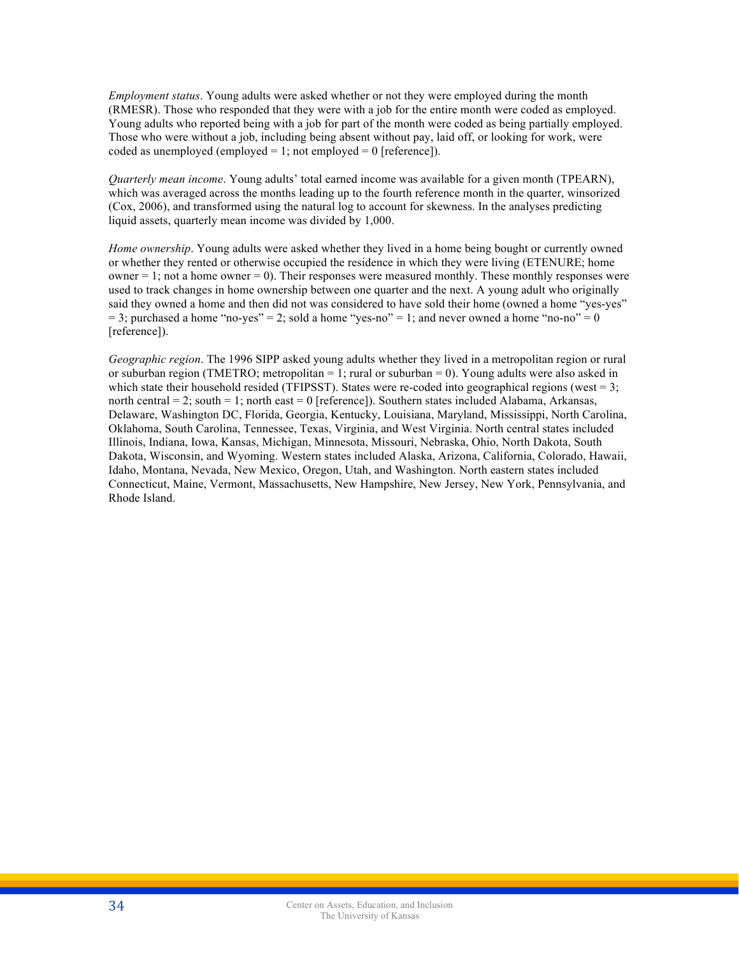*Employment status*. Young adults were asked whether or not they were employed during the month (RMESR). Those who responded that they were with a job for the entire month were coded as employed. Young adults who reported being with a job for part of the month were coded as being partially employed. Those who were without a job, including being absent without pay, laid off, or looking for work, were coded as unemployed (employed  $= 1$ ; not employed  $= 0$  [reference]).

*Quarterly mean income*. Young adults' total earned income was available for a given month (TPEARN), which was averaged across the months leading up to the fourth reference month in the quarter, winsorized (Cox, 2006), and transformed using the natural log to account for skewness. In the analyses predicting liquid assets, quarterly mean income was divided by 1,000.

*Home ownership*. Young adults were asked whether they lived in a home being bought or currently owned or whether they rented or otherwise occupied the residence in which they were living (ETENURE; home owner  $= 1$ ; not a home owner  $= 0$ ). Their responses were measured monthly. These monthly responses were used to track changes in home ownership between one quarter and the next. A young adult who originally said they owned a home and then did not was considered to have sold their home (owned a home "yes-yes"  $= 3$ ; purchased a home "no-yes" = 2; sold a home "yes-no" = 1; and never owned a home "no-no" = 0 [reference]).

*Geographic region*. The 1996 SIPP asked young adults whether they lived in a metropolitan region or rural or suburban region (TMETRO; metropolitan  $= 1$ ; rural or suburban  $= 0$ ). Young adults were also asked in which state their household resided (TFIPSST). States were re-coded into geographical regions (west  $= 3$ ; north central  $= 2$ ; south  $= 1$ ; north east  $= 0$  [reference]). Southern states included Alabama, Arkansas, Delaware, Washington DC, Florida, Georgia, Kentucky, Louisiana, Maryland, Mississippi, North Carolina, Oklahoma, South Carolina, Tennessee, Texas, Virginia, and West Virginia. North central states included Illinois, Indiana, Iowa, Kansas, Michigan, Minnesota, Missouri, Nebraska, Ohio, North Dakota, South Dakota, Wisconsin, and Wyoming. Western states included Alaska, Arizona, California, Colorado, Hawaii, Idaho, Montana, Nevada, New Mexico, Oregon, Utah, and Washington. North eastern states included Connecticut, Maine, Vermont, Massachusetts, New Hampshire, New Jersey, New York, Pennsylvania, and Rhode Island.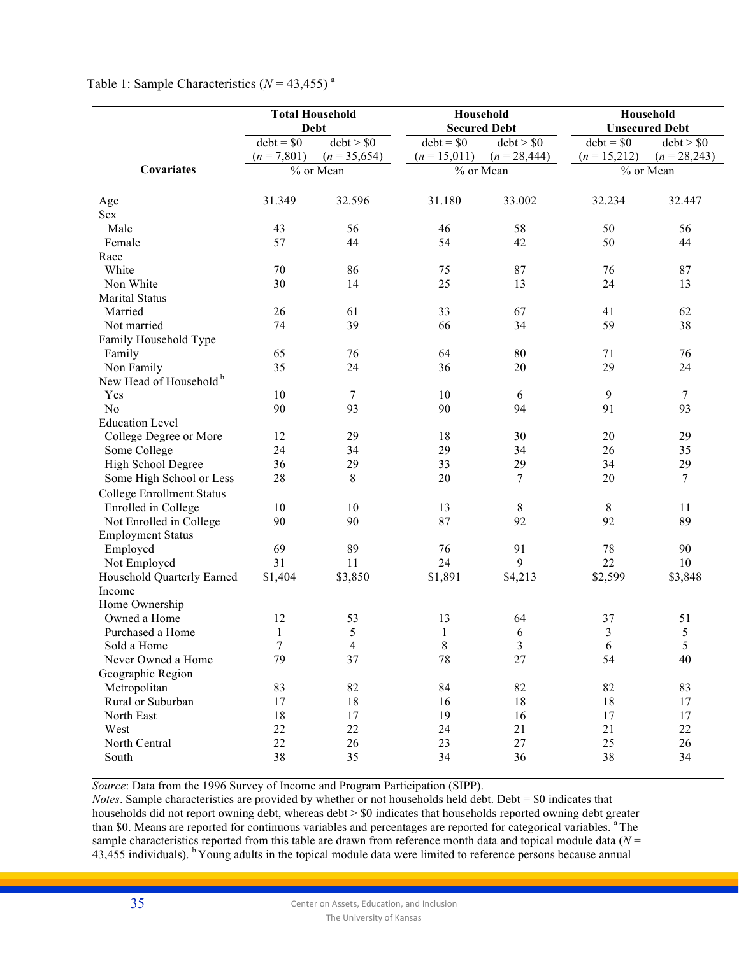|                                    |                              | <b>Total Household</b><br>Household<br><b>Debt</b> |                               | <b>Secured Debt</b>          |                               | Household<br><b>Unsecured Debt</b> |
|------------------------------------|------------------------------|----------------------------------------------------|-------------------------------|------------------------------|-------------------------------|------------------------------------|
|                                    | $debt = $0$<br>$(n = 7,801)$ | debt > \$0<br>$(n = 35,654)$                       | $debt = $0$<br>$(n = 15,011)$ | debt > \$0<br>$(n = 28,444)$ | $debt = $0$<br>$(n = 15,212)$ | debt > \$0<br>$(n = 28,243)$       |
| Covariates                         |                              | % or Mean                                          |                               | % or Mean                    |                               | % or Mean                          |
|                                    |                              |                                                    |                               |                              |                               |                                    |
| Age                                | 31.349                       | 32.596                                             | 31.180                        | 33.002                       | 32.234                        | 32.447                             |
| Sex                                |                              |                                                    |                               |                              |                               |                                    |
| Male<br>Female                     | 43<br>57                     | 56<br>44                                           | 46<br>54                      | 58<br>42                     | 50<br>50                      | 56<br>44                           |
| Race                               |                              |                                                    |                               |                              |                               |                                    |
| White                              | 70                           | 86                                                 | 75                            | 87                           | 76                            | 87                                 |
| Non White                          | 30                           | 14                                                 | 25                            | 13                           | 24                            | 13                                 |
| <b>Marital Status</b>              |                              |                                                    |                               |                              |                               |                                    |
| Married                            | 26                           | 61                                                 | 33                            | 67                           | 41                            | 62                                 |
| Not married                        | 74                           | 39                                                 | 66                            | 34                           | 59                            | 38                                 |
| Family Household Type              |                              |                                                    |                               |                              |                               |                                    |
| Family                             | 65                           | 76                                                 | 64                            | 80                           | 71                            | 76                                 |
| Non Family                         | 35                           | 24                                                 | 36                            | 20                           | 29                            | 24                                 |
| New Head of Household <sup>b</sup> |                              |                                                    |                               |                              |                               |                                    |
| Yes                                | 10                           | 7                                                  | 10                            | 6                            | 9                             | 7                                  |
| N <sub>o</sub>                     | 90                           | 93                                                 | 90                            | 94                           | 91                            | 93                                 |
| <b>Education Level</b>             |                              |                                                    |                               |                              |                               |                                    |
| College Degree or More             | 12                           | 29                                                 | 18                            | 30                           | 20                            | 29                                 |
| Some College                       | 24                           | 34                                                 | 29                            | 34                           | 26                            | 35                                 |
| High School Degree                 | 36                           | 29                                                 | 33                            | 29                           | 34                            | 29                                 |
| Some High School or Less           | 28                           | 8                                                  | 20                            | 7                            | 20                            | $\tau$                             |
| <b>College Enrollment Status</b>   |                              |                                                    |                               |                              |                               |                                    |
| Enrolled in College                | 10                           | 10                                                 | 13                            | $\,8\,$                      | $\,8\,$                       | 11                                 |
| Not Enrolled in College            | 90                           | 90                                                 | 87                            | 92                           | 92                            | 89                                 |
| <b>Employment Status</b>           |                              |                                                    |                               |                              |                               |                                    |
| Employed                           | 69                           | 89                                                 | 76                            | 91                           | 78                            | 90                                 |
| Not Employed                       | 31                           | 11                                                 | 24                            | 9                            | 22                            | 10                                 |
| Household Quarterly Earned         | \$1,404                      | \$3,850                                            | \$1,891                       | \$4,213                      | \$2,599                       | \$3,848                            |
| Income                             |                              |                                                    |                               |                              |                               |                                    |
| Home Ownership<br>Owned a Home     | 12                           | 53                                                 | 13                            |                              | 37                            | 51                                 |
| Purchased a Home                   | $\mathbf{1}$                 | 5                                                  | $\mathbf{1}$                  | 64<br>6                      | $\overline{\mathbf{3}}$       | 5                                  |
| Sold a Home                        |                              | 4                                                  | $\,8\,$                       | 3                            | $\boldsymbol{6}$              | 5                                  |
| Never Owned a Home                 | 79                           | 37                                                 | 78                            | 27                           | 54                            | 40                                 |
| Geographic Region                  |                              |                                                    |                               |                              |                               |                                    |
| Metropolitan                       | 83                           | 82                                                 | 84                            | 82                           | 82                            | 83                                 |
| Rural or Suburban                  | 17                           | 18                                                 | 16                            | 18                           | 18                            | 17                                 |
| North East                         | 18                           | 17                                                 | 19                            | 16                           | 17                            | 17                                 |
| West                               | 22                           | 22                                                 | 24                            | 21                           | 21                            | 22                                 |
| North Central                      | 22                           | 26                                                 | 23                            | 27                           | 25                            | 26                                 |
| South                              | 38                           | 35                                                 | 34                            | 36                           | 38                            | 34                                 |
|                                    |                              |                                                    |                               |                              |                               |                                    |

*Source*: Data from the 1996 Survey of Income and Program Participation (SIPP).

*Notes*. Sample characteristics are provided by whether or not households held debt. Debt = \$0 indicates that households did not report owning debt, whereas debt > \$0 indicates that households reported owning debt greater than \$0. Means are reported for continuous variables and percentages are reported for categorical variables. <sup>a</sup> The sample characteristics reported from this table are drawn from reference month data and topical module data (*N* =  $43,455$  individuals). <sup>b</sup> Young adults in the topical module data were limited to reference persons because annual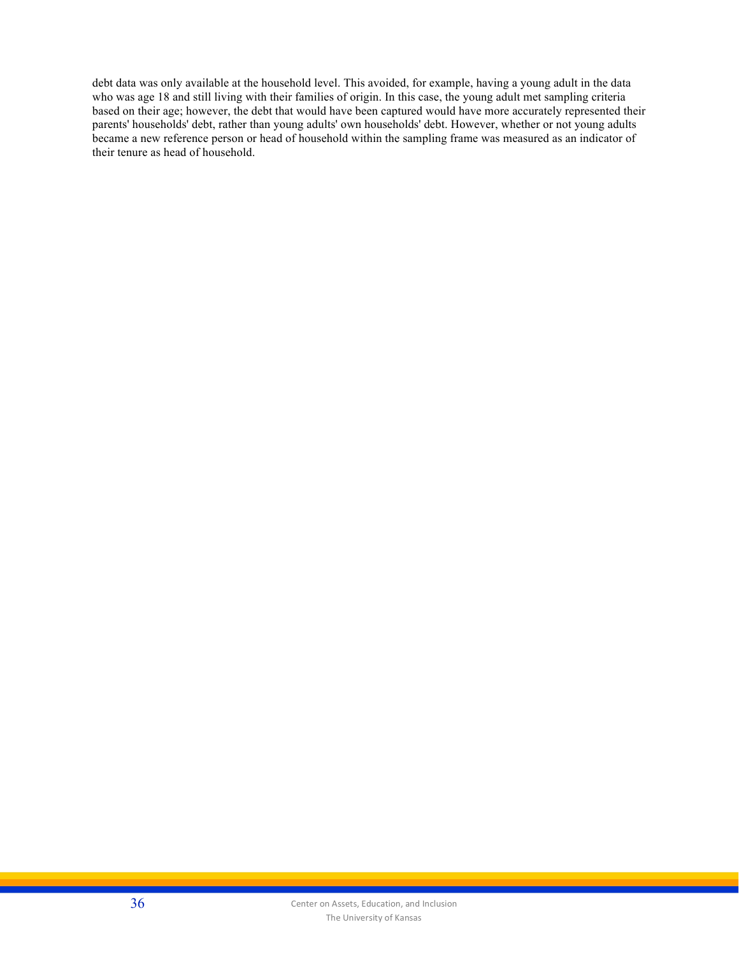debt data was only available at the household level. This avoided, for example, having a young adult in the data who was age 18 and still living with their families of origin. In this case, the young adult met sampling criteria based on their age; however, the debt that would have been captured would have more accurately represented their parents' households' debt, rather than young adults' own households' debt. However, whether or not young adults became a new reference person or head of household within the sampling frame was measured as an indicator of their tenure as head of household.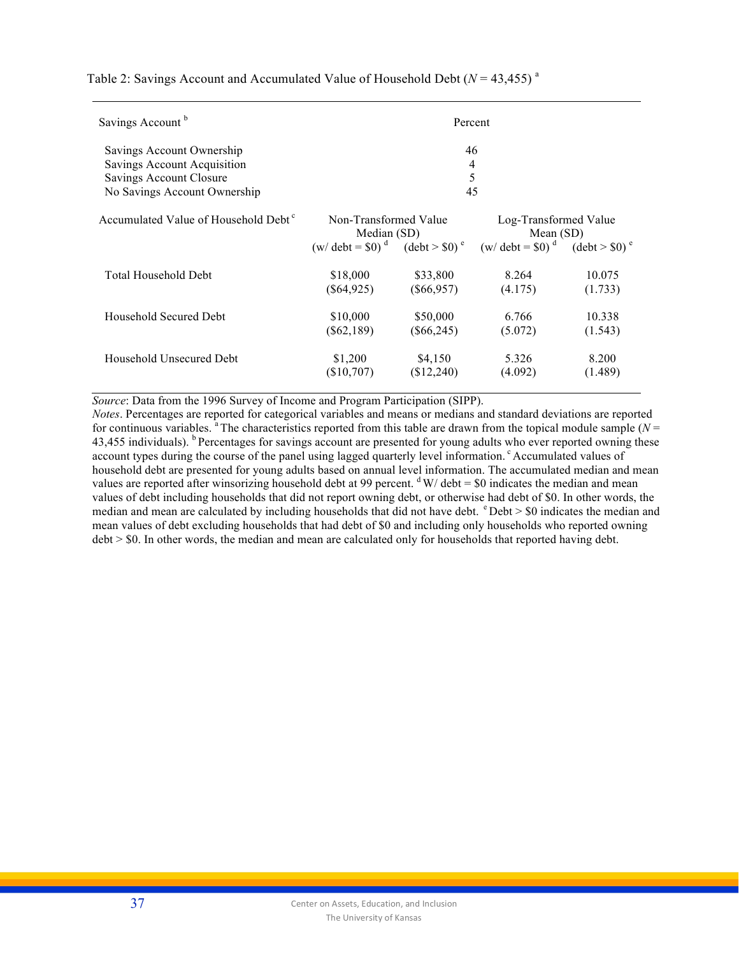Table 2: Savings Account and Accumulated Value of Household Debt ( $N = 43,455$ )<sup>a</sup>

| Savings Account <sup>b</sup>                     |                                                                     | Percent       |                                                                                                                |         |  |  |
|--------------------------------------------------|---------------------------------------------------------------------|---------------|----------------------------------------------------------------------------------------------------------------|---------|--|--|
| Savings Account Ownership                        | 46                                                                  |               |                                                                                                                |         |  |  |
| Savings Account Acquisition                      | 4                                                                   |               |                                                                                                                |         |  |  |
| Savings Account Closure                          | 5                                                                   |               |                                                                                                                |         |  |  |
| No Savings Account Ownership                     | 45                                                                  |               |                                                                                                                |         |  |  |
| Accumulated Value of Household Debt <sup>c</sup> | Non-Transformed Value<br>Median (SD)<br>$(w/\text{ debt} = $0)^{d}$ |               | Log-Transformed Value<br>Mean $(SD)$<br>$(\text{debt} > $0)^e$ $(w/\text{debt} = $0)^d$ $(\text{debt} > $0)^e$ |         |  |  |
| Total Household Debt                             | \$18,000                                                            | \$33,800      | 8.264                                                                                                          | 10.075  |  |  |
|                                                  | $(\$64,925)$                                                        | $(\$66,957)$  | (4.175)                                                                                                        | (1.733) |  |  |
| Household Secured Debt                           | \$10,000                                                            | \$50,000      | 6.766                                                                                                          | 10.338  |  |  |
|                                                  | $(\$62,189)$                                                        | $($ \$66,245) | (5.072)                                                                                                        | (1.543) |  |  |
| Household Unsecured Debt                         | \$1,200                                                             | \$4,150       | 5.326                                                                                                          | 8.200   |  |  |
|                                                  | (\$10,707)                                                          | \$12,240      | (4.092)                                                                                                        | (1.489) |  |  |

*Source*: Data from the 1996 Survey of Income and Program Participation (SIPP).

*Notes*. Percentages are reported for categorical variables and means or medians and standard deviations are reported for continuous variables. <sup>a</sup> The characteristics reported from this table are drawn from the topical module sample ( $N =$ 43,455 individuals). <sup>b</sup> Percentages for savings account are presented for young adults who ever reported owning these account types during the course of the panel using lagged quarterly level information. <sup>c</sup> Accumulated values of household debt are presented for young adults based on annual level information. The accumulated median and mean values are reported after winsorizing household debt at 99 percent.  $d$  W/ debt = \$0 indicates the median and mean values of debt including households that did not report owning debt, or otherwise had debt of \$0. In other words, the median and mean are calculated by including households that did not have debt.  $e^{\epsilon}$  Debt  $>$  \$0 indicates the median and mean values of debt excluding households that had debt of \$0 and including only households who reported owning debt > \$0. In other words, the median and mean are calculated only for households that reported having debt.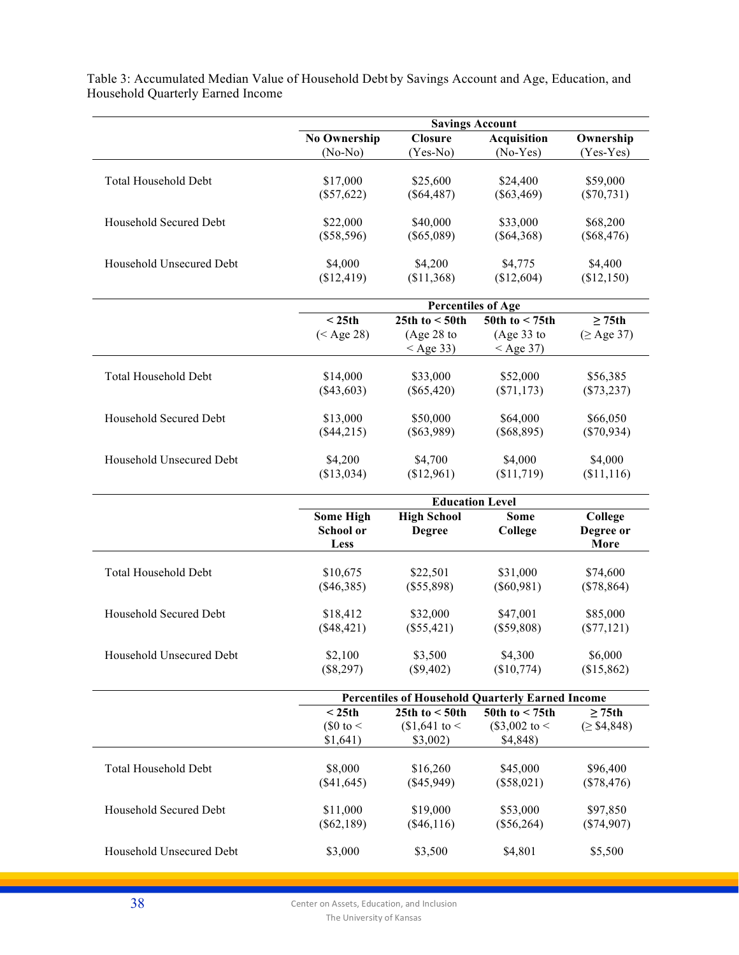|                             | <b>Savings Account</b>   |                                              |                                                         |                          |  |  |  |
|-----------------------------|--------------------------|----------------------------------------------|---------------------------------------------------------|--------------------------|--|--|--|
|                             | <b>No Ownership</b>      | <b>Closure</b>                               | <b>Acquisition</b>                                      | Ownership                |  |  |  |
|                             | $(No-No)$                | $(Yes-No)$                                   | $(No-Yes)$                                              | $(Yes-Yes)$              |  |  |  |
| <b>Total Household Debt</b> | \$17,000                 | \$25,600                                     | \$24,400                                                | \$59,000                 |  |  |  |
|                             | $(\$57,622)$             | $(\$64,487)$                                 | $(\$63,469)$                                            | $(\$70,731)$             |  |  |  |
|                             |                          |                                              |                                                         |                          |  |  |  |
| Household Secured Debt      | \$22,000                 | \$40,000                                     | \$33,000                                                | \$68,200                 |  |  |  |
|                             | $(\$58,596)$             | $(\$65,089)$                                 | $(\$64,368)$                                            | $(\$68,476)$             |  |  |  |
|                             |                          |                                              |                                                         |                          |  |  |  |
| Household Unsecured Debt    | \$4,000<br>(\$12,419)    | \$4,200<br>(\$11,368)                        | \$4,775<br>(\$12,604)                                   | \$4,400<br>(\$12,150)    |  |  |  |
|                             |                          |                                              |                                                         |                          |  |  |  |
|                             |                          | <b>Percentiles of Age</b>                    |                                                         |                          |  |  |  |
|                             | < 25th                   | 25th to $<$ 50th                             | 50th to $<$ 75th                                        | $\geq$ 75th              |  |  |  |
|                             | $(<$ Age 28)             | (Age 28 to                                   | (Age 33 to                                              | $(\geq$ Age 37)          |  |  |  |
|                             |                          | $<$ Age 33)                                  | $<$ Age 37)                                             |                          |  |  |  |
| <b>Total Household Debt</b> | \$14,000                 | \$33,000                                     | \$52,000                                                | \$56,385                 |  |  |  |
|                             | $(\$43,603)$             | $(\$65,420)$                                 | $(\$71,173)$                                            | $(\$73,237)$             |  |  |  |
|                             |                          |                                              |                                                         |                          |  |  |  |
| Household Secured Debt      | \$13,000                 | \$50,000                                     | \$64,000                                                | \$66,050                 |  |  |  |
|                             | (\$44,215)               | $(\$63,989)$                                 | $(\$68,895)$                                            | $(\$70,934)$             |  |  |  |
| Household Unsecured Debt    | \$4,200                  | \$4,700                                      | \$4,000                                                 | \$4,000                  |  |  |  |
|                             | (\$13,034)               | (\$12,961)                                   | (\$11,719)                                              | (\$11,116)               |  |  |  |
|                             |                          |                                              |                                                         |                          |  |  |  |
|                             |                          | <b>Education Level</b><br><b>High School</b> | <b>Some</b>                                             |                          |  |  |  |
|                             | <b>Some High</b>         | College                                      |                                                         |                          |  |  |  |
|                             |                          |                                              |                                                         |                          |  |  |  |
|                             | <b>School or</b>         | <b>Degree</b>                                | College                                                 | Degree or                |  |  |  |
|                             | Less                     |                                              |                                                         | More                     |  |  |  |
| <b>Total Household Debt</b> | \$10,675                 | \$22,501                                     | \$31,000                                                | \$74,600                 |  |  |  |
|                             | $(\$46,385)$             | $(\$55,898)$                                 | $(\$60,981)$                                            | $(\$78,864)$             |  |  |  |
|                             |                          |                                              |                                                         |                          |  |  |  |
| Household Secured Debt      | \$18,412                 | \$32,000                                     | \$47,001                                                | \$85,000                 |  |  |  |
|                             | $(\$48,421)$             | (\$55,421)                                   | (\$59,808)                                              | $(\$77,121)$             |  |  |  |
| Household Unsecured Debt    | \$2,100                  | \$3,500                                      | \$4,300                                                 | \$6,000                  |  |  |  |
|                             | (\$8,297)                | (\$9,402)                                    | (\$10,774)                                              | (\$15,862)               |  |  |  |
|                             |                          |                                              |                                                         |                          |  |  |  |
|                             |                          |                                              | <b>Percentiles of Household Quarterly Earned Income</b> |                          |  |  |  |
|                             | < 25th<br>$\$0$ to <     | 25th to $<$ 50th<br>$$1,641$ to <            | 50th to $<$ 75th                                        | $\geq$ 75th              |  |  |  |
|                             | \$1,641)                 | \$3,002)                                     | (\$3,002 to <<br>\$4,848)                               | (≥ \$4,848)              |  |  |  |
|                             |                          |                                              |                                                         |                          |  |  |  |
| Total Household Debt        | \$8,000                  | \$16,260                                     | \$45,000                                                | \$96,400                 |  |  |  |
|                             | $(\$41,645)$             | (\$45,949)                                   | $(\$58,021)$                                            | $(\$78,476)$             |  |  |  |
| Household Secured Debt      |                          | \$19,000                                     | \$53,000                                                |                          |  |  |  |
|                             | \$11,000<br>$(\$62,189)$ | $(\$46,116)$                                 | $(\$56,264)$                                            | \$97,850<br>$(\$74,907)$ |  |  |  |
|                             |                          |                                              |                                                         |                          |  |  |  |
| Household Unsecured Debt    | \$3,000                  | \$3,500                                      | \$4,801                                                 | \$5,500                  |  |  |  |

Table 3: Accumulated Median Value of Household Debt by Savings Account and Age, Education, and Household Quarterly Earned Income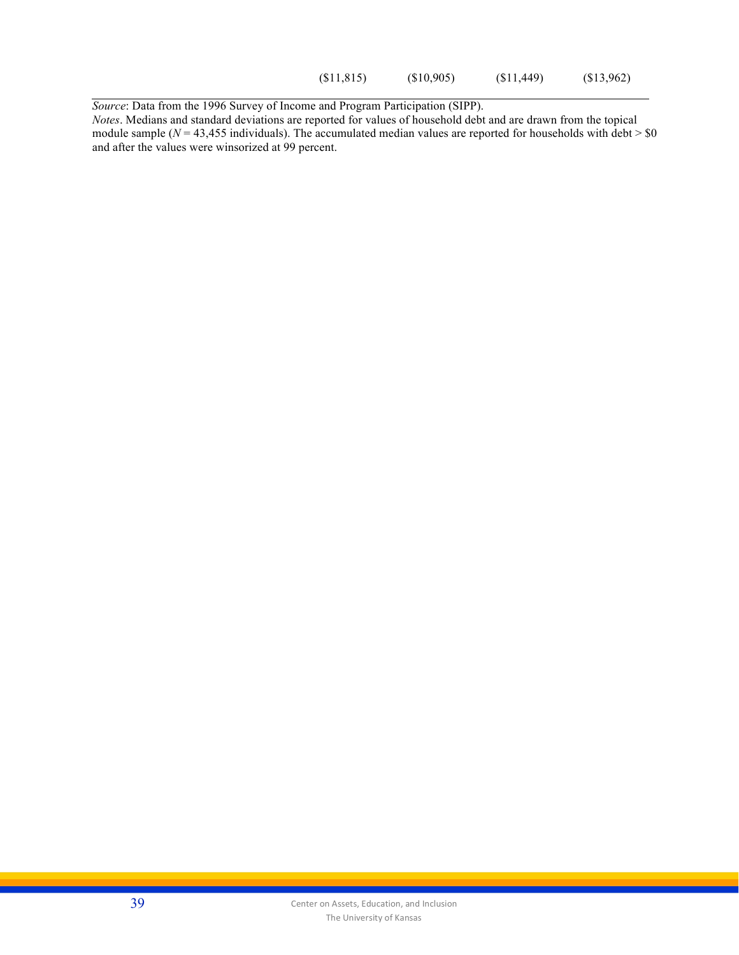(\$11,815) (\$10,905) (\$11,449) (\$13,962)

*Source*: Data from the 1996 Survey of Income and Program Participation (SIPP).

*Notes*. Medians and standard deviations are reported for values of household debt and are drawn from the topical module sample ( $N = 43,455$  individuals). The accumulated median values are reported for households with debt  $> 0$ and after the values were winsorized at 99 percent.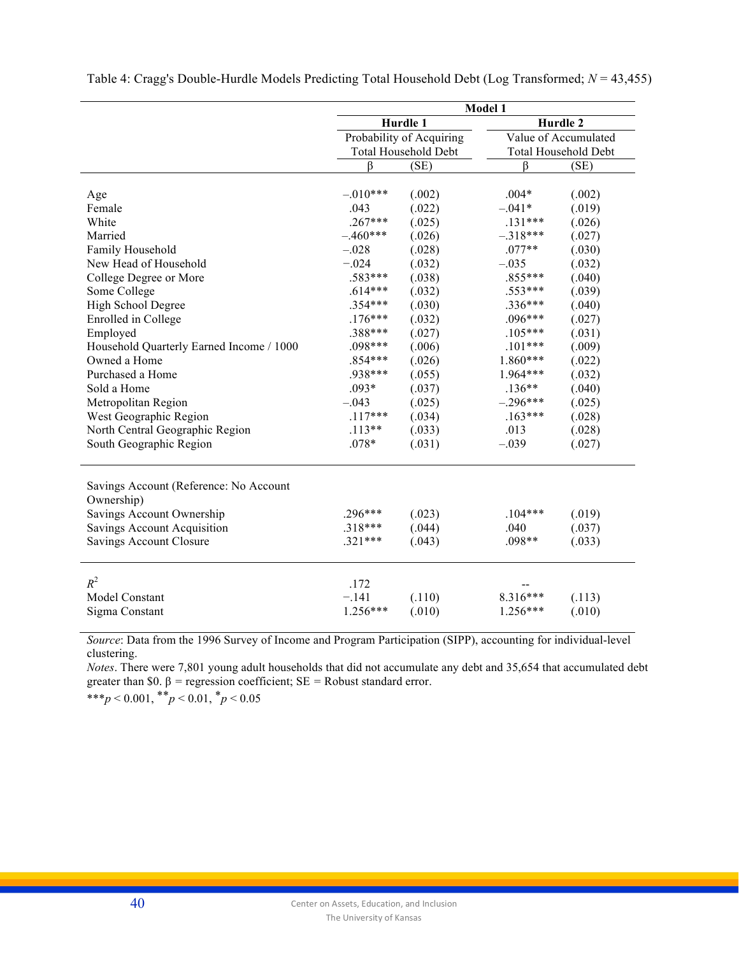|                                                                                   | Model 1                       |                          |                             |                  |
|-----------------------------------------------------------------------------------|-------------------------------|--------------------------|-----------------------------|------------------|
|                                                                                   |                               | Hurdle 1                 |                             | Hurdle 2         |
|                                                                                   |                               | Probability of Acquiring | Value of Accumulated        |                  |
|                                                                                   | <b>Total Household Debt</b>   |                          | <b>Total Household Debt</b> |                  |
|                                                                                   | ß                             | (SE)                     | ß                           | (SE)             |
|                                                                                   |                               |                          |                             |                  |
| Age                                                                               | $-.010***$                    | (.002)                   | $.004*$                     | (.002)           |
| Female                                                                            | .043                          | (.022)                   | $-.041*$                    | (.019)           |
| White                                                                             | $.267***$                     | (.025)                   | $.131***$                   | (.026)           |
| Married                                                                           | $-.460***$                    | (.026)                   | $-.318***$                  | (.027)           |
| Family Household                                                                  | $-.028$                       | (.028)                   | $.077**$                    | (.030)           |
| New Head of Household                                                             | $-.024$                       | (.032)                   | $-.035$                     | (.032)           |
| College Degree or More                                                            | .583***                       | (.038)                   | $.855***$                   | (.040)           |
| Some College                                                                      | $.614***$                     | (.032)                   | $.553***$                   | (.039)           |
| High School Degree                                                                | .354***                       | (.030)                   | $.336***$                   | (.040)           |
| Enrolled in College                                                               | $.176***$                     | (.032)                   | $.096***$                   | (.027)           |
| Employed                                                                          | .388***                       | (.027)                   | $.105***$                   | (.031)           |
| Household Quarterly Earned Income / 1000                                          | .098***                       | (.006)                   | $.101***$                   | (.009)           |
| Owned a Home                                                                      | $.854***$                     | (.026)                   | $1.860***$                  | (.022)           |
| Purchased a Home                                                                  | .938***                       | (.055)                   | 1.964***                    | (.032)           |
| Sold a Home                                                                       | $.093*$                       | (.037)                   | $.136**$                    | (.040)           |
| Metropolitan Region                                                               | $-.043$                       | (.025)                   | $-.296***$                  | (.025)           |
| West Geographic Region                                                            | $.117***$                     | (.034)                   | $.163***$                   | (.028)           |
| North Central Geographic Region                                                   | $.113**$                      | (.033)                   | .013                        | (.028)           |
| South Geographic Region                                                           | $.078*$                       | (.031)                   | $-.039$                     | (.027)           |
| Savings Account (Reference: No Account<br>Ownership)<br>Savings Account Ownership | $.296***$                     | (.023)                   | $.104***$                   | (.019)           |
| <b>Savings Account Acquisition</b>                                                | $.318***$                     | (.044)                   | .040                        | (.037)           |
| <b>Savings Account Closure</b>                                                    | $.321***$                     | (.043)                   | $.098**$                    | (.033)           |
|                                                                                   |                               |                          |                             |                  |
| $R^2$<br>Model Constant<br>Sigma Constant                                         | .172<br>$-.141$<br>$1.256***$ | (.110)<br>(.010)         | $8.316***$<br>$1.256***$    | (.113)<br>(.010) |
|                                                                                   |                               |                          |                             |                  |

Table 4: Cragg's Double-Hurdle Models Predicting Total Household Debt (Log Transformed; *N* = 43,455)

*Source*: Data from the 1996 Survey of Income and Program Participation (SIPP), accounting for individual-level clustering.

*Notes*. There were 7,801 young adult households that did not accumulate any debt and 35,654 that accumulated debt greater than \$0.  $\beta$  = regression coefficient; SE = Robust standard error.

\*\*\**p* < 0.001, \*\**p* < 0.01, \**p* < 0.05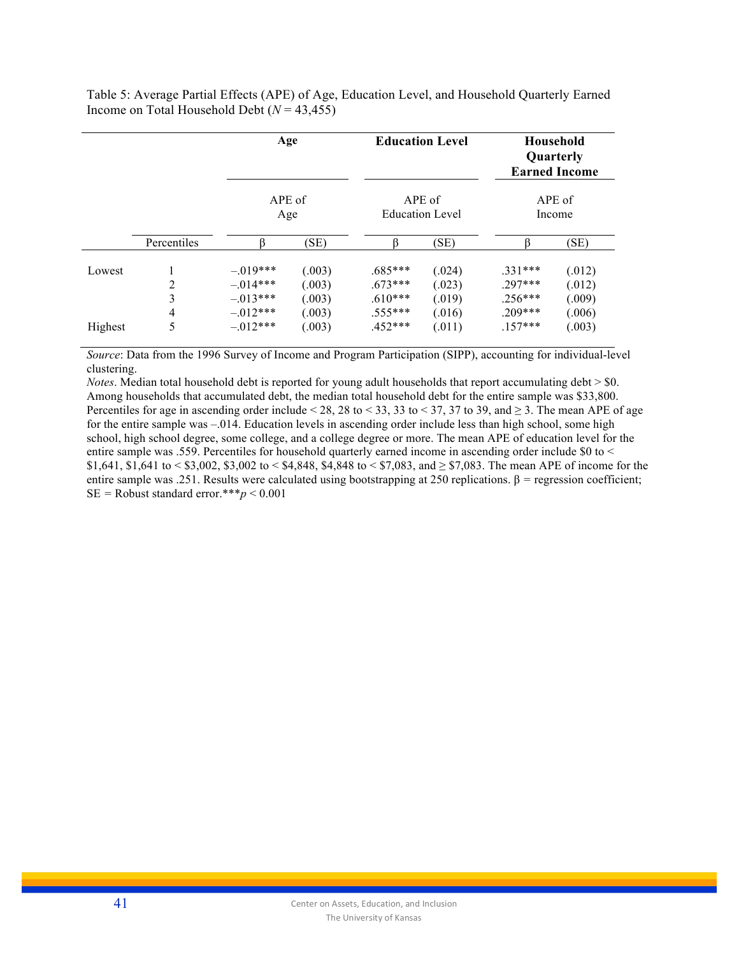Table 5: Average Partial Effects (APE) of Age, Education Level, and Household Quarterly Earned Income on Total Household Debt (*N* = 43,455)

|                   |                  | Age                                                                |                                                |                                                               | <b>Education Level</b>                         |                                                               | Household<br>Quarterly<br><b>Earned Income</b> |
|-------------------|------------------|--------------------------------------------------------------------|------------------------------------------------|---------------------------------------------------------------|------------------------------------------------|---------------------------------------------------------------|------------------------------------------------|
|                   |                  | APE of<br>Age                                                      |                                                |                                                               | APE of<br><b>Education Level</b>               |                                                               | APE of<br>Income                               |
|                   | Percentiles      |                                                                    | (SE)                                           |                                                               | (SE)                                           |                                                               | (SE)                                           |
| Lowest<br>Highest | 2<br>3<br>4<br>5 | $-.019***$<br>$-.014***$<br>$-.013***$<br>$-.012***$<br>$-.012***$ | (.003)<br>(.003)<br>(.003)<br>(.003)<br>(.003) | $.685***$<br>$.673***$<br>$.610***$<br>$.555***$<br>$.452***$ | (.024)<br>(.023)<br>(.019)<br>(.016)<br>(.011) | $.331***$<br>$.297***$<br>$.256***$<br>$.209***$<br>$.157***$ | (.012)<br>(.012)<br>(.009)<br>(.006)<br>(.003) |

*Source*: Data from the 1996 Survey of Income and Program Participation (SIPP), accounting for individual-level clustering.

*Notes*. Median total household debt is reported for young adult households that report accumulating debt  $>$  \$0. Among households that accumulated debt, the median total household debt for the entire sample was \$33,800. Percentiles for age in ascending order include < 28, 28 to < 33, 33 to < 37, 37 to 39, and  $\geq$  3. The mean APE of age for the entire sample was –.014. Education levels in ascending order include less than high school, some high school, high school degree, some college, and a college degree or more. The mean APE of education level for the entire sample was .559. Percentiles for household quarterly earned income in ascending order include \$0 to < \$1,641, \$1,641 to < \$3,002, \$3,002 to < \$4,848, \$4,848 to < \$7,083, and  $\geq$  \$7,083. The mean APE of income for the entire sample was .251. Results were calculated using bootstrapping at 250 replications. β *=* regression coefficient;  $SE =$  Robust standard error.\*\*\* $p < 0.001$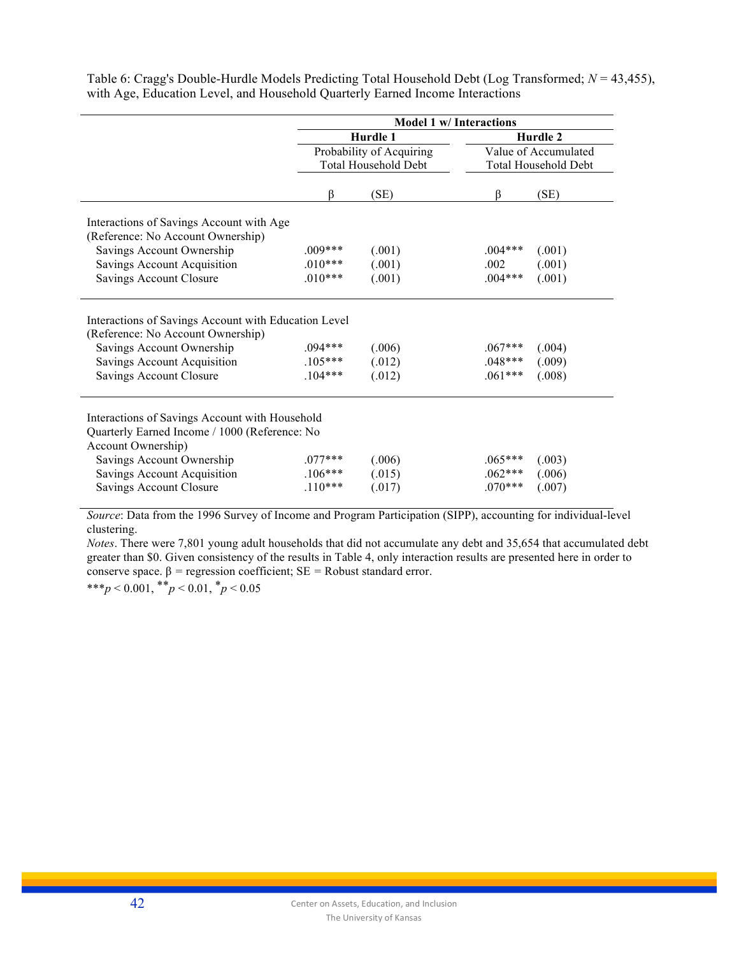|                                                                                                                                                                                  | <b>Model 1 w/Interactions</b>      |                            |                                     |                            |  |
|----------------------------------------------------------------------------------------------------------------------------------------------------------------------------------|------------------------------------|----------------------------|-------------------------------------|----------------------------|--|
|                                                                                                                                                                                  |                                    | Hurdle 1                   |                                     | Hurdle 2                   |  |
|                                                                                                                                                                                  |                                    | Probability of Acquiring   |                                     | Value of Accumulated       |  |
|                                                                                                                                                                                  |                                    | Total Household Debt       |                                     | Total Household Debt       |  |
|                                                                                                                                                                                  |                                    |                            |                                     |                            |  |
|                                                                                                                                                                                  | ß                                  | (SE)                       | ß                                   | (SE)                       |  |
| Interactions of Savings Account with Age<br>(Reference: No Account Ownership)                                                                                                    |                                    |                            |                                     |                            |  |
| Savings Account Ownership                                                                                                                                                        | $.009***$                          | (.001)                     | $.004***$                           | (.001)                     |  |
| Savings Account Acquisition                                                                                                                                                      | $.010***$                          | (.001)                     | .002                                | (.001)                     |  |
| Savings Account Closure                                                                                                                                                          | $.010***$                          | (.001)                     | $.004***$                           | (.001)                     |  |
|                                                                                                                                                                                  |                                    |                            |                                     |                            |  |
| Interactions of Savings Account with Education Level<br>(Reference: No Account Ownership)<br>Savings Account Ownership<br>Savings Account Acquisition<br>Savings Account Closure | $.094***$<br>$.105***$<br>$104***$ | (.006)<br>(.012)<br>(.012) | $.067***$<br>$.048***$<br>$.061***$ | (.004)<br>(.009)<br>(.008) |  |
| Interactions of Savings Account with Household<br>Quarterly Earned Income / 1000 (Reference: No<br>Account Ownership)                                                            |                                    |                            |                                     |                            |  |
| Savings Account Ownership                                                                                                                                                        | $.077***$                          | (.006)                     | $.065***$                           | (.003)                     |  |
| Savings Account Acquisition                                                                                                                                                      | $.106***$                          | (.015)                     | $.062***$                           | (.006)                     |  |
| Savings Account Closure                                                                                                                                                          | $.110***$                          | (.017)                     | $.070***$                           | (.007)                     |  |
|                                                                                                                                                                                  |                                    |                            |                                     |                            |  |

Table 6: Cragg's Double-Hurdle Models Predicting Total Household Debt (Log Transformed; *N* = 43,455), with Age, Education Level, and Household Quarterly Earned Income Interactions

*Source*: Data from the 1996 Survey of Income and Program Participation (SIPP), accounting for individual-level clustering.

*Notes*. There were 7,801 young adult households that did not accumulate any debt and 35,654 that accumulated debt greater than \$0. Given consistency of the results in Table 4, only interaction results are presented here in order to conserve space. β *=* regression coefficient; SE *=* Robust standard error.

\*\*\**p* < 0.001, \*\**p* < 0.01, \**p* < 0.05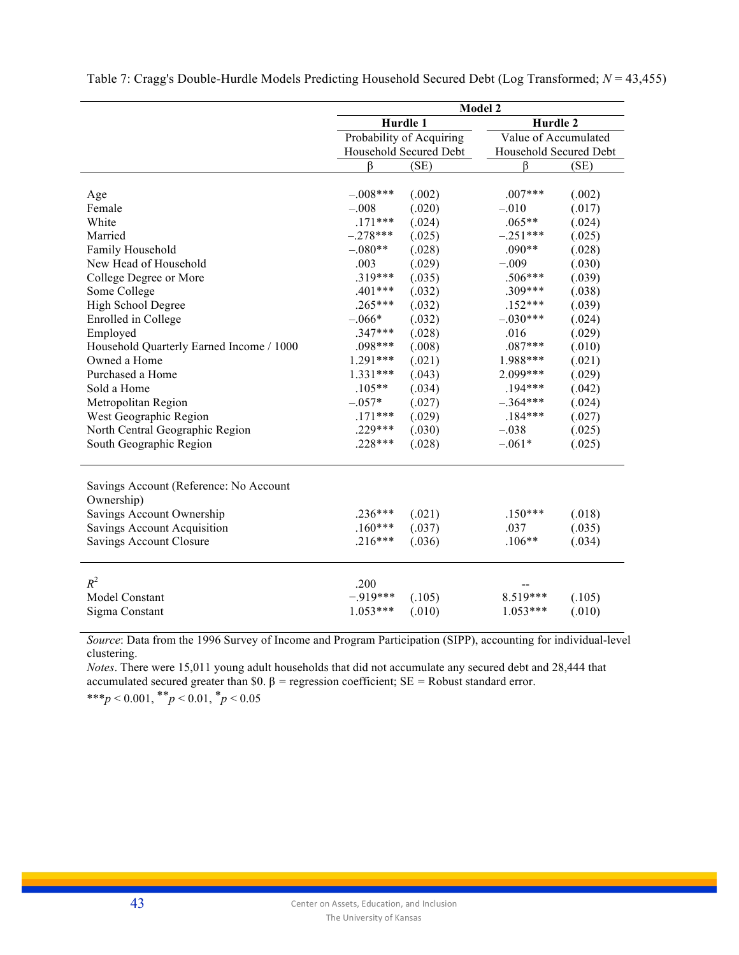|                                                                                   | <b>Model 2</b>         |                          |                        |        |  |
|-----------------------------------------------------------------------------------|------------------------|--------------------------|------------------------|--------|--|
|                                                                                   |                        | Hurdle 1                 | Hurdle 2               |        |  |
|                                                                                   |                        | Probability of Acquiring | Value of Accumulated   |        |  |
|                                                                                   | Household Secured Debt |                          | Household Secured Debt |        |  |
|                                                                                   | ß                      | (SE)                     | ß                      | (SE)   |  |
|                                                                                   |                        |                          |                        |        |  |
| Age                                                                               | $-.008***$             | (.002)                   | $.007***$              | (.002) |  |
| Female                                                                            | $-.008$                | (.020)                   | $-.010$                | (.017) |  |
| White                                                                             | $.171***$              | (.024)                   | $.065**$               | (.024) |  |
| Married                                                                           | $-.278***$             | (.025)                   | $-.251***$             | (.025) |  |
| Family Household                                                                  | $-.080**$              | (.028)                   | $.090**$               | (.028) |  |
| New Head of Household                                                             | .003                   | (.029)                   | $-.009$                | (.030) |  |
| College Degree or More                                                            | $.319***$              | (.035)                   | $.506***$              | (.039) |  |
| Some College                                                                      | .401 ***               | (.032)                   | .309***                | (.038) |  |
| High School Degree                                                                | $.265***$              | (.032)                   | $.152***$              | (.039) |  |
| Enrolled in College                                                               | $-.066*$               | (.032)                   | $-.030***$             | (.024) |  |
| Employed                                                                          | $.347***$              | (.028)                   | .016                   | (.029) |  |
| Household Quarterly Earned Income / 1000                                          | $.098***$              | (.008)                   | $.087***$              | (.010) |  |
| Owned a Home                                                                      | $1.291***$             | (.021)                   | 1.988***               | (.021) |  |
| Purchased a Home                                                                  | $1.331***$             | (.043)                   | 2.099***               | (.029) |  |
| Sold a Home                                                                       | $.105**$               | (.034)                   | $.194***$              | (.042) |  |
| Metropolitan Region                                                               | $-.057*$               | (.027)                   | $-.364***$             | (.024) |  |
| West Geographic Region                                                            | $.171***$              | (.029)                   | $.184***$              | (.027) |  |
| North Central Geographic Region                                                   | .229***                | (.030)                   | $-.038$                | (.025) |  |
| South Geographic Region                                                           | $.228***$              | (.028)                   | $-.061*$               | (.025) |  |
| Savings Account (Reference: No Account<br>Ownership)<br>Savings Account Ownership | $.236***$              | (.021)                   | $.150***$              | (.018) |  |
| <b>Savings Account Acquisition</b>                                                | $.160***$              | (.037)                   | .037                   | (.035) |  |
| <b>Savings Account Closure</b>                                                    | $.216***$              | (.036)                   | $.106**$               | (.034) |  |
| $R^2$                                                                             | .200                   |                          |                        |        |  |
| Model Constant                                                                    | $-.919***$             | (.105)                   | $8.519***$             | (.105) |  |
| Sigma Constant                                                                    | $1.053***$             | (.010)                   | $1.053***$             | (.010) |  |
|                                                                                   |                        |                          |                        |        |  |

Table 7: Cragg's Double-Hurdle Models Predicting Household Secured Debt (Log Transformed; *N* = 43,455)

*Source*: Data from the 1996 Survey of Income and Program Participation (SIPP), accounting for individual-level clustering.

*Notes*. There were 15,011 young adult households that did not accumulate any secured debt and 28,444 that accumulated secured greater than \$0. β *=* regression coefficient; SE *=* Robust standard error. \*\*\**p* < 0.001, \*\**p* < 0.01, \**p* < 0.05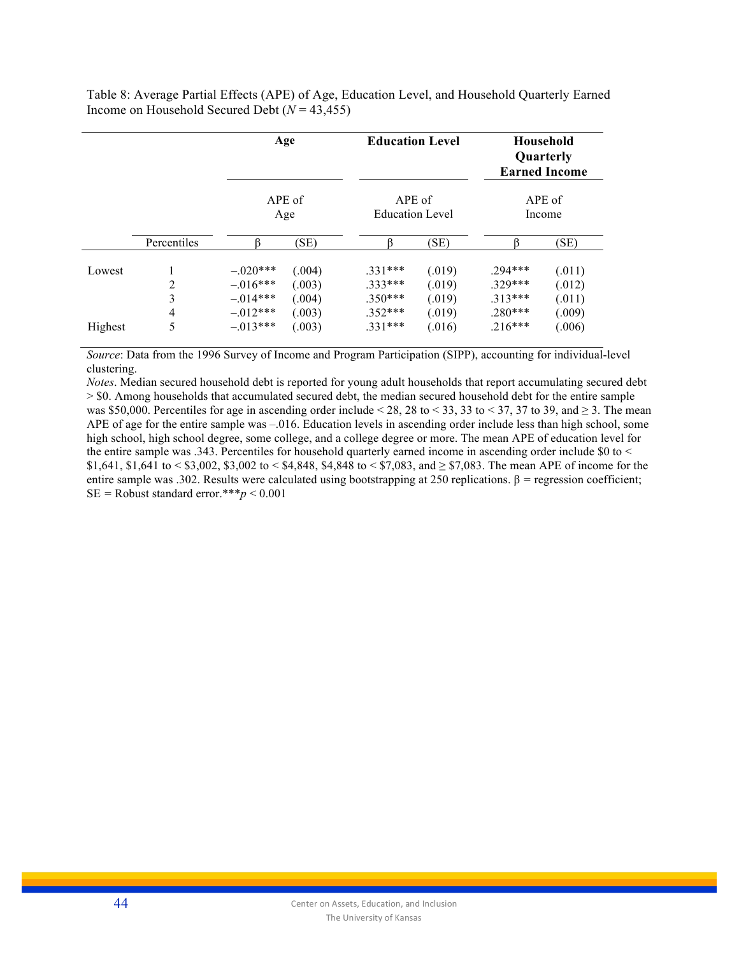Table 8: Average Partial Effects (APE) of Age, Education Level, and Household Quarterly Earned Income on Household Secured Debt (*N* = 43,455)

|         |                                       |                                                      | Age                                  | <b>Education Level</b>                           |                                      |                                                  | Household<br>Quarterly<br><b>Earned Income</b> |
|---------|---------------------------------------|------------------------------------------------------|--------------------------------------|--------------------------------------------------|--------------------------------------|--------------------------------------------------|------------------------------------------------|
|         |                                       |                                                      | APE of<br>Age                        | APE of<br><b>Education Level</b>                 |                                      |                                                  | APE of<br>Income                               |
|         | Percentiles                           |                                                      | (SE)                                 | ß                                                | (SE)                                 |                                                  | (SE)                                           |
| Lowest  | $\overline{2}$<br>3<br>$\overline{4}$ | $-.020***$<br>$-.016***$<br>$-.014***$<br>$-.012***$ | (.004)<br>(.003)<br>(.004)<br>(.003) | $.331***$<br>$.333***$<br>$.350***$<br>$.352***$ | (.019)<br>(.019)<br>(.019)<br>(.019) | $.294***$<br>$.329***$<br>$.313***$<br>$.280***$ | (.011)<br>(.012)<br>(.011)<br>(.009)           |
| Highest | 5                                     | $-.013***$                                           | (.003)                               | $.331***$                                        | (.016)                               | $.216***$                                        | (.006)                                         |

*Source*: Data from the 1996 Survey of Income and Program Participation (SIPP), accounting for individual-level clustering.

*Notes*. Median secured household debt is reported for young adult households that report accumulating secured debt > \$0. Among households that accumulated secured debt, the median secured household debt for the entire sample was \$50,000. Percentiles for age in ascending order include < 28, 28 to < 33, 33 to < 37, 37 to 39, and  $\geq$  3. The mean APE of age for the entire sample was -.016. Education levels in ascending order include less than high school, some high school, high school degree, some college, and a college degree or more. The mean APE of education level for the entire sample was .343. Percentiles for household quarterly earned income in ascending order include \$0 to < \$1,641, \$1,641 to < \$3,002, \$3,002 to < \$4,848, \$4,848 to < \$7,083, and  $\geq$  \$7,083. The mean APE of income for the entire sample was .302. Results were calculated using bootstrapping at 250 replications. β *=* regression coefficient;  $SE =$  Robust standard error.\*\*\* $p < 0.001$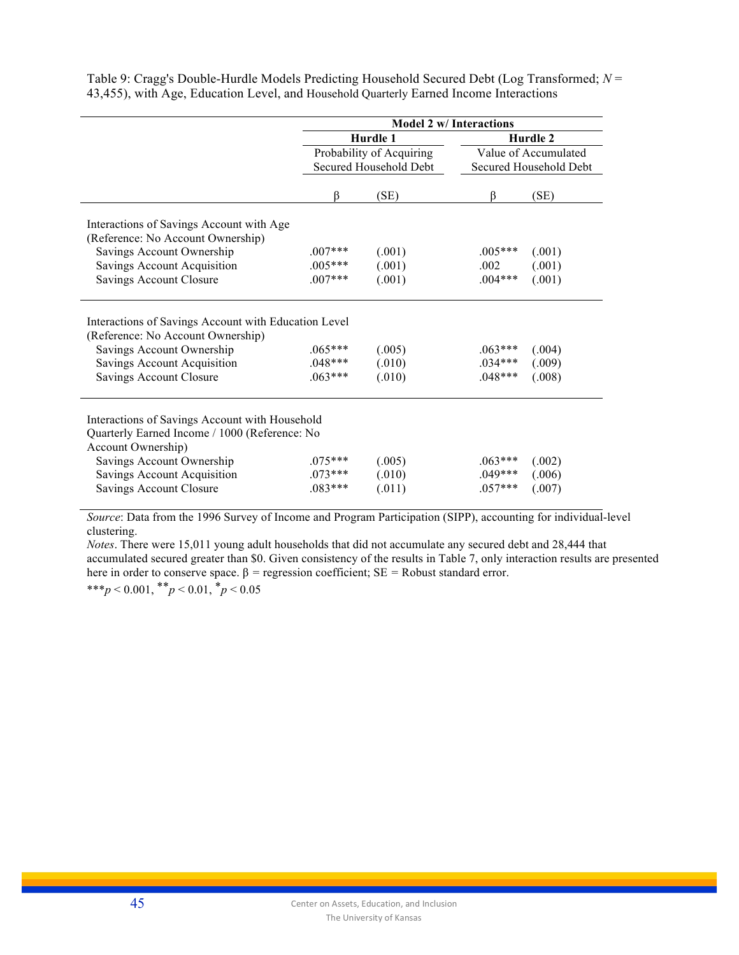|                                                                                                                                                                                  | <b>Model 2 w/ Interactions</b>      |                            |                                     |                            |  |
|----------------------------------------------------------------------------------------------------------------------------------------------------------------------------------|-------------------------------------|----------------------------|-------------------------------------|----------------------------|--|
|                                                                                                                                                                                  |                                     | Hurdle 1                   |                                     | Hurdle 2                   |  |
|                                                                                                                                                                                  |                                     | Probability of Acquiring   | Value of Accumulated                |                            |  |
|                                                                                                                                                                                  |                                     | Secured Household Debt     |                                     | Secured Household Debt     |  |
|                                                                                                                                                                                  |                                     |                            |                                     |                            |  |
|                                                                                                                                                                                  | ß                                   | (SE)                       | ß                                   | (SE)                       |  |
| Interactions of Savings Account with Age<br>(Reference: No Account Ownership)                                                                                                    |                                     |                            |                                     |                            |  |
| Savings Account Ownership                                                                                                                                                        | $.007***$                           | (.001)                     | $.005***$                           | (.001)                     |  |
| Savings Account Acquisition                                                                                                                                                      | $.005***$                           | (.001)                     | .002                                | (.001)                     |  |
| Savings Account Closure                                                                                                                                                          | $.007***$                           | (.001)                     | $.004***$                           | (.001)                     |  |
| Interactions of Savings Account with Education Level<br>(Reference: No Account Ownership)<br>Savings Account Ownership<br>Savings Account Acquisition<br>Savings Account Closure | $.065***$<br>$.048***$<br>$.063***$ | (.005)<br>(.010)<br>(.010) | $.063***$<br>$.034***$<br>$.048***$ | (.004)<br>(.009)<br>(.008) |  |
| Interactions of Savings Account with Household<br>Quarterly Earned Income / 1000 (Reference: No<br>Account Ownership)                                                            |                                     |                            |                                     |                            |  |
| Savings Account Ownership                                                                                                                                                        | $.075***$                           | (.005)                     | $.063***$                           | (.002)                     |  |
| Savings Account Acquisition                                                                                                                                                      | $.073***$                           | (.010)                     | $.049***$                           | (.006)                     |  |
| Savings Account Closure                                                                                                                                                          | $.083***$                           | (.011)                     | $.057***$                           | (.007)                     |  |
|                                                                                                                                                                                  |                                     |                            |                                     |                            |  |

Table 9: Cragg's Double-Hurdle Models Predicting Household Secured Debt (Log Transformed; *N* = 43,455), with Age, Education Level, and Household Quarterly Earned Income Interactions

*Source*: Data from the 1996 Survey of Income and Program Participation (SIPP), accounting for individual-level clustering.

*Notes*. There were 15,011 young adult households that did not accumulate any secured debt and 28,444 that accumulated secured greater than \$0. Given consistency of the results in Table 7, only interaction results are presented here in order to conserve space.  $β$  = regression coefficient;  $SE$  = Robust standard error.

\*\*\**p* < 0.001,  $*$ <sup>\*</sup>*p* < 0.01,  $*$ *p* < 0.05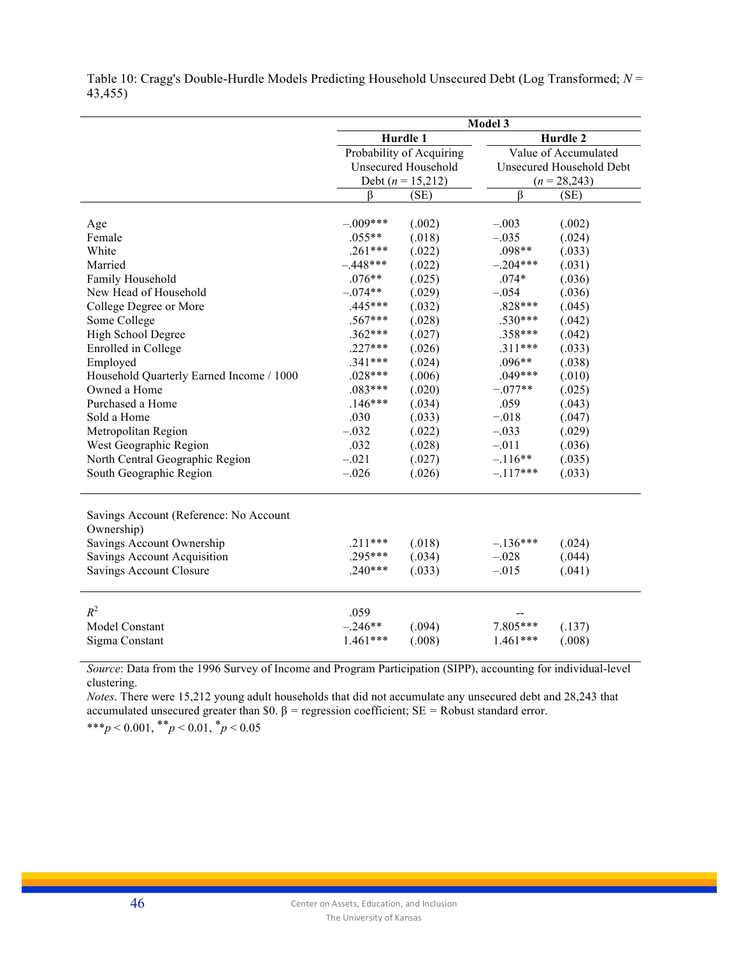|                                                      | Model 3    |                            |            |                          |  |
|------------------------------------------------------|------------|----------------------------|------------|--------------------------|--|
|                                                      |            | Hurdle 1                   |            | Hurdle 2                 |  |
|                                                      |            | Probability of Acquiring   |            | Value of Accumulated     |  |
|                                                      |            | <b>Unsecured Household</b> |            | Unsecured Household Debt |  |
|                                                      |            | Debt ( $n = 15,212$ )      |            | $(n = 28,243)$           |  |
|                                                      | ß          | (SE)                       | $\beta$    | (SE)                     |  |
|                                                      |            |                            |            |                          |  |
| Age                                                  | $-.009***$ | (.002)                     | $-.003$    | (.002)                   |  |
| Female                                               | $.055**$   | (.018)                     | $-.035$    | (.024)                   |  |
| White                                                | $.261***$  | (.022)                     | .098**     | (.033)                   |  |
| Married                                              | $-.448***$ | (.022)                     | $-.204***$ | (.031)                   |  |
| Family Household                                     | $.076**$   | (.025)                     | $.074*$    | (.036)                   |  |
| New Head of Household                                | $-.074**$  | (.029)                     | $-.054$    | (.036)                   |  |
| College Degree or More                               | $.445***$  | (.032)                     | .828***    | (.045)                   |  |
| Some College                                         | $.567***$  | (.028)                     | .530***    | (.042)                   |  |
| High School Degree                                   | $.362***$  | (.027)                     | .358***    | (.042)                   |  |
| Enrolled in College                                  | $.227***$  | (.026)                     | $.311***$  | (.033)                   |  |
| Employed                                             | $.341***$  | (.024)                     | $.096**$   | (.038)                   |  |
| Household Quarterly Earned Income / 1000             | $.028***$  | (.006)                     | $.049***$  | (.010)                   |  |
| Owned a Home                                         | $.083***$  | (.020)                     | $-.077**$  | (.025)                   |  |
| Purchased a Home                                     | $.146***$  | (.034)                     | .059       | (.043)                   |  |
| Sold a Home                                          | .030       | (.033)                     | $-.018$    | (.047)                   |  |
| Metropolitan Region                                  | $-.032$    | (.022)                     | $-.033$    | (.029)                   |  |
| West Geographic Region                               | .032       | (.028)                     | $-.011$    | (.036)                   |  |
| North Central Geographic Region                      | $-.021$    | (.027)                     | $-.116**$  | (.035)                   |  |
| South Geographic Region                              | $-.026$    | (.026)                     | $-.117***$ | (.033)                   |  |
| Savings Account (Reference: No Account<br>Ownership) |            |                            |            |                          |  |
| Savings Account Ownership                            | $.211***$  | (.018)                     | $-.136***$ | (.024)                   |  |
| Savings Account Acquisition                          | $.295***$  | (.034)                     | $-.028$    | (.044)                   |  |
| <b>Savings Account Closure</b>                       | $.240***$  | (.033)                     | $-.015$    | (.041)                   |  |
| $R^2$                                                | .059       |                            |            |                          |  |
| Model Constant                                       | $-.246**$  | (.094)                     | 7.805***   | (.137)                   |  |
| Sigma Constant                                       | $1.461***$ | (.008)                     | $1.461***$ | (.008)                   |  |
|                                                      |            |                            |            |                          |  |

Table 10: Cragg's Double-Hurdle Models Predicting Household Unsecured Debt (Log Transformed; *N* = 43,455)

*Source*: Data from the 1996 Survey of Income and Program Participation (SIPP), accounting for individual-level clustering.

*Notes*. There were 15,212 young adult households that did not accumulate any unsecured debt and 28,243 that accumulated unsecured greater than \$0. β *=* regression coefficient; SE *=* Robust standard error. \*\*\**p* < 0.001, \*\**p* < 0.01, \**p* < 0.05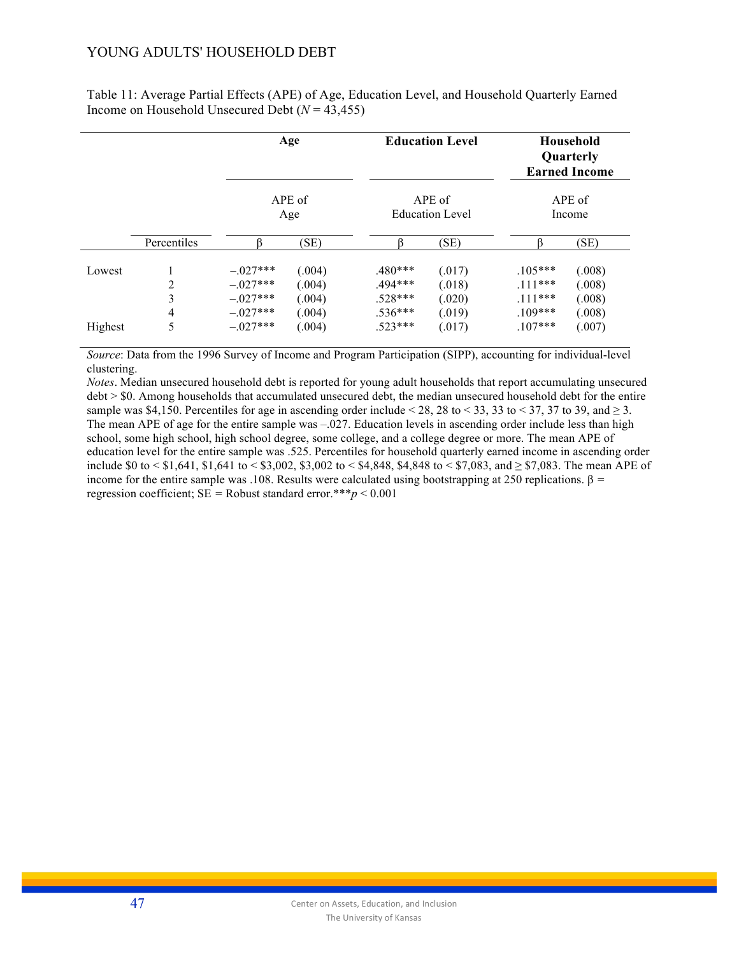# YOUNG ADULTS' HOUSEHOLD DEBT

Table 11: Average Partial Effects (APE) of Age, Education Level, and Household Quarterly Earned Income on Household Unsecured Debt (*N* = 43,455)

|         |             | Age<br>APE of<br>Age                 |                            |                                     | <b>Education Level</b>     |                                   | Household<br>Quarterly<br><b>Earned Income</b> |
|---------|-------------|--------------------------------------|----------------------------|-------------------------------------|----------------------------|-----------------------------------|------------------------------------------------|
|         |             |                                      |                            | APE of<br><b>Education Level</b>    |                            | APE of<br>Income                  |                                                |
|         | Percentiles |                                      | (SE)                       |                                     | (SE)                       |                                   | (SE)                                           |
| Lowest  | 2<br>3      | $-.027***$<br>$-027***$<br>$-027***$ | (.004)<br>(.004)           | $.480***$<br>$.494***$<br>$.528***$ | (.017)<br>(.018)           | $105***$<br>$111***$<br>$.111***$ | (.008)<br>(.008)                               |
| Highest | 4<br>5      | $-027***$<br>$-.027***$              | (.004)<br>(.004)<br>(.004) | $.536***$<br>$.523***$              | (.020)<br>(.019)<br>(.017) | $109***$<br>$.107***$             | (.008)<br>(.008)<br>(.007)                     |

*Source*: Data from the 1996 Survey of Income and Program Participation (SIPP), accounting for individual-level clustering.

*Notes*. Median unsecured household debt is reported for young adult households that report accumulating unsecured debt > \$0. Among households that accumulated unsecured debt, the median unsecured household debt for the entire sample was \$4,150. Percentiles for age in ascending order include < 28, 28 to < 33, 33 to < 37, 37 to 39, and  $\geq$  3. The mean APE of age for the entire sample was  $-.027$ . Education levels in ascending order include less than high school, some high school, high school degree, some college, and a college degree or more. The mean APE of education level for the entire sample was .525. Percentiles for household quarterly earned income in ascending order include \$0 to < \$1,641, \$1,641 to < \$3,002, \$3,002 to < \$4,848, \$4,848 to < \$7,083, and  $\geq$  \$7,083. The mean APE of income for the entire sample was .108. Results were calculated using bootstrapping at 250 replications. β *=*  regression coefficient;  $SE =$  Robust standard error.\*\*\* $p \le 0.001$